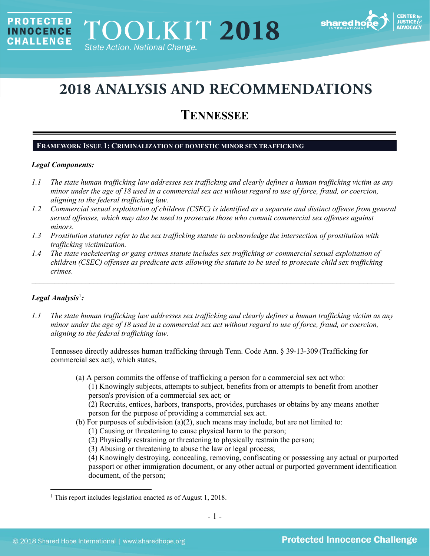

# **2018 ANALYSIS AND RECOMMENDATIONS**

# **TENNESSEE**

# **FRAMEWORK ISSUE 1: CRIMINALIZATION OF DOMESTIC MINOR SEX TRAFFICKING**

# *Legal Components:*

**PROTECTED** 

**INNOCENCE CHALLENGE** 

- *1.1 The state human trafficking law addresses sex trafficking and clearly defines a human trafficking victim as any minor under the age of 18 used in a commercial sex act without regard to use of force, fraud, or coercion, aligning to the federal trafficking law.*
- *1.2 Commercial sexual exploitation of children (CSEC) is identified as a separate and distinct offense from general sexual offenses, which may also be used to prosecute those who commit commercial sex offenses against minors.*
- *1.3 Prostitution statutes refer to the sex trafficking statute to acknowledge the intersection of prostitution with trafficking victimization.*
- *1.4 The state racketeering or gang crimes statute includes sex trafficking or commercial sexual exploitation of children (CSEC) offenses as predicate acts allowing the statute to be used to prosecute child sex trafficking crimes.*

\_\_\_\_\_\_\_\_\_\_\_\_\_\_\_\_\_\_\_\_\_\_\_\_\_\_\_\_\_\_\_\_\_\_\_\_\_\_\_\_\_\_\_\_\_\_\_\_\_\_\_\_\_\_\_\_\_\_\_\_\_\_\_\_\_\_\_\_\_\_\_\_\_\_\_\_\_\_\_\_\_\_\_\_\_\_\_\_\_\_\_\_\_\_

# *Legal Analysis*[1](#page-0-0) *:*

*1.1 The state human trafficking law addresses sex trafficking and clearly defines a human trafficking victim as any minor under the age of 18 used in a commercial sex act without regard to use of force, fraud, or coercion, aligning to the federal trafficking law.* 

Tennessee directly addresses human trafficking through Tenn. Code Ann. § 39-13-309 (Trafficking for commercial sex act), which states,

(a) A person commits the offense of trafficking a person for a commercial sex act who: (1) Knowingly subjects, attempts to subject, benefits from or attempts to benefit from another person's provision of a commercial sex act; or

(2) Recruits, entices, harbors, transports, provides, purchases or obtains by any means another person for the purpose of providing a commercial sex act.

- (b) For purposes of subdivision (a)(2), such means may include, but are not limited to:
	- (1) Causing or threatening to cause physical harm to the person;
	- (2) Physically restraining or threatening to physically restrain the person;
	- (3) Abusing or threatening to abuse the law or legal process;

(4) Knowingly destroying, concealing, removing, confiscating or possessing any actual or purported passport or other immigration document, or any other actual or purported government identification document, of the person;

<span id="page-0-0"></span><sup>&</sup>lt;sup>1</sup> This report includes legislation enacted as of August 1, 2018.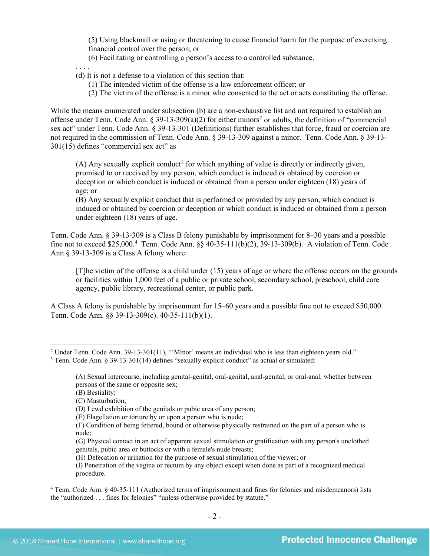(5) Using blackmail or using or threatening to cause financial harm for the purpose of exercising financial control over the person; or

(6) Facilitating or controlling a person's access to a controlled substance.

. . . .

- (d) It is not a defense to a violation of this section that:
	- (1) The intended victim of the offense is a law enforcement officer; or
	- (2) The victim of the offense is a minor who consented to the act or acts constituting the offense.

While the means enumerated under subsection (b) are a non-exhaustive list and not required to establish an offense under Tenn. Code Ann. § 39-13-309(a)([2](#page-1-0)) for either minors<sup>2</sup> or adults, the definition of "commercial" sex act" under Tenn. Code Ann. § 39-13-301 (Definitions) further establishes that force, fraud or coercion are not required in the commission of Tenn. Code Ann. § 39-13-309 against a minor. Tenn. Code Ann. § 39-13- 301(15) defines "commercial sex act" as

<span id="page-1-3"></span>(A) Any sexually explicit conduct<sup>[3](#page-1-1)</sup> for which anything of value is directly or indirectly given, promised to or received by any person, which conduct is induced or obtained by coercion or deception or which conduct is induced or obtained from a person under eighteen (18) years of age; or

(B) Any sexually explicit conduct that is performed or provided by any person, which conduct is induced or obtained by coercion or deception or which conduct is induced or obtained from a person under eighteen (18) years of age.

Tenn. Code Ann. § 39-13-309 is a Class B felony punishable by imprisonment for 8–30 years and a possible fine not to exceed \$25,000.<sup>[4](#page-1-2)</sup> Tenn. Code Ann. §§ 40-35-111(b)(2), 39-13-309(b). A violation of Tenn. Code Ann § 39-13-309 is a Class A felony where:

[T]he victim of the offense is a child under (15) years of age or where the offense occurs on the grounds or facilities within 1,000 feet of a public or private school, secondary school, preschool, child care agency, public library, recreational center, or public park.

A Class A felony is punishable by imprisonment for 15–60 years and a possible fine not to exceed \$50,000. Tenn. Code Ann. §§ 39-13-309(c). 40-35-111(b)(1).

<span id="page-1-1"></span><span id="page-1-0"></span><sup>&</sup>lt;sup>2</sup> Under Tenn. Code Ann. 39-13-301(11), "'Minor' means an individual who is less than eighteen years old." <sup>3</sup> Tenn. Code Ann. § 39-13-301(14) defines "sexually explicit conduct" as actual or simulated:

<sup>(</sup>A) Sexual intercourse, including genital-genital, oral-genital, anal-genital, or oral-anal, whether between persons of the same or opposite sex;

<sup>(</sup>B) Bestiality;

<sup>(</sup>C) Masturbation;

<sup>(</sup>D) Lewd exhibition of the genitals or pubic area of any person;

<sup>(</sup>E) Flagellation or torture by or upon a person who is nude;

<sup>(</sup>F) Condition of being fettered, bound or otherwise physically restrained on the part of a person who is nude;

<sup>(</sup>G) Physical contact in an act of apparent sexual stimulation or gratification with any person's unclothed genitals, pubic area or buttocks or with a female's nude breasts;

<sup>(</sup>H) Defecation or urination for the purpose of sexual stimulation of the viewer; or

<sup>(</sup>I) Penetration of the vagina or rectum by any object except when done as part of a recognized medical procedure.

<span id="page-1-2"></span><sup>4</sup> Tenn. Code Ann. § 40-35-111 (Authorized terms of imprisonment and fines for felonies and misdemeanors) lists the "authorized . . . fines for felonies" "unless otherwise provided by statute."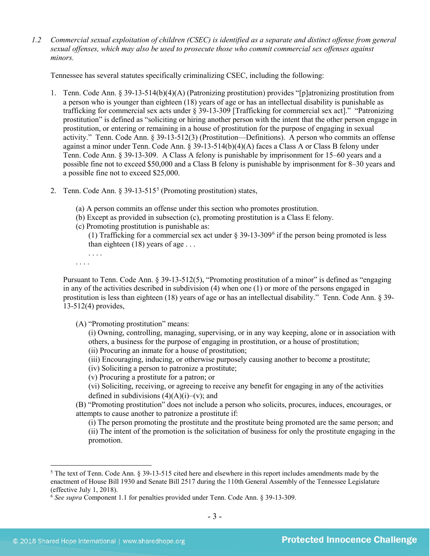*1.2 Commercial sexual exploitation of children (CSEC) is identified as a separate and distinct offense from general sexual offenses, which may also be used to prosecute those who commit commercial sex offenses against minors.*

Tennessee has several statutes specifically criminalizing CSEC, including the following:

- 1. Tenn. Code Ann. § 39-13-514(b)(4)(A) (Patronizing prostitution) provides "[p]atronizing prostitution from a person who is younger than eighteen (18) years of age or has an intellectual disability is punishable as trafficking for commercial sex acts under § 39-13-309 [Trafficking for commercial sex act]." "Patronizing prostitution" is defined as "soliciting or hiring another person with the intent that the other person engage in prostitution, or entering or remaining in a house of prostitution for the purpose of engaging in sexual activity." Tenn. Code Ann. § 39-13-512(3) (Prostitution—Definitions). A person who commits an offense against a minor under Tenn. Code Ann. § 39-13-514(b)(4)(A) faces a Class A or Class B felony under Tenn. Code Ann. § 39-13-309. A Class A felony is punishable by imprisonment for 15–60 years and a possible fine not to exceed \$50,000 and a Class B felony is punishable by imprisonment for 8–30 years and a possible fine not to exceed \$25,000.
- 2. Tenn. Code Ann.  $\S 39-13-515^5$  $\S 39-13-515^5$  $\S 39-13-515^5$  (Promoting prostitution) states,
	- (a) A person commits an offense under this section who promotes prostitution.
	- (b) Except as provided in subsection (c), promoting prostitution is a Class E felony.
	- (c) Promoting prostitution is punishable as:
		- (1) Trafficking for a commercial sex act under  $\S 39-13-309^6$  $\S 39-13-309^6$  if the person being promoted is less than eighteen (18) years of age . . .

<span id="page-2-2"></span>. . . . . . . .

Pursuant to Tenn. Code Ann. § 39-13-512(5), "Promoting prostitution of a minor" is defined as "engaging in any of the activities described in subdivision (4) when one (1) or more of the persons engaged in prostitution is less than eighteen (18) years of age or has an intellectual disability." Tenn. Code Ann. § 39- 13-512(4) provides,

(A) "Promoting prostitution" means:

(i) Owning, controlling, managing, supervising, or in any way keeping, alone or in association with others, a business for the purpose of engaging in prostitution, or a house of prostitution;

- (ii) Procuring an inmate for a house of prostitution;
- (iii) Encouraging, inducing, or otherwise purposely causing another to become a prostitute;

(iv) Soliciting a person to patronize a prostitute;

(v) Procuring a prostitute for a patron; or

(vi) Soliciting, receiving, or agreeing to receive any benefit for engaging in any of the activities defined in subdivisions  $(4)(A)(i)$ –(v); and

(B) "Promoting prostitution" does not include a person who solicits, procures, induces, encourages, or attempts to cause another to patronize a prostitute if:

(i) The person promoting the prostitute and the prostitute being promoted are the same person; and (ii) The intent of the promotion is the solicitation of business for only the prostitute engaging in the promotion.

<span id="page-2-0"></span><sup>&</sup>lt;sup>5</sup> The text of Tenn. Code Ann. § 39-13-515 cited here and elsewhere in this report includes amendments made by the enactment of House Bill 1930 and Senate Bill 2517 during the 110th General Assembly of the Tennessee Legislature (effective July 1, 2018).

<span id="page-2-1"></span><sup>6</sup> *See supra* Component 1.1 for penalties provided under Tenn. Code Ann. § 39-13-309.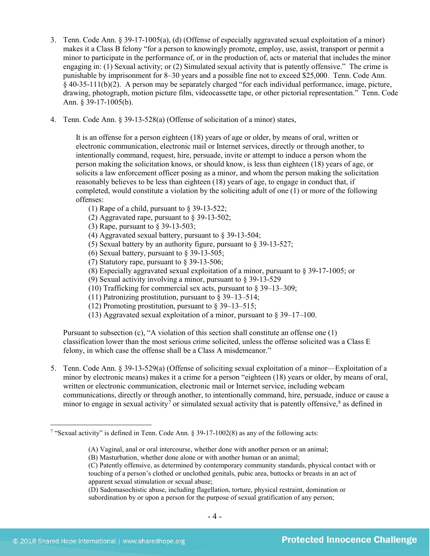- 3. Tenn. Code Ann. § 39-17-1005(a), (d) (Offense of especially aggravated sexual exploitation of a minor) makes it a Class B felony "for a person to knowingly promote, employ, use, assist, transport or permit a minor to participate in the performance of, or in the production of, acts or material that includes the minor engaging in: (1) Sexual activity; or (2) Simulated sexual activity that is patently offensive." The crime is punishable by imprisonment for 8–30 years and a possible fine not to exceed \$25,000. Tenn. Code Ann. § 40-35-111(b)(2). A person may be separately charged "for each individual performance, image, picture, drawing, photograph, motion picture film, videocassette tape, or other pictorial representation." Tenn. Code Ann. § 39-17-1005(b).
- 4. Tenn. Code Ann. § 39-13-528(a) (Offense of solicitation of a minor) states,

It is an offense for a person eighteen (18) years of age or older, by means of oral, written or electronic communication, electronic mail or Internet services, directly or through another, to intentionally command, request, hire, persuade, invite or attempt to induce a person whom the person making the solicitation knows, or should know, is less than eighteen (18) years of age, or solicits a law enforcement officer posing as a minor, and whom the person making the solicitation reasonably believes to be less than eighteen (18) years of age, to engage in conduct that, if completed, would constitute a violation by the soliciting adult of one (1) or more of the following offenses:

- (1) Rape of a child, pursuant to § 39-13-522;
- (2) Aggravated rape, pursuant to § 39-13-502;
- (3) Rape, pursuant to § 39-13-503;
- (4) Aggravated sexual battery, pursuant to § 39-13-504;
- (5) Sexual battery by an authority figure, pursuant to § 39-13-527;
- (6) Sexual battery, pursuant to § 39-13-505;
- (7) Statutory rape, pursuant to § 39-13-506;
- (8) Especially aggravated sexual exploitation of a minor, pursuant to § 39-17-1005; or
- (9) Sexual activity involving a minor, pursuant to § 39-13-529
- (10) Trafficking for commercial sex acts, pursuant to § 39–13–309;
- (11) Patronizing prostitution, pursuant to  $\S 39-13-514$ ;
- (12) Promoting prostitution, pursuant to  $\frac{8}{9}$  39–13–515;
- (13) Aggravated sexual exploitation of a minor, pursuant to § 39–17–100.

Pursuant to subsection (c), "A violation of this section shall constitute an offense one (1) classification lower than the most serious crime solicited, unless the offense solicited was a Class E felony, in which case the offense shall be a Class A misdemeanor."

5. Tenn. Code Ann. § 39-13-529(a) (Offense of soliciting sexual exploitation of a minor—Exploitation of a minor by electronic means) makes it a crime for a person "eighteen (18) years or older, by means of oral, written or electronic communication, electronic mail or Internet service, including webcam communications, directly or through another, to intentionally command, hire, persuade, induce or cause a minor to engage in sexual activity<sup>[7](#page-3-0)</sup> or simulated sexual activity that is patently offensive,<sup>[8](#page-3-1)</sup> as defined in

<span id="page-3-2"></span>(A) Vaginal, anal or oral intercourse, whether done with another person or an animal;

<span id="page-3-1"></span><span id="page-3-0"></span> <sup>7</sup> "Sexual activity" is defined in Tenn. Code Ann. § 39-17-1002(8) as any of the following acts:

<sup>(</sup>B) Masturbation, whether done alone or with another human or an animal;

<sup>(</sup>C) Patently offensive, as determined by contemporary community standards, physical contact with or touching of a person's clothed or unclothed genitals, pubic area, buttocks or breasts in an act of apparent sexual stimulation or sexual abuse;

<sup>(</sup>D) Sadomasochistic abuse, including flagellation, torture, physical restraint, domination or subordination by or upon a person for the purpose of sexual gratification of any person;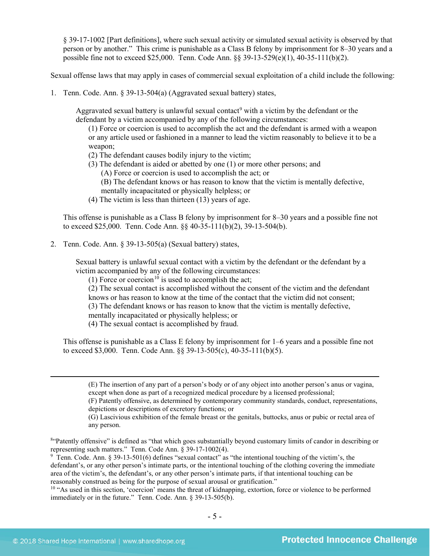§ 39-17-1002 [Part definitions], where such sexual activity or simulated sexual activity is observed by that person or by another." This crime is punishable as a Class B felony by imprisonment for 8–30 years and a possible fine not to exceed \$25,000. Tenn. Code Ann. §§ 39-13-529(e)(1), 40-35-111(b)(2).

Sexual offense laws that may apply in cases of commercial sexual exploitation of a child include the following:

1. Tenn. Code. Ann. § 39-13-504(a) (Aggravated sexual battery) states,

Aggravated sexual battery is unlawful sexual contact<sup>[9](#page-4-0)</sup> with a victim by the defendant or the defendant by a victim accompanied by any of the following circumstances:

(1) Force or coercion is used to accomplish the act and the defendant is armed with a weapon or any article used or fashioned in a manner to lead the victim reasonably to believe it to be a weapon;

- (2) The defendant causes bodily injury to the victim;
- (3) The defendant is aided or abetted by one (1) or more other persons; and
	- (A) Force or coercion is used to accomplish the act; or
	- (B) The defendant knows or has reason to know that the victim is mentally defective,
	- mentally incapacitated or physically helpless; or
- (4) The victim is less than thirteen (13) years of age.

This offense is punishable as a Class B felony by imprisonment for 8–30 years and a possible fine not to exceed \$25,000. Tenn. Code Ann. §§ 40-35-111(b)(2), 39-13-504(b).

2. Tenn. Code. Ann. § 39-13-505(a) (Sexual battery) states,

Sexual battery is unlawful sexual contact with a victim by the defendant or the defendant by a victim accompanied by any of the following circumstances:

(1) Force or coercion<sup>[10](#page-4-1)</sup> is used to accomplish the act;

(2) The sexual contact is accomplished without the consent of the victim and the defendant

knows or has reason to know at the time of the contact that the victim did not consent;

(3) The defendant knows or has reason to know that the victim is mentally defective,

mentally incapacitated or physically helpless; or

(4) The sexual contact is accomplished by fraud.

This offense is punishable as a Class E felony by imprisonment for 1–6 years and a possible fine not to exceed \$3,000. Tenn. Code Ann. §§ 39-13-505(c), 40-35-111(b)(5).

 (E) The insertion of any part of a person's body or of any object into another person's anus or vagina, except when done as part of a recognized medical procedure by a licensed professional;

(F) Patently offensive, as determined by contemporary community standards, conduct, representations, depictions or descriptions of excretory functions; or

(G) Lascivious exhibition of the female breast or the genitals, buttocks, anus or pubic or rectal area of any person.

<sup>84</sup>Patently offensive" is defined as "that which goes substantially beyond customary limits of candor in describing or representing such matters." Tenn. Code Ann. § 39-17-1002(4).

<span id="page-4-0"></span><sup>9</sup> Tenn. Code. Ann. § 39-13-501(6) defines "sexual contact" as "the intentional touching of the victim's, the defendant's, or any other person's intimate parts, or the intentional touching of the clothing covering the immediate area of the victim's, the defendant's, or any other person's intimate parts, if that intentional touching can be reasonably construed as being for the purpose of sexual arousal or gratification."

<span id="page-4-1"></span><sup>10</sup> "As used in this section, 'coercion' means the threat of kidnapping, extortion, force or violence to be performed immediately or in the future." Tenn. Code. Ann. § 39-13-505(b).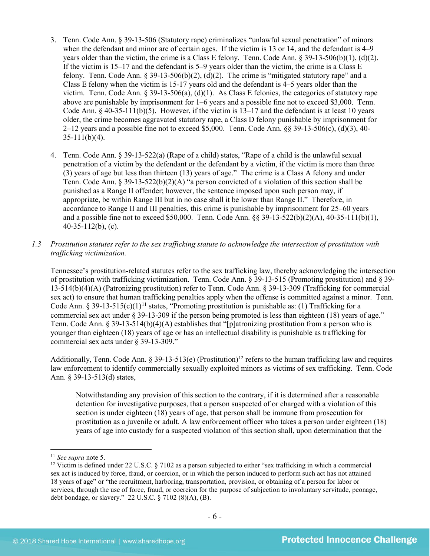- 3. Tenn. Code Ann. § 39-13-506 (Statutory rape) criminalizes "unlawful sexual penetration" of minors when the defendant and minor are of certain ages. If the victim is 13 or 14, and the defendant is 4–9 years older than the victim, the crime is a Class E felony. Tenn. Code Ann. § 39-13-506(b)(1), (d)(2). If the victim is 15–17 and the defendant is 5–9 years older than the victim, the crime is a Class E felony. Tenn. Code Ann. § 39-13-506(b)(2), (d)(2). The crime is "mitigated statutory rape" and a Class E felony when the victim is 15-17 years old and the defendant is 4–5 years older than the victim. Tenn. Code Ann. § 39-13-506(a), (d)(1). As Class E felonies, the categories of statutory rape above are punishable by imprisonment for 1–6 years and a possible fine not to exceed \$3,000. Tenn. Code Ann.  $\S$  40-35-111(b)(5). However, if the victim is 13–17 and the defendant is at least 10 years older, the crime becomes aggravated statutory rape, a Class D felony punishable by imprisonment for 2–12 years and a possible fine not to exceed \$5,000. Tenn. Code Ann.  $\S$ § 39-13-506(c), (d)(3), 40- $35-111(b)(4)$ .
- 4. Tenn. Code Ann. § 39-13-522(a) (Rape of a child) states, "Rape of a child is the unlawful sexual penetration of a victim by the defendant or the defendant by a victim, if the victim is more than three (3) years of age but less than thirteen (13) years of age." The crime is a Class A felony and under Tenn. Code Ann. § 39-13-522(b)(2)(A) "a person convicted of a violation of this section shall be punished as a Range II offender; however, the sentence imposed upon such person may, if appropriate, be within Range III but in no case shall it be lower than Range II." Therefore, in accordance to Range II and III penalties, this crime is punishable by imprisonment for 25–60 years and a possible fine not to exceed \$50,000. Tenn. Code Ann. §§ 39-13-522(b)(2)(A), 40-35-111(b)(1), 40-35-112(b), (c).
- *1.3 Prostitution statutes refer to the sex trafficking statute to acknowledge the intersection of prostitution with trafficking victimization.*

Tennessee's prostitution-related statutes refer to the sex trafficking law, thereby acknowledging the intersection of prostitution with trafficking victimization. Tenn. Code Ann. § 39-13-515 (Promoting prostitution) and § 39- 13-514(b)(4)(A) (Patronizing prostitution) refer to Tenn. Code Ann. § 39-13-309 (Trafficking for commercial sex act) to ensure that human trafficking penalties apply when the offense is committed against a minor. Tenn. Code Ann. § 39-13-515(c)(1)<sup>[11](#page-5-0)</sup> states, "Promoting prostitution is punishable as: (1) Trafficking for a commercial sex act under § 39-13-309 if the person being promoted is less than eighteen (18) years of age." Tenn. Code Ann. § 39-13-514(b)(4)(A) establishes that "[p]atronizing prostitution from a person who is younger than eighteen (18) years of age or has an intellectual disability is punishable as trafficking for commercial sex acts under § 39-13-309."

Additionally, Tenn. Code Ann. § 39-13-513(e) (Prostitution)<sup>[12](#page-5-1)</sup> refers to the human trafficking law and requires law enforcement to identify commercially sexually exploited minors as victims of sex trafficking. Tenn. Code Ann. § 39-13-513(d) states,

Notwithstanding any provision of this section to the contrary, if it is determined after a reasonable detention for investigative purposes, that a person suspected of or charged with a violation of this section is under eighteen (18) years of age, that person shall be immune from prosecution for prostitution as a juvenile or adult. A law enforcement officer who takes a person under eighteen (18) years of age into custody for a suspected violation of this section shall, upon determination that the

<span id="page-5-0"></span> <sup>11</sup> *See supra* note [5.](#page-2-2)

<span id="page-5-1"></span><sup>&</sup>lt;sup>12</sup> Victim is defined under 22 U.S.C. § 7102 as a person subjected to either "sex trafficking in which a commercial sex act is induced by force, fraud, or coercion, or in which the person induced to perform such act has not attained 18 years of age" or "the recruitment, harboring, transportation, provision, or obtaining of a person for labor or services, through the use of force, fraud, or coercion for the purpose of subjection to involuntary servitude, peonage, debt bondage, or slavery." 22 U.S.C. § 7102 (8)(A), (B).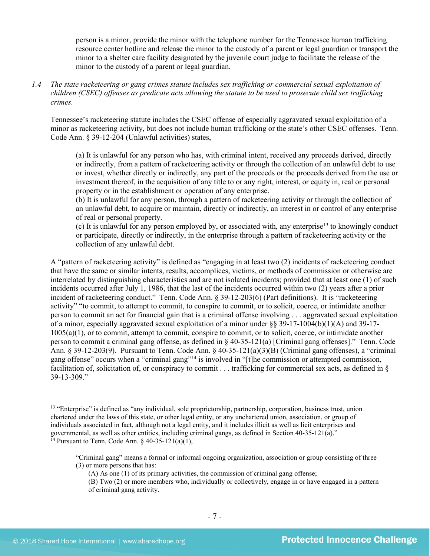person is a minor, provide the minor with the telephone number for the Tennessee human trafficking resource center hotline and release the minor to the custody of a parent or legal guardian or transport the minor to a shelter care facility designated by the juvenile court judge to facilitate the release of the minor to the custody of a parent or legal guardian.

*1.4 The state racketeering or gang crimes statute includes sex trafficking or commercial sexual exploitation of children (CSEC) offenses as predicate acts allowing the statute to be used to prosecute child sex trafficking crimes.* 

Tennessee's racketeering statute includes the CSEC offense of especially aggravated sexual exploitation of a minor as racketeering activity, but does not include human trafficking or the state's other CSEC offenses. Tenn. Code Ann. § 39-12-204 (Unlawful activities) states,

(a) It is unlawful for any person who has, with criminal intent, received any proceeds derived, directly or indirectly, from a pattern of racketeering activity or through the collection of an unlawful debt to use or invest, whether directly or indirectly, any part of the proceeds or the proceeds derived from the use or investment thereof, in the acquisition of any title to or any right, interest, or equity in, real or personal property or in the establishment or operation of any enterprise.

(b) It is unlawful for any person, through a pattern of racketeering activity or through the collection of an unlawful debt, to acquire or maintain, directly or indirectly, an interest in or control of any enterprise of real or personal property.

(c) It is unlawful for any person employed by, or associated with, any enterprise[13](#page-6-0) to knowingly conduct or participate, directly or indirectly, in the enterprise through a pattern of racketeering activity or the collection of any unlawful debt.

A "pattern of racketeering activity" is defined as "engaging in at least two (2) incidents of racketeering conduct that have the same or similar intents, results, accomplices, victims, or methods of commission or otherwise are interrelated by distinguishing characteristics and are not isolated incidents; provided that at least one (1) of such incidents occurred after July 1, 1986, that the last of the incidents occurred within two (2) years after a prior incident of racketeering conduct." Tenn. Code Ann. § 39-12-203(6) (Part definitions). It is "racketeering activity" "to commit, to attempt to commit, to conspire to commit, or to solicit, coerce, or intimidate another person to commit an act for financial gain that is a criminal offense involving . . . aggravated sexual exploitation of a minor, especially aggravated sexual exploitation of a minor under §§ 39-17-1004(b)(1)(A) and 39-17- 1005(a)(1), or to commit, attempt to commit, conspire to commit, or to solicit, coerce, or intimidate another person to commit a criminal gang offense, as defined in § 40-35-121(a) [Criminal gang offenses]." Tenn. Code Ann. § 39-12-203(9). Pursuant to Tenn. Code Ann. § 40-35-121(a)(3)(B) (Criminal gang offenses), a "criminal gang offense" occurs when a "criminal gang"[14](#page-6-1) is involved in "[t]he commission or attempted commission, facilitation of, solicitation of, or conspiracy to commit . . . trafficking for commercial sex acts, as defined in § 39-13-309."

<span id="page-6-1"></span><span id="page-6-0"></span><sup>&</sup>lt;sup>13</sup> "Enterprise" is defined as "any individual, sole proprietorship, partnership, corporation, business trust, union chartered under the laws of this state, or other legal entity, or any unchartered union, association, or group of individuals associated in fact, although not a legal entity, and it includes illicit as well as licit enterprises and governmental, as well as other entities, including criminal gangs, as defined in Section 40-35-121(a)."<br><sup>14</sup> Pursuant to Tenn. Code Ann. § 40-35-121(a)(1),

<sup>&</sup>quot;Criminal gang" means a formal or informal ongoing organization, association or group consisting of three (3) or more persons that has:

<sup>(</sup>A) As one (1) of its primary activities, the commission of criminal gang offense;

<sup>(</sup>B) Two (2) or more members who, individually or collectively, engage in or have engaged in a pattern of criminal gang activity.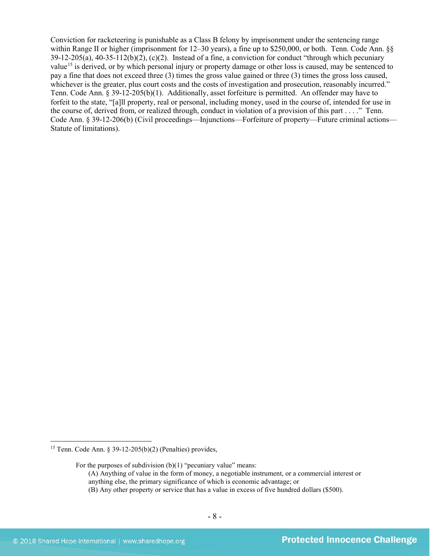Conviction for racketeering is punishable as a Class B felony by imprisonment under the sentencing range within Range II or higher (imprisonment for 12–30 years), a fine up to \$250,000, or both. Tenn. Code Ann. §§  $39-12-205(a)$ ,  $40-35-112(b)(2)$ ,  $(c)(2)$ . Instead of a fine, a conviction for conduct "through which pecuniary value<sup>[15](#page-7-0)</sup> is derived, or by which personal injury or property damage or other loss is caused, may be sentenced to pay a fine that does not exceed three (3) times the gross value gained or three (3) times the gross loss caused, whichever is the greater, plus court costs and the costs of investigation and prosecution, reasonably incurred." Tenn. Code Ann. § 39-12-205(b)(1). Additionally, asset forfeiture is permitted. An offender may have to forfeit to the state, "[a]ll property, real or personal, including money, used in the course of, intended for use in the course of, derived from, or realized through, conduct in violation of a provision of this part . . . ." Tenn. Code Ann. § 39-12-206(b) (Civil proceedings—Injunctions—Forfeiture of property—Future criminal actions— Statute of limitations).

<span id="page-7-0"></span><sup>&</sup>lt;sup>15</sup> Tenn. Code Ann. § 39-12-205(b)(2) (Penalties) provides,

For the purposes of subdivision  $(b)(1)$  "pecuniary value" means:

<sup>(</sup>A) Anything of value in the form of money, a negotiable instrument, or a commercial interest or anything else, the primary significance of which is economic advantage; or

<sup>(</sup>B) Any other property or service that has a value in excess of five hundred dollars (\$500).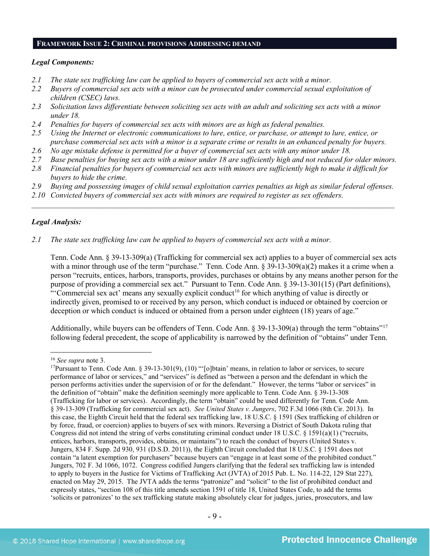#### **FRAMEWORK ISSUE 2: CRIMINAL PROVISIONS ADDRESSING DEMAND**

#### *Legal Components:*

- *2.1 The state sex trafficking law can be applied to buyers of commercial sex acts with a minor.*
- *2.2 Buyers of commercial sex acts with a minor can be prosecuted under commercial sexual exploitation of children (CSEC) laws.*
- *2.3 Solicitation laws differentiate between soliciting sex acts with an adult and soliciting sex acts with a minor under 18.*
- *2.4 Penalties for buyers of commercial sex acts with minors are as high as federal penalties.*
- *2.5 Using the Internet or electronic communications to lure, entice, or purchase, or attempt to lure, entice, or purchase commercial sex acts with a minor is a separate crime or results in an enhanced penalty for buyers.*
- *2.6 No age mistake defense is permitted for a buyer of commercial sex acts with any minor under 18.*
- *2.7 Base penalties for buying sex acts with a minor under 18 are sufficiently high and not reduced for older minors.*
- *2.8 Financial penalties for buyers of commercial sex acts with minors are sufficiently high to make it difficult for buyers to hide the crime.*
- *2.9 Buying and possessing images of child sexual exploitation carries penalties as high as similar federal offenses.*

\_\_\_\_\_\_\_\_\_\_\_\_\_\_\_\_\_\_\_\_\_\_\_\_\_\_\_\_\_\_\_\_\_\_\_\_\_\_\_\_\_\_\_\_\_\_\_\_\_\_\_\_\_\_\_\_\_\_\_\_\_\_\_\_\_\_\_\_\_\_\_\_\_\_\_\_\_\_\_\_\_\_\_\_\_\_\_\_\_\_\_\_\_\_

*2.10 Convicted buyers of commercial sex acts with minors are required to register as sex offenders.*

# *Legal Analysis:*

*2.1 The state sex trafficking law can be applied to buyers of commercial sex acts with a minor.*

Tenn. Code Ann. § 39-13-309(a) (Trafficking for commercial sex act) applies to a buyer of commercial sex acts with a minor through use of the term "purchase." Tenn. Code Ann. § 39-13-309(a)(2) makes it a crime when a person "recruits, entices, harbors, transports, provides, purchases or obtains by any means another person for the purpose of providing a commercial sex act." Pursuant to Tenn. Code Ann. § 39-13-301(15) (Part definitions), "'Commercial sex act' means any sexually explicit conduct<sup>[16](#page-8-0)</sup> for which anything of value is directly or indirectly given, promised to or received by any person, which conduct is induced or obtained by coercion or deception or which conduct is induced or obtained from a person under eighteen (18) years of age."

Additionally, while buyers can be offenders of Tenn. Code Ann. § 39-13-309(a) through the term "obtains"<sup>17</sup> following federal precedent, the scope of applicability is narrowed by the definition of "obtains" under Tenn.

 <sup>16</sup> *See supra* note [3.](#page-1-3)

<span id="page-8-1"></span><span id="page-8-0"></span><sup>&</sup>lt;sup>17</sup>Pursuant to Tenn. Code Ann. § 39-13-301(9), (10) "'[o]btain' means, in relation to labor or services, to secure performance of labor or services," and "services" is defined as "between a person and the defendant in which the person performs activities under the supervision of or for the defendant." However, the terms "labor or services" in the definition of "obtain" make the definition seemingly more applicable to Tenn. Code Ann. § 39-13-308 (Trafficking for labor or services). Accordingly, the term "obtain" could be used differently for Tenn. Code Ann. § 39-13-309 (Trafficking for commercial sex act). *See United States v. Jungers*, 702 F.3d 1066 (8th Cir. 2013). In this case, the Eighth Circuit held that the federal sex trafficking law, 18 U.S.C. § 1591 (Sex trafficking of children or by force, fraud, or coercion) applies to buyers of sex with minors. Reversing a District of South Dakota ruling that Congress did not intend the string of verbs constituting criminal conduct under 18 U.S.C. § 1591(a)(1) ("recruits, entices, harbors, transports, provides, obtains, or maintains") to reach the conduct of buyers (United States v. Jungers, 834 F. Supp. 2d 930, 931 (D.S.D. 2011)), the Eighth Circuit concluded that 18 U.S.C. § 1591 does not contain "a latent exemption for purchasers" because buyers can "engage in at least some of the prohibited conduct." Jungers, 702 F. 3d 1066, 1072. Congress codified Jungers clarifying that the federal sex trafficking law is intended to apply to buyers in the Justice for Victims of Trafficking Act (JVTA) of 2015 Pub. L. No. 114-22, 129 Stat 227), enacted on May 29, 2015. The JVTA adds the terms "patronize" and "solicit" to the list of prohibited conduct and expressly states, "section 108 of this title amends section 1591 of title 18, United States Code, to add the terms 'solicits or patronizes' to the sex trafficking statute making absolutely clear for judges, juries, prosecutors, and law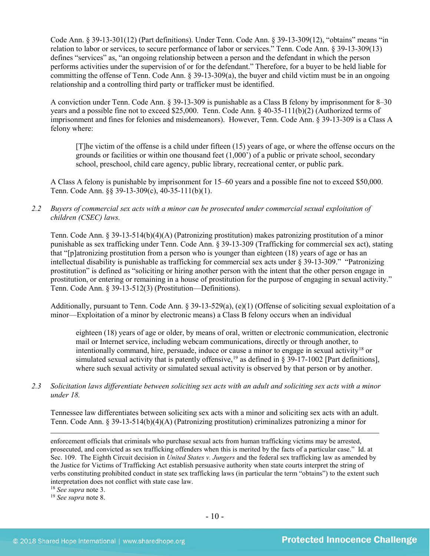Code Ann. § 39-13-301(12) (Part definitions). Under Tenn. Code Ann. § 39-13-309(12), "obtains" means "in relation to labor or services, to secure performance of labor or services." Tenn. Code Ann. § 39-13-309(13) defines "services" as, "an ongoing relationship between a person and the defendant in which the person performs activities under the supervision of or for the defendant." Therefore, for a buyer to be held liable for committing the offense of Tenn. Code Ann.  $\S$  39-13-309(a), the buyer and child victim must be in an ongoing relationship and a controlling third party or trafficker must be identified.

A conviction under Tenn. Code Ann. § 39-13-309 is punishable as a Class B felony by imprisonment for 8–30 years and a possible fine not to exceed \$25,000. Tenn. Code Ann. § 40-35-111(b)(2) (Authorized terms of imprisonment and fines for felonies and misdemeanors). However, Tenn. Code Ann. § 39-13-309 is a Class A felony where:

[T]he victim of the offense is a child under fifteen (15) years of age, or where the offense occurs on the grounds or facilities or within one thousand feet (1,000') of a public or private school, secondary school, preschool, child care agency, public library, recreational center, or public park.

A Class A felony is punishable by imprisonment for 15–60 years and a possible fine not to exceed \$50,000. Tenn. Code Ann. §§ 39-13-309(c), 40-35-111(b)(1).

*2.2 Buyers of commercial sex acts with a minor can be prosecuted under commercial sexual exploitation of children (CSEC) laws.*

Tenn. Code Ann. § 39-13-514(b)(4)(A) (Patronizing prostitution) makes patronizing prostitution of a minor punishable as sex trafficking under Tenn. Code Ann. § 39-13-309 (Trafficking for commercial sex act), stating that "[p]atronizing prostitution from a person who is younger than eighteen (18) years of age or has an intellectual disability is punishable as trafficking for commercial sex acts under § 39-13-309." "Patronizing prostitution" is defined as "soliciting or hiring another person with the intent that the other person engage in prostitution, or entering or remaining in a house of prostitution for the purpose of engaging in sexual activity." Tenn. Code Ann. § 39-13-512(3) (Prostitution—Definitions).

Additionally, pursuant to Tenn. Code Ann. § 39-13-529(a), (e)(1) (Offense of soliciting sexual exploitation of a minor—Exploitation of a minor by electronic means) a Class B felony occurs when an individual

eighteen (18) years of age or older, by means of oral, written or electronic communication, electronic mail or Internet service, including webcam communications, directly or through another, to intentionally command, hire, persuade, induce or cause a minor to engage in sexual activity<sup>[18](#page-9-0)</sup> or simulated sexual activity that is patently offensive,<sup>[19](#page-9-1)</sup> as defined in § 39-17-1002 [Part definitions], where such sexual activity or simulated sexual activity is observed by that person or by another.

*2.3 Solicitation laws differentiate between soliciting sex acts with an adult and soliciting sex acts with a minor under 18.*

Tennessee law differentiates between soliciting sex acts with a minor and soliciting sex acts with an adult. Tenn. Code Ann. § 39-13-514(b)(4)(A) (Patronizing prostitution) criminalizes patronizing a minor for

enforcement officials that criminals who purchase sexual acts from human trafficking victims may be arrested, prosecuted, and convicted as sex trafficking offenders when this is merited by the facts of a particular case." Id. at Sec. 109. The Eighth Circuit decision in *United States v. Jungers* and the federal sex trafficking law as amended by the Justice for Victims of Trafficking Act establish persuasive authority when state courts interpret the string of verbs constituting prohibited conduct in state sex trafficking laws (in particular the term "obtains") to the extent such interpretation does not conflict with state case law.

<span id="page-9-1"></span><span id="page-9-0"></span><sup>18</sup> *See supra* note [3.](#page-1-3)

 $\overline{a}$ 

<sup>19</sup> *See supra* note [8.](#page-3-2)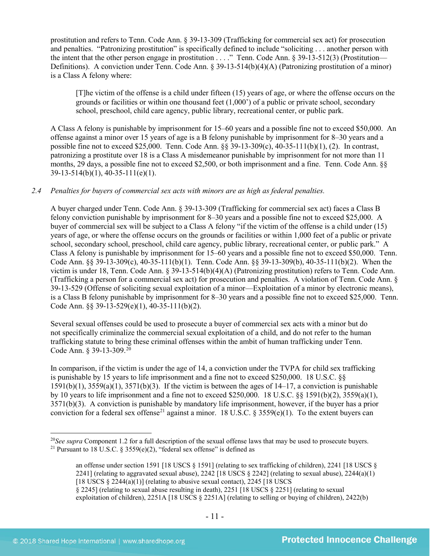prostitution and refers to Tenn. Code Ann. § 39-13-309 (Trafficking for commercial sex act) for prosecution and penalties. "Patronizing prostitution" is specifically defined to include "soliciting . . . another person with the intent that the other person engage in prostitution . . . ." Tenn. Code Ann. § 39-13-512(3) (Prostitution— Definitions). A conviction under Tenn. Code Ann. § 39-13-514(b)(4)(A) (Patronizing prostitution of a minor) is a Class A felony where:

[T]he victim of the offense is a child under fifteen (15) years of age, or where the offense occurs on the grounds or facilities or within one thousand feet (1,000') of a public or private school, secondary school, preschool, child care agency, public library, recreational center, or public park.

A Class A felony is punishable by imprisonment for 15–60 years and a possible fine not to exceed \$50,000. An offense against a minor over 15 years of age is a B felony punishable by imprisonment for 8–30 years and a possible fine not to exceed \$25,000. Tenn. Code Ann. §§ 39-13-309(c), 40-35-111(b)(1), (2). In contrast, patronizing a prostitute over 18 is a Class A misdemeanor punishable by imprisonment for not more than 11 months, 29 days, a possible fine not to exceed \$2,500, or both imprisonment and a fine. Tenn. Code Ann. §§ 39-13-514(b)(1), 40-35-111(e)(1).

# *2.4 Penalties for buyers of commercial sex acts with minors are as high as federal penalties.*

A buyer charged under Tenn. Code Ann. § 39-13-309 (Trafficking for commercial sex act) faces a Class B felony conviction punishable by imprisonment for 8–30 years and a possible fine not to exceed \$25,000. A buyer of commercial sex will be subject to a Class A felony "if the victim of the offense is a child under (15) years of age, or where the offense occurs on the grounds or facilities or within 1,000 feet of a public or private school, secondary school, preschool, child care agency, public library, recreational center, or public park." A Class A felony is punishable by imprisonment for 15–60 years and a possible fine not to exceed \$50,000. Tenn. Code Ann. §§ 39-13-309(c), 40-35-111(b)(1). Tenn. Code Ann. §§ 39-13-309(b), 40-35-111(b)(2). When the victim is under 18, Tenn. Code Ann. § 39-13-514(b)(4)(A) (Patronizing prostitution) refers to Tenn. Code Ann. (Trafficking a person for a commercial sex act) for prosecution and penalties. A violation of Tenn. Code Ann. § 39-13-529 (Offense of soliciting sexual exploitation of a minor—Exploitation of a minor by electronic means), is a Class B felony punishable by imprisonment for 8–30 years and a possible fine not to exceed \$25,000. Tenn. Code Ann. §§ 39-13-529(e)(1), 40-35-111(b)(2).

Several sexual offenses could be used to prosecute a buyer of commercial sex acts with a minor but do not specifically criminalize the commercial sexual exploitation of a child, and do not refer to the human trafficking statute to bring these criminal offenses within the ambit of human trafficking under Tenn. Code Ann. § 39-13-309.[20](#page-10-0)

<span id="page-10-2"></span>In comparison, if the victim is under the age of 14, a conviction under the TVPA for child sex trafficking is punishable by 15 years to life imprisonment and a fine not to exceed \$250,000. 18 U.S.C. §§  $1591(b)(1)$ ,  $3559(a)(1)$ ,  $3571(b)(3)$ . If the victim is between the ages of  $14-17$ , a conviction is punishable by 10 years to life imprisonment and a fine not to exceed \$250,000. 18 U.S.C.  $\S$  1591(b)(2), 3559(a)(1), 3571(b)(3). A conviction is punishable by mandatory life imprisonment, however, if the buyer has a prior conviction for a federal sex offense<sup>[21](#page-10-1)</sup> against a minor. 18 U.S.C. § 3559(e)(1). To the extent buyers can

§ 2245] (relating to sexual abuse resulting in death), 2251 [18 USCS § 2251] (relating to sexual

<span id="page-10-1"></span><span id="page-10-0"></span> <sup>20</sup>*See supra* Component 1.2 for a full description of the sexual offense laws that may be used to prosecute buyers. <sup>21</sup> Pursuant to 18 U.S.C. § 3559(e)(2), "federal sex offense" is defined as

<span id="page-10-3"></span>an offense under section 1591 [18 USCS § 1591] (relating to sex trafficking of children), 2241 [18 USCS § 2241] (relating to aggravated sexual abuse), 2242 [18 USCS  $\S$  2242] (relating to sexual abuse), 2244(a)(1) [18 USCS  $\S$  2244(a)(1)] (relating to abusive sexual contact), 2245 [18 USCS]

exploitation of children), 2251A [18 USCS § 2251A] (relating to selling or buying of children), 2422(b)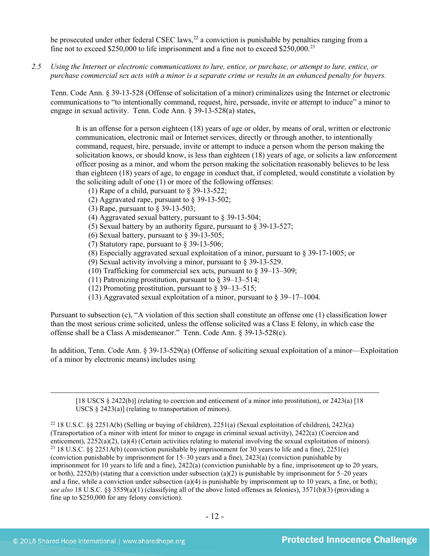be prosecuted under other federal CSEC laws,  $^{22}$  $^{22}$  $^{22}$  a conviction is punishable by penalties ranging from a fine not to exceed \$250,000 to life imprisonment and a fine not to exceed \$250,000.<sup>[23](#page-11-1)</sup>

*2.5 Using the Internet or electronic communications to lure, entice, or purchase, or attempt to lure, entice, or purchase commercial sex acts with a minor is a separate crime or results in an enhanced penalty for buyers.*

Tenn. Code Ann. § 39-13-528 (Offense of solicitation of a minor) criminalizes using the Internet or electronic communications to "to intentionally command, request, hire, persuade, invite or attempt to induce" a minor to engage in sexual activity. Tenn. Code Ann. § 39-13-528(a) states,

It is an offense for a person eighteen (18) years of age or older, by means of oral, written or electronic communication, electronic mail or Internet services, directly or through another, to intentionally command, request, hire, persuade, invite or attempt to induce a person whom the person making the solicitation knows, or should know, is less than eighteen (18) years of age, or solicits a law enforcement officer posing as a minor, and whom the person making the solicitation reasonably believes to be less than eighteen (18) years of age, to engage in conduct that, if completed, would constitute a violation by the soliciting adult of one (1) or more of the following offenses:

- (1) Rape of a child, pursuant to [§ 39-13-522;](https://a.next.westlaw.com/Link/Document/FullText?findType=L&pubNum=1000039&cite=TNSTS39-13-522&originatingDoc=N61AFE9D1CCE411DB8F04FB3E68C8F4C5&refType=LQ&originationContext=document&transitionType=DocumentItem&contextData=(sc.UserEnteredCitation))
- (2) Aggravated rape, pursuant to [§ 39-13-502;](https://a.next.westlaw.com/Link/Document/FullText?findType=L&pubNum=1000039&cite=TNSTS39-13-502&originatingDoc=N61AFE9D1CCE411DB8F04FB3E68C8F4C5&refType=LQ&originationContext=document&transitionType=DocumentItem&contextData=(sc.UserEnteredCitation))
- (3) Rape, pursuant to [§ 39-13-503;](https://a.next.westlaw.com/Link/Document/FullText?findType=L&pubNum=1000039&cite=TNSTS39-13-503&originatingDoc=N61AFE9D1CCE411DB8F04FB3E68C8F4C5&refType=LQ&originationContext=document&transitionType=DocumentItem&contextData=(sc.UserEnteredCitation))
- (4) Aggravated sexual battery, pursuant to [§ 39-13-504;](https://a.next.westlaw.com/Link/Document/FullText?findType=L&pubNum=1000039&cite=TNSTS39-13-504&originatingDoc=N61AFE9D1CCE411DB8F04FB3E68C8F4C5&refType=LQ&originationContext=document&transitionType=DocumentItem&contextData=(sc.UserEnteredCitation))
- (5) Sexual battery by an authority figure, pursuant t[o § 39-13-527;](https://a.next.westlaw.com/Link/Document/FullText?findType=L&pubNum=1000039&cite=TNSTS39-13-527&originatingDoc=N61AFE9D1CCE411DB8F04FB3E68C8F4C5&refType=LQ&originationContext=document&transitionType=DocumentItem&contextData=(sc.UserEnteredCitation))
- (6) Sexual battery, pursuant to  $\frac{8}{9}$  39-13-505;
- (7) Statutory rape, pursuant to [§ 39-13-506;](https://a.next.westlaw.com/Link/Document/FullText?findType=L&pubNum=1000039&cite=TNSTS39-13-506&originatingDoc=N61AFE9D1CCE411DB8F04FB3E68C8F4C5&refType=LQ&originationContext=document&transitionType=DocumentItem&contextData=(sc.UserEnteredCitation))
- (8) Especially aggravated sexual exploitation of a minor, pursuant to [§ 39-17-1005;](https://a.next.westlaw.com/Link/Document/FullText?findType=L&pubNum=1000039&cite=TNSTS39-17-1005&originatingDoc=N61AFE9D1CCE411DB8F04FB3E68C8F4C5&refType=LQ&originationContext=document&transitionType=DocumentItem&contextData=(sc.UserEnteredCitation)) or
- (9) Sexual activity involving a minor, pursuant to [§ 39-13-529.](https://a.next.westlaw.com/Link/Document/FullText?findType=L&pubNum=1000039&cite=TNSTS39-13-529&originatingDoc=N61AFE9D1CCE411DB8F04FB3E68C8F4C5&refType=LQ&originationContext=document&transitionType=DocumentItem&contextData=(sc.UserEnteredCitation))
- (10) Trafficking for commercial sex acts, pursuant to § 39–13–309;
- (11) Patronizing prostitution, pursuant to § 39–13–514;
- (12) Promoting prostitution, pursuant to § 39–13–515;
- (13) Aggravated sexual exploitation of a minor, pursuant to § 39–17–1004.

Pursuant to subsection (c), "A violation of this section shall constitute an offense one (1) classification lower than the most serious crime solicited, unless the offense solicited was a Class E felony, in which case the offense shall be a Class A misdemeanor." Tenn. Code Ann. § 39-13-528(c).

In addition, Tenn. Code Ann. § 39-13-529(a) (Offense of soliciting sexual exploitation of a minor—Exploitation of a minor by electronic means) includes using

[18 USCS § 2422(b)] (relating to coercion and enticement of a minor into prostitution), or 2423(a) [18 USCS § 2423(a)] (relating to transportation of minors).

 $\overline{a}$ 

<span id="page-11-1"></span><span id="page-11-0"></span><sup>22</sup> 18 U.S.C. §§ 2251A(b) (Selling or buying of children), 2251(a) (Sexual exploitation of children), 2423(a) (Transportation of a minor with intent for minor to engage in criminal sexual activity), 2422(a) (Coercion and enticement), 2252(a)(2), (a)(4) (Certain activities relating to material involving the sexual exploitation of minors).<br><sup>23</sup> 18 U.S.C. §§ 2251A(b) (conviction punishable by imprisonment for 30 years to life and a fine), 225 (conviction punishable by imprisonment for 15–30 years and a fine), 2423(a) (conviction punishable by imprisonment for 10 years to life and a fine), 2422(a) (conviction punishable by a fine, imprisonment up to 20 years, or both),  $2252(b)$  (stating that a conviction under subsection (a)(2) is punishable by imprisonment for 5–20 years and a fine, while a conviction under subsection (a)(4) is punishable by imprisonment up to 10 years, a fine, or both); *see also* 18 U.S.C. §§ 3559(a)(1) (classifying all of the above listed offenses as felonies), 3571(b)(3) (providing a fine up to \$250,000 for any felony conviction).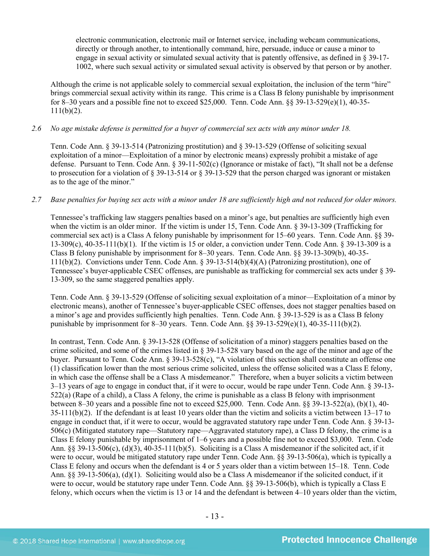electronic communication, electronic mail or Internet service, including webcam communications, directly or through another, to intentionally command, hire, persuade, induce or cause a minor to engage in sexual activity or simulated sexual activity that is patently offensive, as defined in § 39-17- 1002, where such sexual activity or simulated sexual activity is observed by that person or by another.

Although the crime is not applicable solely to commercial sexual exploitation, the inclusion of the term "hire" brings commercial sexual activity within its range. This crime is a Class B felony punishable by imprisonment for 8–30 years and a possible fine not to exceed \$25,000. Tenn. Code Ann. §§ 39-13-529(e)(1), 40-35-  $111(b)(2)$ .

# *2.6 No age mistake defense is permitted for a buyer of commercial sex acts with any minor under 18.*

Tenn. Code Ann. § 39-13-514 (Patronizing prostitution) and § 39-13-529 (Offense of soliciting sexual exploitation of a minor—Exploitation of a minor by electronic means) expressly prohibit a mistake of age defense. Pursuant to Tenn. Code Ann. § 39-11-502(c) (Ignorance or mistake of fact), "It shall not be a defense to prosecution for a violation of § 39-13-514 or § 39-13-529 that the person charged was ignorant or mistaken as to the age of the minor."

# *2.7 Base penalties for buying sex acts with a minor under 18 are sufficiently high and not reduced for older minors.*

Tennessee's trafficking law staggers penalties based on a minor's age, but penalties are sufficiently high even when the victim is an older minor. If the victim is under 15, Tenn. Code Ann. § 39-13-309 (Trafficking for commercial sex act) is a Class A felony punishable by imprisonment for 15–60 years. Tenn. Code Ann. §§ 39- 13-309(c),  $40-35-111(b)(1)$ . If the victim is 15 or older, a conviction under Tenn. Code Ann. § 39-13-309 is a Class B felony punishable by imprisonment for 8–30 years. Tenn. Code Ann. §§ 39-13-309(b), 40-35- 111(b)(2). Convictions under Tenn. Code Ann. § 39-13-514(b)(4)(A) (Patronizing prostitution), one of Tennessee's buyer-applicable CSEC offenses, are punishable as trafficking for commercial sex acts under § 39- 13-309, so the same staggered penalties apply.

Tenn. Code Ann. § 39-13-529 (Offense of soliciting sexual exploitation of a minor—Exploitation of a minor by electronic means), another of Tennessee's buyer-applicable CSEC offenses, does not stagger penalties based on a minor's age and provides sufficiently high penalties. Tenn. Code Ann. § 39-13-529 is as a Class B felony punishable by imprisonment for 8–30 years. Tenn. Code Ann.  $\S$ § 39-13-529(e)(1), 40-35-111(b)(2).

In contrast, Tenn. Code Ann. § 39-13-528 (Offense of solicitation of a minor) staggers penalties based on the crime solicited, and some of the crimes listed in § 39-13-528 vary based on the age of the minor and age of the buyer. Pursuant to Tenn. Code Ann. § 39-13-528(c), "A violation of this section shall constitute an offense one (1) classification lower than the most serious crime solicited, unless the offense solicited was a Class E felony, in which case the offense shall be a Class A misdemeanor." Therefore, when a buyer solicits a victim between 3–13 years of age to engage in conduct that, if it were to occur, would be rape under Tenn. Code Ann. § 39-13- 522(a) (Rape of a child), a Class A felony, the crime is punishable as a class B felony with imprisonment between 8–30 years and a possible fine not to exceed \$25,000. Tenn. Code Ann.  $\S$ § 39-13-522(a), (b)(1), 40- $35-111(b)(2)$ . If the defendant is at least 10 years older than the victim and solicits a victim between 13–17 to engage in conduct that, if it were to occur, would be aggravated statutory rape under Tenn. Code Ann. § 39-13- 506(c) (Mitigated statutory rape—Statutory rape—Aggravated statutory rape), a Class D felony, the crime is a Class E felony punishable by imprisonment of 1–6 years and a possible fine not to exceed \$3,000. Tenn. Code Ann.  $\S$ § 39-13-506(c), (d)(3), 40-35-111(b)(5). Soliciting is a Class A misdemeanor if the solicited act, if it were to occur, would be mitigated statutory rape under Tenn. Code Ann. §§ 39-13-506(a), which is typically a Class E felony and occurs when the defendant is 4 or 5 years older than a victim between 15–18. Tenn. Code Ann. §§ 39-13-506(a), (d)(1). Soliciting would also be a Class A misdemeanor if the solicited conduct, if it were to occur, would be statutory rape under Tenn. Code Ann.  $\S$ § 39-13-506(b), which is typically a Class E felony, which occurs when the victim is 13 or 14 and the defendant is between 4–10 years older than the victim,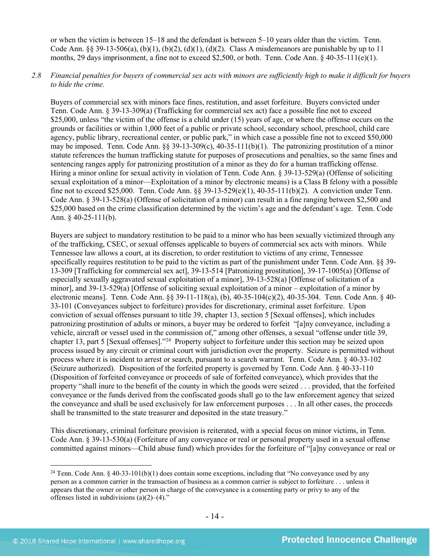or when the victim is between 15–18 and the defendant is between 5–10 years older than the victim. Tenn. Code Ann. §§ 39-13-506(a), (b)(1), (b)(2), (d)(1), (d)(2). Class A misdemeanors are punishable by up to 11 months, 29 days imprisonment, a fine not to exceed \$2,500, or both. Tenn. Code Ann.  $\S$  40-35-111(e)(1).

# *2.8 Financial penalties for buyers of commercial sex acts with minors are sufficiently high to make it difficult for buyers to hide the crime.*

Buyers of commercial sex with minors face fines, restitution, and asset forfeiture. Buyers convicted under Tenn. Code Ann. § 39-13-309(a) (Trafficking for commercial sex act) face a possible fine not to exceed \$25,000, unless "the victim of the offense is a child under (15) years of age, or where the offense occurs on the grounds or facilities or within 1,000 feet of a public or private school, secondary school, preschool, child care agency, public library, recreational center, or public park," in which case a possible fine not to exceed \$50,000 may be imposed. Tenn. Code Ann.  $\S$ § 39-13-309(c), 40-35-111(b)(1). The patronizing prostitution of a minor statute references the human trafficking statute for purposes of prosecutions and penalties, so the same fines and sentencing ranges apply for patronizing prostitution of a minor as they do for a human trafficking offense. Hiring a minor online for sexual activity in violation of Tenn. Code Ann. § 39-13-529(a) (Offense of soliciting sexual exploitation of a minor—Exploitation of a minor by electronic means) is a Class B felony with a possible fine not to exceed \$25,000. Tenn. Code Ann. §§ 39-13-529(e)(1), 40-35-111(b)(2). A conviction under Tenn. Code Ann. § 39-13-528(a) (Offense of solicitation of a minor) can result in a fine ranging between \$2,500 and \$25,000 based on the crime classification determined by the victim's age and the defendant's age. Tenn. Code Ann. § 40-25-111(b).

Buyers are subject to mandatory restitution to be paid to a minor who has been sexually victimized through any of the trafficking, CSEC, or sexual offenses applicable to buyers of commercial sex acts with minors. While Tennessee law allows a court, at its discretion, to order restitution to victims of any crime, Tennessee specifically requires restitution to be paid to the victim as part of the punishment under Tenn. Code Ann. §§ 39-13-309 [Trafficking for commercial sex act], 39-13-514 [Patronizing prostitution], 39-17-1005(a) [Offense of especially sexually aggravated sexual exploitation of a minor], 39-13-528(a) [Offense of solicitation of a minor], and 39-13-529(a) [Offense of soliciting sexual exploitation of a minor – exploitation of a minor by electronic means]. Tenn. Code Ann. §§ 39-11-118(a), (b), 40-35-104(c)(2), 40-35-304. Tenn. Code Ann. § 40- 33-101 (Conveyances subject to forfeiture) provides for discretionary, criminal asset forfeiture. Upon conviction of sexual offenses pursuant to title 39, chapter 13, section 5 [Sexual offenses], which includes patronizing prostitution of adults or minors, a buyer may be ordered to forfeit "[a]ny conveyance, including a vehicle, aircraft or vessel used in the commission of," among other offenses, a sexual "offense under title 39, chapter 13, part 5 [Sexual offenses]."[24](#page-13-0) Property subject to forfeiture under this section may be seized upon process issued by any circuit or criminal court with jurisdiction over the property. Seizure is permitted without process where it is incident to arrest or search, pursuant to a search warrant. Tenn. Code Ann. § 40-33-102 (Seizure authorized). Disposition of the forfeited property is governed by Tenn. Code Ann. § 40-33-110 (Disposition of forfeited conveyance or proceeds of sale of forfeited conveyance), which provides that the property "shall inure to the benefit of the county in which the goods were seized . . . provided, that the forfeited conveyance or the funds derived from the confiscated goods shall go to the law enforcement agency that seized the conveyance and shall be used exclusively for law enforcement purposes . . . In all other cases, the proceeds shall be transmitted to the state treasurer and deposited in the state treasury."

This discretionary, criminal forfeiture provision is reiterated, with a special focus on minor victims, in Tenn. Code Ann. § 39-13-530(a) (Forfeiture of any conveyance or real or personal property used in a sexual offense committed against minors—Child abuse fund) which provides for the forfeiture of "[a]ny conveyance or real or

<span id="page-13-0"></span><sup>&</sup>lt;sup>24</sup> Tenn. Code Ann. § 40-33-101(b)(1) does contain some exceptions, including that "No conveyance used by any person as a common carrier in the transaction of business as a common carrier is subject to forfeiture . . . unless it appears that the owner or other person in charge of the conveyance is a consenting party or privy to any of the offenses listed in subdivisions  $(a)(2)$ – $(4)$ ."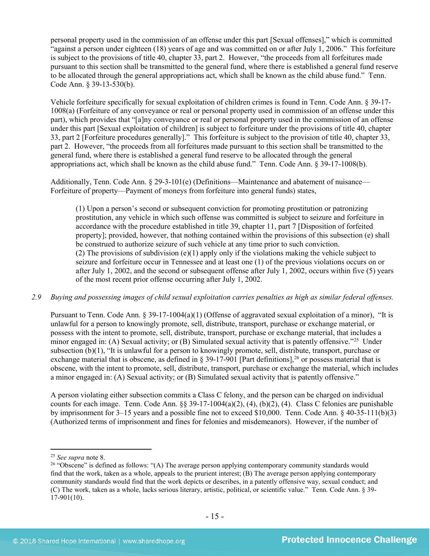personal property used in the commission of an offense under this part [Sexual offenses]," which is committed "against a person under eighteen (18) years of age and was committed on or after July 1, 2006." This forfeiture is subject to the provisions of title 40, chapter 33, part 2. However, "the proceeds from all forfeitures made pursuant to this section shall be transmitted to the general fund, where there is established a general fund reserve to be allocated through the general appropriations act, which shall be known as the child abuse fund." Tenn. Code Ann. § 39-13-530(b).

Vehicle forfeiture specifically for sexual exploitation of children crimes is found in Tenn. Code Ann. § 39-17- 1008(a) (Forfeiture of any conveyance or real or personal property used in commission of an offense under this part), which provides that "[a]ny conveyance or real or personal property used in the commission of an offense under this part [Sexual exploitation of children] is subject to forfeiture under the provisions of title 40, chapter 33, part 2 [Forfeiture procedures generally]." This forfeiture is subject to the provision of title 40, chapter 33, part 2. However, "the proceeds from all forfeitures made pursuant to this section shall be transmitted to the general fund, where there is established a general fund reserve to be allocated through the general appropriations act, which shall be known as the child abuse fund." Tenn. Code Ann. § 39-17-1008(b).

Additionally, Tenn. Code Ann. § 29-3-101(e) (Definitions—Maintenance and abatement of nuisance— Forfeiture of property—Payment of moneys from forfeiture into general funds) states,

(1) Upon a person's second or subsequent conviction for promoting prostitution or patronizing prostitution, any vehicle in which such offense was committed is subject to seizure and forfeiture in accordance with the procedure established in title 39, chapter 11, part 7 [Disposition of forfeited property]; provided, however, that nothing contained within the provisions of this subsection (e) shall be construed to authorize seizure of such vehicle at any time prior to such conviction. (2) The provisions of subdivision (e)(1) apply only if the violations making the vehicle subject to seizure and forfeiture occur in Tennessee and at least one (1) of the previous violations occurs on or after July 1, 2002, and the second or subsequent offense after July 1, 2002, occurs within five (5) years of the most recent prior offense occurring after July 1, 2002.

# *2.9 Buying and possessing images of child sexual exploitation carries penalties as high as similar federal offenses.*

Pursuant to Tenn. Code Ann. § 39-17-1004(a)(1) (Offense of aggravated sexual exploitation of a minor), "It is unlawful for a person to knowingly promote, sell, distribute, transport, purchase or exchange material, or possess with the intent to promote, sell, distribute, transport, purchase or exchange material, that includes a minor engaged in: (A) Sexual activity; or (B) Simulated sexual activity that is patently offensive."<sup>[25](#page-14-0)</sup> Under subsection (b)(1), "It is unlawful for a person to knowingly promote, sell, distribute, transport, purchase or exchange material that is obscene, as defined in § 39-17-901 [Part definitions],<sup>[26](#page-14-1)</sup> or possess material that is obscene, with the intent to promote, sell, distribute, transport, purchase or exchange the material, which includes a minor engaged in: (A) Sexual activity; or (B) Simulated sexual activity that is patently offensive."

<span id="page-14-2"></span>A person violating either subsection commits a Class C felony, and the person can be charged on individual counts for each image. Tenn. Code Ann.  $\S$ § 39-17-1004(a)(2), (4), (b)(2), (4). Class C felonies are punishable by imprisonment for 3–15 years and a possible fine not to exceed \$10,000. Tenn. Code Ann. § 40-35-111(b)(3) (Authorized terms of imprisonment and fines for felonies and misdemeanors). However, if the number of

<span id="page-14-0"></span> <sup>25</sup> *See supra* note [8.](#page-3-2)

<span id="page-14-1"></span><sup>&</sup>lt;sup>26</sup> "Obscene" is defined as follows: " $(A)$  The average person applying contemporary community standards would find that the work, taken as a whole, appeals to the prurient interest;  $(B)$  The average person applying contemporary community standards would find that the work depicts or describes, in a patently offensive way, sexual conduct; and (C) The work, taken as a whole, lacks serious literary, artistic, political, or scientific value." Tenn. Code Ann. § 39- 17-901(10).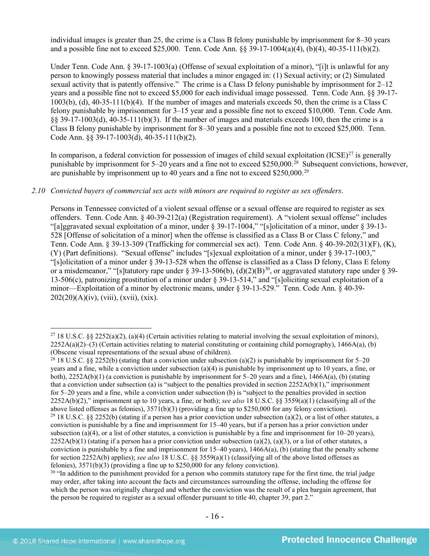individual images is greater than 25, the crime is a Class B felony punishable by imprisonment for 8–30 years and a possible fine not to exceed \$25,000. Tenn. Code Ann. §§ 39-17-1004(a)(4), (b)(4), 40-35-111(b)(2).

Under Tenn. Code Ann. § 39-17-1003(a) (Offense of sexual exploitation of a minor), "[i]t is unlawful for any person to knowingly possess material that includes a minor engaged in: (1) Sexual activity; or (2) Simulated sexual activity that is patently offensive." The crime is a Class D felony punishable by imprisonment for 2–12 years and a possible fine not to exceed \$5,000 for each individual image possessed. Tenn. Code Ann. §§ 39-17- 1003(b), (d), 40-35-111(b)(4). If the number of images and materials exceeds 50, then the crime is a Class C felony punishable by imprisonment for 3–15 year and a possible fine not to exceed \$10,000. Tenn. Code Ann. §§ 39-17-1003(d), 40-35-111(b)(3). If the number of images and materials exceeds 100, then the crime is a Class B felony punishable by imprisonment for 8–30 years and a possible fine not to exceed \$25,000. Tenn. Code Ann. §§ 39-17-1003(d), 40-35-111(b)(2).

In comparison, a federal conviction for possession of images of child sexual exploitation  $(ICSE)^{27}$  $(ICSE)^{27}$  $(ICSE)^{27}$  is generally punishable by imprisonment for 5–20 years and a fine not to exceed \$250,000.[28](#page-15-1) Subsequent convictions, however, are punishable by imprisonment up to 40 years and a fine not to exceed \$250,000.<sup>[29](#page-15-2)</sup>

#### *2.10 Convicted buyers of commercial sex acts with minors are required to register as sex offenders*.

Persons in Tennessee convicted of a violent sexual offense or a sexual offense are required to register as sex offenders. Tenn. Code Ann. § 40-39-212(a) (Registration requirement). A "violent sexual offense" includes "[a]ggravated sexual exploitation of a minor, under § 39-17-1004," "[s]olicitation of a minor, under § 39-13- 528 [Offense of solicitation of a minor] when the offense is classified as a Class B or Class C felony," and Tenn. Code Ann. § 39-13-309 (Trafficking for commercial sex act). Tenn. Code Ann. § 40-39-202(31)(F), (K), (Y) (Part definitions). "Sexual offense" includes "[s]exual exploitation of a minor, under § 39-17-1003," "[s]olicitation of a minor under § 39-13-528 when the offense is classified as a Class D felony, Class E felony or a misdemeanor," "[s]tatutory rape under § 39-13-506(b), (d)(2)(B)<sup>[30](#page-15-3)</sup>, or aggravated statutory rape under § 39-13-506(c), patronizing prostitution of a minor under § 39-13-514," and "[s]oliciting sexual exploitation of a minor—Exploitation of a minor by electronic means, under § 39-13-529." Tenn. Code Ann. § 40-39- 202(20)(A)(iv), (viii), (xvii), (xix).

<span id="page-15-0"></span><sup>&</sup>lt;sup>27</sup> 18 U.S.C. §§ 2252(a)(2), (a)(4) (Certain activities relating to material involving the sexual exploitation of minors),  $2252A(a)(2)$ –(3) (Certain activities relating to material constituting or containing child pornography), 1466A(a), (b) (Obscene visual representations of the sexual abuse of children).

<span id="page-15-2"></span><span id="page-15-1"></span><sup>&</sup>lt;sup>28</sup> 18 U.S.C. §§ 2252(b) (stating that a conviction under subsection (a)(2) is punishable by imprisonment for 5–20 years and a fine, while a conviction under subsection (a)(4) is punishable by imprisonment up to 10 years, a fine, or both),  $2252A(b)(1)$  (a conviction is punishable by imprisonment for 5–20 years and a fine),  $1466A(a)$ , (b) (stating that a conviction under subsection (a) is "subject to the penalties provided in section  $2252A(b)(1)$ ," imprisonment for 5–20 years and a fine, while a conviction under subsection (b) is "subject to the penalties provided in section 2252A(b)(2)," imprisonment up to 10 years, a fine, or both); *see also* 18 U.S.C. §§ 3559(a)(1) (classifying all of the above listed offenses as felonies), 3571(b)(3) (providing a fine up to \$250,000 for any felony conviction). <sup>29</sup> 18 U.S.C. §§ 2252(b) (stating if a person has a prior conviction under subsection (a)(2), or a list of other statutes, a conviction is punishable by a fine and imprisonment for 15–40 years, but if a person has a prior conviction under subsection (a)(4), or a list of other statutes, a conviction is punishable by a fine and imprisonment for  $10-20$  years),  $2252A(b)(1)$  (stating if a person has a prior conviction under subsection (a)(2), (a)(3), or a list of other statutes, a conviction is punishable by a fine and imprisonment for  $15-40$  years),  $1466A(a)$ , (b) (stating that the penalty scheme for section 2252A(b) applies); *see also* 18 U.S.C. §§ 3559(a)(1) (classifying all of the above listed offenses as felonies),  $3571(b)(3)$  (providing a fine up to \$250,000 for any felony conviction).

<span id="page-15-3"></span><sup>&</sup>lt;sup>30</sup> "In addition to the punishment provided for a person who commits statutory rape for the first time, the trial judge may order, after taking into account the facts and circumstances surrounding the offense, including the offense for which the person was originally charged and whether the conviction was the result of a plea bargain agreement, that the person be required to register as a sexual offender pursuant to title 40, chapter 39, part 2."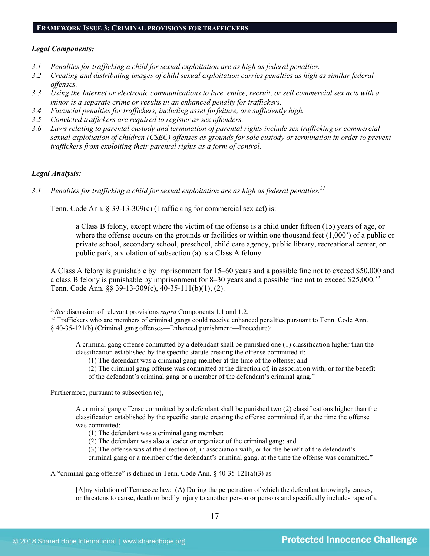# *Legal Components:*

- *3.1 Penalties for trafficking a child for sexual exploitation are as high as federal penalties.*
- *3.2 Creating and distributing images of child sexual exploitation carries penalties as high as similar federal offenses.*
- *3.3 Using the Internet or electronic communications to lure, entice, recruit, or sell commercial sex acts with a minor is a separate crime or results in an enhanced penalty for traffickers.*
- *3.4 Financial penalties for traffickers, including asset forfeiture, are sufficiently high.*
- *3.5 Convicted traffickers are required to register as sex offenders.*
- *3.6 Laws relating to parental custody and termination of parental rights include sex trafficking or commercial sexual exploitation of children (CSEC) offenses as grounds for sole custody or termination in order to prevent traffickers from exploiting their parental rights as a form of control.*

*\_\_\_\_\_\_\_\_\_\_\_\_\_\_\_\_\_\_\_\_\_\_\_\_\_\_\_\_\_\_\_\_\_\_\_\_\_\_\_\_\_\_\_\_\_\_\_\_\_\_\_\_\_\_\_\_\_\_\_\_\_\_\_\_\_\_\_\_\_\_\_\_\_\_\_\_\_\_\_\_\_\_\_\_\_\_\_\_\_\_\_\_\_\_*

# *Legal Analysis:*

*3.1 Penalties for trafficking a child for sexual exploitation are as high as federal penalties.[31](#page-16-0)*

Tenn. Code Ann. § 39-13-309(c) (Trafficking for commercial sex act) is:

a Class B felony, except where the victim of the offense is a child under fifteen (15) years of age, or where the offense occurs on the grounds or facilities or within one thousand feet (1,000') of a public or private school, secondary school, preschool, child care agency, public library, recreational center, or public park, a violation of subsection (a) is a Class A felony.

A Class A felony is punishable by imprisonment for 15–60 years and a possible fine not to exceed \$50,000 and a class B felony is punishable by imprisonment for 8–30 years and a possible fine not to exceed \$25,000.<sup>[32](#page-16-1)</sup> Tenn. Code Ann. §§ 39-13-309(c), 40-35-111(b)(1), (2).

A criminal gang offense committed by a defendant shall be punished one (1) classification higher than the classification established by the specific statute creating the offense committed if:

(1) The defendant was a criminal gang member at the time of the offense; and

(2) The criminal gang offense was committed at the direction of, in association with, or for the benefit of the defendant's criminal gang or a member of the defendant's criminal gang."

Furthermore, pursuant to subsection (e),

A criminal gang offense committed by a defendant shall be punished two (2) classifications higher than the classification established by the specific statute creating the offense committed if, at the time the offense was committed:

(1) The defendant was a criminal gang member;

(2) The defendant was also a leader or organizer of the criminal gang; and

(3) The offense was at the direction of, in association with, or for the benefit of the defendant's criminal gang or a member of the defendant's criminal gang. at the time the offense was committed."

[A]ny violation of Tennessee law: (A) During the perpetration of which the defendant knowingly causes, or threatens to cause, death or bodily injury to another person or persons and specifically includes rape of a

<span id="page-16-0"></span> <sup>31</sup>*See* discussion of relevant provisions *supra* Components 1.1 and 1.2.

<span id="page-16-1"></span><sup>&</sup>lt;sup>32</sup> Traffickers who are members of criminal gangs could receive enhanced penalties pursuant to Tenn. Code Ann. § 40-35-121(b) (Criminal gang offenses—Enhanced punishment—Procedure):

A "criminal gang offense" is defined in Tenn. Code Ann. § 40-35-121(a)(3) as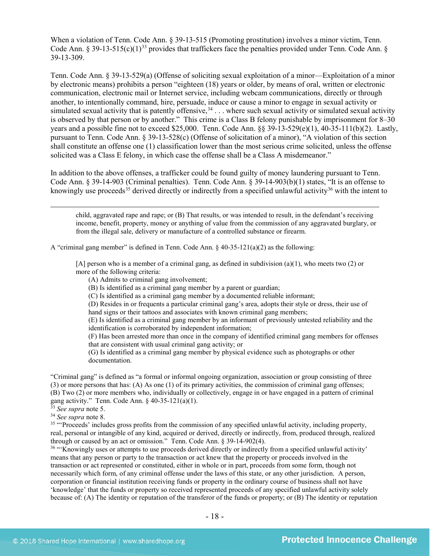When a violation of Tenn. Code Ann. § 39-13-515 (Promoting prostitution) involves a minor victim, Tenn. Code Ann. § 39-13-515(c)(1)<sup>[33](#page-17-0)</sup> provides that traffickers face the penalties provided under Tenn. Code Ann. § 39-13-309.

Tenn. Code Ann. § 39-13-529(a) (Offense of soliciting sexual exploitation of a minor—Exploitation of a minor by electronic means) prohibits a person "eighteen (18) years or older, by means of oral, written or electronic communication, electronic mail or Internet service, including webcam communications, directly or through another, to intentionally command, hire, persuade, induce or cause a minor to engage in sexual activity or simulated sexual activity that is patently offensive,  $34$ ... where such sexual activity or simulated sexual activity is observed by that person or by another." This crime is a Class B felony punishable by imprisonment for 8–30 years and a possible fine not to exceed \$25,000. Tenn. Code Ann. §§ 39-13-529(e)(1), 40-35-111(b)(2). Lastly, pursuant to Tenn. Code Ann. § 39-13-528(c) (Offense of solicitation of a minor), "A violation of this section shall constitute an offense one (1) classification lower than the most serious crime solicited, unless the offense solicited was a Class E felony, in which case the offense shall be a Class A misdemeanor."

In addition to the above offenses, a trafficker could be found guilty of money laundering pursuant to Tenn. Code Ann. § 39-14-903 (Criminal penalties). Tenn. Code Ann. § 39-14-903(b)(1) states, "It is an offense to knowingly use proceeds<sup>[35](#page-17-2)</sup> derived directly or indirectly from a specified unlawful activity<sup>[36](#page-17-3)</sup> with the intent to

<span id="page-17-5"></span><span id="page-17-4"></span> child, aggravated rape and rape; or (B) That results, or was intended to result, in the defendant's receiving income, benefit, property, money or anything of value from the commission of any aggravated burglary, or from the illegal sale, delivery or manufacture of a controlled substance or firearm.

A "criminal gang member" is defined in Tenn. Code Ann.  $\S$  40-35-121(a)(2) as the following:

[A] person who is a member of a criminal gang, as defined in subdivision (a)(1), who meets two (2) or more of the following criteria:

- (A) Admits to criminal gang involvement;
- (B) Is identified as a criminal gang member by a parent or guardian;
- (C) Is identified as a criminal gang member by a documented reliable informant;
- (D) Resides in or frequents a particular criminal gang's area, adopts their style or dress, their use of hand signs or their tattoos and associates with known criminal gang members;

(E) Is identified as a criminal gang member by an informant of previously untested reliability and the identification is corroborated by independent information;

(F) Has been arrested more than once in the company of identified criminal gang members for offenses that are consistent with usual criminal gang activity; or

(G) Is identified as a criminal gang member by physical evidence such as photographs or other documentation.

"Criminal gang" is defined as "a formal or informal ongoing organization, association or group consisting of three (3) or more persons that has: (A) As one (1) of its primary activities, the commission of criminal gang offenses; (B) Two (2) or more members who, individually or collectively, engage in or have engaged in a pattern of criminal gang activity." Tenn. Code Ann. § 40-35-121(a)(1).

<sup>33</sup> *See supra* note [5.](#page-2-2)

<span id="page-17-1"></span><span id="page-17-0"></span><sup>34</sup> *See supra* note [8.](#page-3-2)

<span id="page-17-2"></span><sup>35</sup> "Proceeds' includes gross profits from the commission of any specified unlawful activity, including property, real, personal or intangible of any kind, acquired or derived, directly or indirectly, from, produced through, realized through or caused by an act or omission." Tenn. Code Ann. § 39-14-902(4).

<span id="page-17-3"></span><sup>36</sup> "Knowingly uses or attempts to use proceeds derived directly or indirectly from a specified unlawful activity' means that any person or party to the transaction or act knew that the property or proceeds involved in the transaction or act represented or constituted, either in whole or in part, proceeds from some form, though not necessarily which form, of any criminal offense under the laws of this state, or any other jurisdiction. A person, corporation or financial institution receiving funds or property in the ordinary course of business shall not have 'knowledge' that the funds or property so received represented proceeds of any specified unlawful activity solely because of: (A) The identity or reputation of the transferor of the funds or property; or (B) The identity or reputation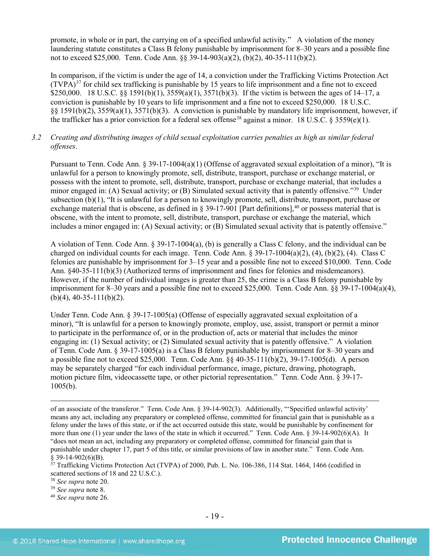promote, in whole or in part, the carrying on of a specified unlawful activity." A violation of the money laundering statute constitutes a Class B felony punishable by imprisonment for 8–30 years and a possible fine not to exceed \$25,000. Tenn. Code Ann. §§ 39-14-903(a)(2), (b)(2), 40-35-111(b)(2).

In comparison, if the victim is under the age of 14, a conviction under the Trafficking Victims Protection Act  $(TVPA)<sup>37</sup>$  $(TVPA)<sup>37</sup>$  $(TVPA)<sup>37</sup>$  for child sex trafficking is punishable by 15 years to life imprisonment and a fine not to exceed \$250,000. 18 U.S.C. §§ 1591(b)(1), 3559(a)(1), 3571(b)(3). If the victim is between the ages of 14–17, a conviction is punishable by 10 years to life imprisonment and a fine not to exceed \$250,000. 18 U.S.C. §§ 1591(b)(2), 3559(a)(1), 3571(b)(3). A conviction is punishable by mandatory life imprisonment, however, if the trafficker has a prior conviction for a federal sex offense<sup>[38](#page-18-1)</sup> against a minor. 18 U.S.C. § 3559(e)(1).

# *3.2 Creating and distributing images of child sexual exploitation carries penalties as high as similar federal offenses*.

Pursuant to Tenn. Code Ann. § 39-17-1004(a)(1) (Offense of aggravated sexual exploitation of a minor), "It is unlawful for a person to knowingly promote, sell, distribute, transport, purchase or exchange material, or possess with the intent to promote, sell, distribute, transport, purchase or exchange material, that includes a minor engaged in: (A) Sexual activity; or (B) Simulated sexual activity that is patently offensive."[39](#page-18-2) Under subsection (b)(1), "It is unlawful for a person to knowingly promote, sell, distribute, transport, purchase or exchange material that is obscene, as defined in  $\S 39-17-901$  [Part definitions],<sup>[40](#page-18-3)</sup> or possess material that is obscene, with the intent to promote, sell, distribute, transport, purchase or exchange the material, which includes a minor engaged in: (A) Sexual activity; or (B) Simulated sexual activity that is patently offensive."

A violation of Tenn. Code Ann. § 39-17-1004(a), (b) is generally a Class C felony, and the individual can be charged on individual counts for each image. Tenn. Code Ann. § 39-17-1004(a)(2), (4), (b)(2), (4). Class C felonies are punishable by imprisonment for 3–15 year and a possible fine not to exceed \$10,000. Tenn. Code Ann. §40-35-111(b)(3) (Authorized terms of imprisonment and fines for felonies and misdemeanors). However, if the number of individual images is greater than 25, the crime is a Class B felony punishable by imprisonment for 8–30 years and a possible fine not to exceed \$25,000. Tenn. Code Ann.  $\S$ § 39-17-1004(a)(4),  $(b)(4)$ , 40-35-111(b)(2).

Under Tenn. Code Ann. § 39-17-1005(a) (Offense of especially aggravated sexual exploitation of a minor), "It is unlawful for a person to knowingly promote, employ, use, assist, transport or permit a minor to participate in the performance of, or in the production of, acts or material that includes the minor engaging in: (1) Sexual activity; or (2) Simulated sexual activity that is patently offensive." A violation of Tenn. Code Ann. § 39-17-1005(a) is a Class B felony punishable by imprisonment for 8–30 years and a possible fine not to exceed \$25,000. Tenn. Code Ann. §§ 40-35-111(b)(2), 39-17-1005(d). A person may be separately charged "for each individual performance, image, picture, drawing, photograph, motion picture film, videocassette tape, or other pictorial representation." Tenn. Code Ann. § 39-17- 1005(b).

of an associate of the transferor." Tenn. Code Ann. § 39-14-902(3). Additionally, "'Specified unlawful activity' means any act, including any preparatory or completed offense, committed for financial gain that is punishable as a felony under the laws of this state, or if the act occurred outside this state, would be punishable by confinement for more than one (1) year under the laws of the state in which it occurred." Tenn. Code Ann. § 39-14-902(6)(A). It "does not mean an act, including any preparatory or completed offense, committed for financial gain that is punishable under chapter 17, part 5 of this title, or similar provisions of law in another state." Tenn. Code Ann. § 39-14-902(6)(B).

<span id="page-18-0"></span> $37$  Trafficking Victims Protection Act (TVPA) of 2000, Pub. L. No. 106-386, 114 Stat. 1464, 1466 (codified in scattered sections of 18 and 22 U.S.C.).

<span id="page-18-1"></span><sup>38</sup> *See supra* note [20.](#page-10-2) 39 *See supra* note [8.](#page-3-2)

<span id="page-18-2"></span>

<span id="page-18-3"></span><sup>40</sup> *See supra* note [26.](#page-14-2)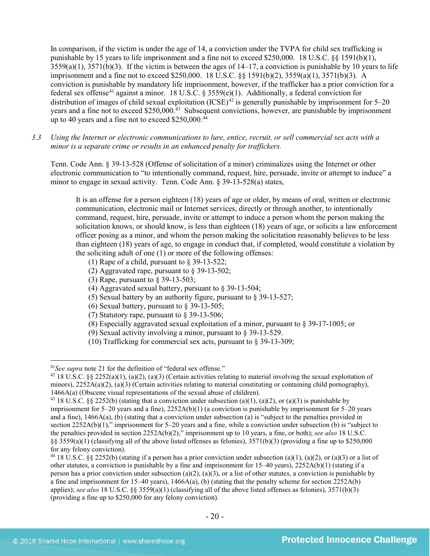In comparison, if the victim is under the age of 14, a conviction under the TVPA for child sex trafficking is punishable by 15 years to life imprisonment and a fine not to exceed \$250,000. 18 U.S.C. §§ 1591(b)(1),  $3559(a)(1)$ ,  $3571(b)(3)$ . If the victim is between the ages of  $14-17$ , a conviction is punishable by 10 years to life imprisonment and a fine not to exceed \$250,000. 18 U.S.C. §§ 1591(b)(2), 3559(a)(1), 3571(b)(3). A conviction is punishable by mandatory life imprisonment, however, if the trafficker has a prior conviction for a federal sex offense<sup>[41](#page-19-0)</sup> against a minor. 18 U.S.C. § 3559(e)(1). Additionally, a federal conviction for distribution of images of child sexual exploitation  $(ICSE)^{42}$  $(ICSE)^{42}$  $(ICSE)^{42}$  is generally punishable by imprisonment for 5–20 years and a fine not to exceed \$250,000.<sup>43</sup> Subsequent convictions, however, are punishable by imprisonment up to 40 years and a fine not to exceed \$250,000.<sup>[44](#page-19-3)</sup>

*3.3 Using the Internet or electronic communications to lure, entice, recruit, or sell commercial sex acts with a minor is a separate crime or results in an enhanced penalty for traffickers.*

Tenn. Code Ann. § 39-13-528 (Offense of solicitation of a minor) criminalizes using the Internet or other electronic communication to "to intentionally command, request, hire, persuade, invite or attempt to induce" a minor to engage in sexual activity. Tenn. Code Ann. § 39-13-528(a) states,

It is an offense for a person eighteen (18) years of age or older, by means of oral, written or electronic communication, electronic mail or Internet services, directly or through another, to intentionally command, request, hire, persuade, invite or attempt to induce a person whom the person making the solicitation knows, or should know, is less than eighteen (18) years of age, or solicits a law enforcement officer posing as a minor, and whom the person making the solicitation reasonably believes to be less than eighteen (18) years of age, to engage in conduct that, if completed, would constitute a violation by the soliciting adult of one (1) or more of the following offenses:

- (1) Rape of a child, pursuant to  $\S$  39-13-522;
- (2) Aggravated rape, pursuant to [§ 39-13-502;](https://a.next.westlaw.com/Link/Document/FullText?findType=L&pubNum=1000039&cite=TNSTS39-13-502&originatingDoc=N61AFE9D1CCE411DB8F04FB3E68C8F4C5&refType=LQ&originationContext=document&transitionType=DocumentItem&contextData=(sc.UserEnteredCitation))
- (3) Rape, pursuant t[o § 39-13-503;](https://a.next.westlaw.com/Link/Document/FullText?findType=L&pubNum=1000039&cite=TNSTS39-13-503&originatingDoc=N61AFE9D1CCE411DB8F04FB3E68C8F4C5&refType=LQ&originationContext=document&transitionType=DocumentItem&contextData=(sc.UserEnteredCitation))
- (4) Aggravated sexual battery, pursuant to [§ 39-13-504;](https://a.next.westlaw.com/Link/Document/FullText?findType=L&pubNum=1000039&cite=TNSTS39-13-504&originatingDoc=N61AFE9D1CCE411DB8F04FB3E68C8F4C5&refType=LQ&originationContext=document&transitionType=DocumentItem&contextData=(sc.UserEnteredCitation))
- (5) Sexual battery by an authority figure, pursuant t[o § 39-13-527;](https://a.next.westlaw.com/Link/Document/FullText?findType=L&pubNum=1000039&cite=TNSTS39-13-527&originatingDoc=N61AFE9D1CCE411DB8F04FB3E68C8F4C5&refType=LQ&originationContext=document&transitionType=DocumentItem&contextData=(sc.UserEnteredCitation))
- (6) Sexual battery, pursuant to  $\S$  39-13-505;
- (7) Statutory rape, pursuant to  $\S$  39-13-506;
- (8) Especially aggravated sexual exploitation of a minor, pursuant to [§ 39-17-1005;](https://a.next.westlaw.com/Link/Document/FullText?findType=L&pubNum=1000039&cite=TNSTS39-17-1005&originatingDoc=N61AFE9D1CCE411DB8F04FB3E68C8F4C5&refType=LQ&originationContext=document&transitionType=DocumentItem&contextData=(sc.UserEnteredCitation)) or
- (9) Sexual activity involving a minor, pursuant to [§ 39-13-529.](https://a.next.westlaw.com/Link/Document/FullText?findType=L&pubNum=1000039&cite=TNSTS39-13-529&originatingDoc=N61AFE9D1CCE411DB8F04FB3E68C8F4C5&refType=LQ&originationContext=document&transitionType=DocumentItem&contextData=(sc.UserEnteredCitation))
- (10) Trafficking for commercial sex acts, pursuant to § 39-13-309;

<span id="page-19-0"></span> <sup>41</sup>*See supra* note [21](#page-10-3) for the definition of "federal sex offense."

<span id="page-19-1"></span><sup>&</sup>lt;sup>42</sup> 18 U.S.C. §§ 2252(a)(1), (a)(2), (a)(3) (Certain activities relating to material involving the sexual exploitation of minors),  $2252A(a)(2)$ ,  $(a)(3)$  (Certain activities relating to material constituting or containing child pornography), 1466A(a) (Obscene visual representations of the sexual abuse of children).

<span id="page-19-2"></span><sup>&</sup>lt;sup>43</sup> 18 U.S.C. §§ 2252(b) (stating that a conviction under subsection (a)(1), (a)(2), or (a)(3) is punishable by imprisonment for 5–20 years and a fine), 2252A(b)(1) (a conviction is punishable by imprisonment for 5–20 years and a fine), 1466A(a), (b) (stating that a conviction under subsection (a) is "subject to the penalties provided in section 2252A(b)(1)," imprisonment for 5–20 years and a fine, while a conviction under subsection (b) is "subject to the penalties provided in section 2252A(b)(2)," imprisonment up to 10 years, a fine, or both); *see also* 18 U.S.C.  $\S$ §§ 3559(a)(1) (classifying all of the above listed offenses as felonies), 3571(b)(3) (providing a fine up to \$250,000 for any felony conviction).

<span id="page-19-3"></span><sup>&</sup>lt;sup>44</sup> 18 U.S.C. §§ 2252(b) (stating if a person has a prior conviction under subsection (a)(1), (a)(2), or (a)(3) or a list of other statutes, a conviction is punishable by a fine and imprisonment for  $15-40$  years),  $2252A(b)(1)$  (stating if a person has a prior conviction under subsection (a)(2), (a)(3), or a list of other statutes, a conviction is punishable by a fine and imprisonment for 15–40 years),  $1466A(a)$ , (b) (stating that the penalty scheme for section 2252A(b) applies); *see also* 18 U.S.C. §§ 3559(a)(1) (classifying all of the above listed offenses as felonies), 3571(b)(3) (providing a fine up to \$250,000 for any felony conviction).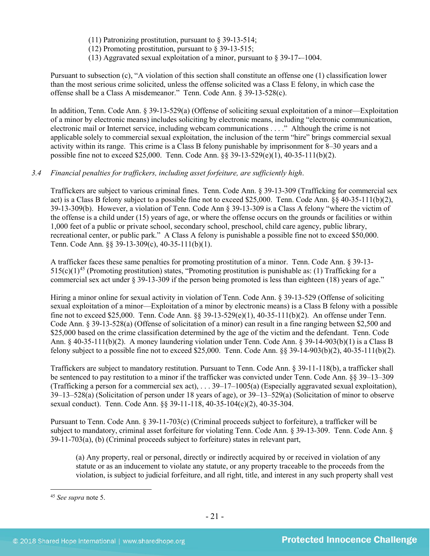(11) Patronizing prostitution, pursuant to  $\S$  39-13-514;

(12) Promoting prostitution, pursuant to  $\S$  39-13-515;

(13) Aggravated sexual exploitation of a minor, pursuant to § 39-17-–1004.

Pursuant to subsection (c), "A violation of this section shall constitute an offense one (1) classification lower than the most serious crime solicited, unless the offense solicited was a Class E felony, in which case the offense shall be a Class A misdemeanor." Tenn. Code Ann. § 39-13-528(c).

In addition, Tenn. Code Ann. § 39-13-529(a) (Offense of soliciting sexual exploitation of a minor—Exploitation of a minor by electronic means) includes soliciting by electronic means, including "electronic communication, electronic mail or Internet service, including webcam communications . . . ." Although the crime is not applicable solely to commercial sexual exploitation, the inclusion of the term "hire" brings commercial sexual activity within its range. This crime is a Class B felony punishable by imprisonment for 8–30 years and a possible fine not to exceed \$25,000. Tenn. Code Ann. §§ 39-13-529(e)(1), 40-35-111(b)(2).

# *3.4 Financial penalties for traffickers, including asset forfeiture, are sufficiently high*.

Traffickers are subject to various criminal fines. Tenn. Code Ann. § 39-13-309 (Trafficking for commercial sex act) is a Class B felony subject to a possible fine not to exceed \$25,000. Tenn. Code Ann. §§ 40-35-111(b)(2), 39-13-309(b). However, a violation of Tenn. Code Ann § 39-13-309 is a Class A felony "where the victim of the offense is a child under (15) years of age, or where the offense occurs on the grounds or facilities or within 1,000 feet of a public or private school, secondary school, preschool, child care agency, public library, recreational center, or public park." A Class A felony is punishable a possible fine not to exceed \$50,000. Tenn. Code Ann. §§ 39-13-309(c), 40-35-111(b)(1).

A trafficker faces these same penalties for promoting prostitution of a minor. Tenn. Code Ann. § 39-13-  $515(c)(1)^{45}$  $515(c)(1)^{45}$  $515(c)(1)^{45}$  (Promoting prostitution) states, "Promoting prostitution is punishable as: (1) Trafficking for a commercial sex act under § 39-13-309 if the person being promoted is less than eighteen (18) years of age."

Hiring a minor online for sexual activity in violation of Tenn. Code Ann. § 39-13-529 (Offense of soliciting sexual exploitation of a minor—Exploitation of a minor by electronic means) is a Class B felony with a possible fine not to exceed \$25,000. Tenn. Code Ann. §§ 39-13-529(e)(1), 40-35-111(b)(2). An offense under Tenn. Code Ann. § 39-13-528(a) (Offense of solicitation of a minor) can result in a fine ranging between \$2,500 and \$25,000 based on the crime classification determined by the age of the victim and the defendant. Tenn. Code Ann. § 40-35-111(b)(2). A money laundering violation under Tenn. Code Ann. § 39-14-903(b)(1) is a Class B felony subject to a possible fine not to exceed \$25,000. Tenn. Code Ann. §§ 39-14-903(b)(2), 40-35-111(b)(2).

Traffickers are subject to mandatory restitution. Pursuant to Tenn. Code Ann. § 39-11-118(b), a trafficker shall be sentenced to pay restitution to a minor if the trafficker was convicted under Tenn. Code Ann. §§ 39–13–309 (Trafficking a person for a commercial sex act), . . . 39–17–1005(a) (Especially aggravated sexual exploitation), 39–13–528(a) (Solicitation of person under 18 years of age), or 39–13–529(a) (Solicitation of minor to observe sexual conduct). Tenn. Code Ann. §§ 39-11-118, 40-35-104(c)(2), 40-35-304.

Pursuant to Tenn. Code Ann. § 39-11-703(c) (Criminal proceeds subject to forfeiture), a trafficker will be subject to mandatory, criminal asset forfeiture for violating Tenn. Code Ann. § 39-13-309. Tenn. Code Ann. § 39-11-703(a), (b) (Criminal proceeds subject to forfeiture) states in relevant part,

(a) Any property, real or personal, directly or indirectly acquired by or received in violation of any statute or as an inducement to violate any statute, or any property traceable to the proceeds from the violation, is subject to judicial forfeiture, and all right, title, and interest in any such property shall vest

<span id="page-20-0"></span> <sup>45</sup> *See supra* note [5.](#page-2-2)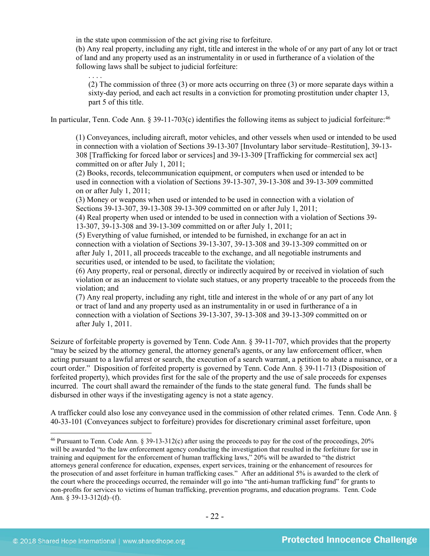in the state upon commission of the act giving rise to forfeiture.

(b) Any real property, including any right, title and interest in the whole of or any part of any lot or tract of land and any property used as an instrumentality in or used in furtherance of a violation of the following laws shall be subject to judicial forfeiture:

. . . . (2) The commission of three (3) or more acts occurring on three (3) or more separate days within a sixty-day period, and each act results in a conviction for promoting prostitution under chapter 13, part 5 of this title.

In particular, Tenn. Code Ann.  $\S 39-11-703(c)$  identifies the following items as subject to judicial forfeiture:<sup>[46](#page-21-0)</sup>

(1) Conveyances, including aircraft, motor vehicles, and other vessels when used or intended to be used in connection with a violation of Sections 39-13-307 [Involuntary labor servitude–Restitution], 39-13- 308 [Trafficking for forced labor or services] and 39-13-309 [Trafficking for commercial sex act] committed on or after July 1, 2011;

(2) Books, records, telecommunication equipment, or computers when used or intended to be used in connection with a violation of Sections 39-13-307, 39-13-308 and 39-13-309 committed on or after July 1, 2011;

(3) Money or weapons when used or intended to be used in connection with a violation of Sections 39-13-307, 39-13-308 39-13-309 committed on or after July 1, 2011;

(4) Real property when used or intended to be used in connection with a violation of Sections 39- 13-307, 39-13-308 and 39-13-309 committed on or after July 1, 2011;

(5) Everything of value furnished, or intended to be furnished, in exchange for an act in connection with a violation of Sections 39-13-307, 39-13-308 and 39-13-309 committed on or after July 1, 2011, all proceeds traceable to the exchange, and all negotiable instruments and securities used, or intended to be used, to facilitate the violation;

(6) Any property, real or personal, directly or indirectly acquired by or received in violation of such violation or as an inducement to violate such statues, or any property traceable to the proceeds from the violation; and

(7) Any real property, including any right, title and interest in the whole of or any part of any lot or tract of land and any property used as an instrumentality in or used in furtherance of a in connection with a violation of Sections 39-13-307, 39-13-308 and 39-13-309 committed on or after July 1, 2011.

Seizure of forfeitable property is governed by Tenn. Code Ann. § 39-11-707, which provides that the property "may be seized by the attorney general, the attorney general's agents, or any law enforcement officer, when acting pursuant to a lawful arrest or search, the execution of a search warrant, a petition to abate a nuisance, or a court order." Disposition of forfeited property is governed by Tenn. Code Ann. § 39-11-713 (Disposition of forfeited property), which provides first for the sale of the property and the use of sale proceeds for expenses incurred. The court shall award the remainder of the funds to the state general fund. The funds shall be disbursed in other ways if the investigating agency is not a state agency.

A trafficker could also lose any conveyance used in the commission of other related crimes. Tenn. Code Ann. § 40-33-101 (Conveyances subject to forfeiture) provides for discretionary criminal asset forfeiture, upon

<span id="page-21-0"></span> <sup>46</sup> Pursuant to Tenn. Code Ann. § 39-13-312(c) after using the proceeds to pay for the cost of the proceedings, 20% will be awarded "to the law enforcement agency conducting the investigation that resulted in the forfeiture for use in training and equipment for the enforcement of human trafficking laws," 20% will be awarded to "the district attorneys general conference for education, expenses, expert services, training or the enhancement of resources for the prosecution of and asset forfeiture in human trafficking cases." After an additional 5% is awarded to the clerk of the court where the proceedings occurred, the remainder will go into "the anti-human trafficking fund" for grants to non-profits for services to victims of human trafficking, prevention programs, and education programs. Tenn. Code Ann. § 39-13-312(d)–(f).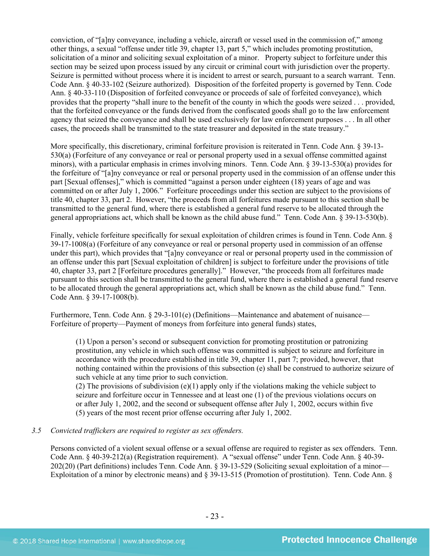conviction, of "[a]ny conveyance, including a vehicle, aircraft or vessel used in the commission of," among other things, a sexual "offense under title 39, chapter 13, part 5," which includes promoting prostitution, solicitation of a minor and soliciting sexual exploitation of a minor. Property subject to forfeiture under this section may be seized upon process issued by any circuit or criminal court with jurisdiction over the property. Seizure is permitted without process where it is incident to arrest or search, pursuant to a search warrant. Tenn. Code Ann. § 40-33-102 (Seizure authorized). Disposition of the forfeited property is governed by Tenn. Code Ann. § 40-33-110 (Disposition of forfeited conveyance or proceeds of sale of forfeited conveyance), which provides that the property "shall inure to the benefit of the county in which the goods were seized . . . provided, that the forfeited conveyance or the funds derived from the confiscated goods shall go to the law enforcement agency that seized the conveyance and shall be used exclusively for law enforcement purposes . . . In all other cases, the proceeds shall be transmitted to the state treasurer and deposited in the state treasury."

More specifically, this discretionary, criminal forfeiture provision is reiterated in Tenn. Code Ann. § 39-13- 530(a) (Forfeiture of any conveyance or real or personal property used in a sexual offense committed against minors), with a particular emphasis in crimes involving minors. Tenn. Code Ann. § 39-13-530(a) provides for the forfeiture of "[a]ny conveyance or real or personal property used in the commission of an offense under this part [Sexual offenses]," which is committed "against a person under eighteen (18) years of age and was committed on or after July 1, 2006." Forfeiture proceedings under this section are subject to the provisions of title 40, chapter 33, part 2. However, "the proceeds from all forfeitures made pursuant to this section shall be transmitted to the general fund, where there is established a general fund reserve to be allocated through the general appropriations act, which shall be known as the child abuse fund." Tenn. Code Ann. § 39-13-530(b).

Finally, vehicle forfeiture specifically for sexual exploitation of children crimes is found in Tenn. Code Ann. § 39-17-1008(a) (Forfeiture of any conveyance or real or personal property used in commission of an offense under this part), which provides that "[a]ny conveyance or real or personal property used in the commission of an offense under this part [Sexual exploitation of children] is subject to forfeiture under the provisions of title 40, chapter 33, part 2 [Forfeiture procedures generally]." However, "the proceeds from all forfeitures made pursuant to this section shall be transmitted to the general fund, where there is established a general fund reserve to be allocated through the general appropriations act, which shall be known as the child abuse fund." Tenn. Code Ann. § 39-17-1008(b).

Furthermore, Tenn. Code Ann. § 29-3-101(e) (Definitions—Maintenance and abatement of nuisance— Forfeiture of property—Payment of moneys from forfeiture into general funds) states,

(1) Upon a person's second or subsequent conviction for promoting prostitution or patronizing prostitution, any vehicle in which such offense was committed is subject to seizure and forfeiture in accordance with the procedure established in title 39, chapter 11, part 7; provided, however, that nothing contained within the provisions of this subsection (e) shall be construed to authorize seizure of such vehicle at any time prior to such conviction.

(2) The provisions of subdivision (e)(1) apply only if the violations making the vehicle subject to seizure and forfeiture occur in Tennessee and at least one (1) of the previous violations occurs on or after July 1, 2002, and the second or subsequent offense after July 1, 2002, occurs within five (5) years of the most recent prior offense occurring after July 1, 2002.

#### *3.5 Convicted traffickers are required to register as sex offenders.*

Persons convicted of a violent sexual offense or a sexual offense are required to register as sex offenders. Tenn. Code Ann. § 40-39-212(a) (Registration requirement). A "sexual offense" under Tenn. Code Ann. § 40-39- 202(20) (Part definitions) includes Tenn. Code Ann. § 39-13-529 (Soliciting sexual exploitation of a minor— Exploitation of a minor by electronic means) and § 39-13-515 (Promotion of prostitution). Tenn. Code Ann. §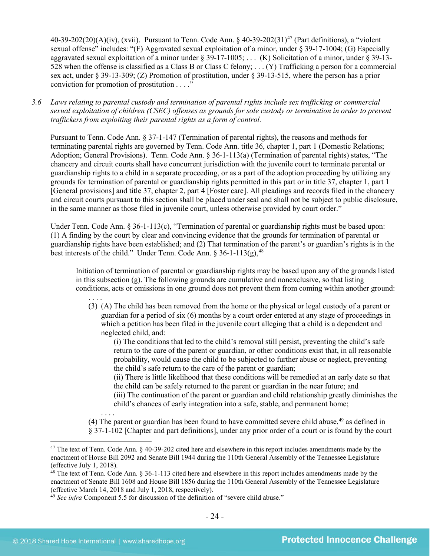$40-39-202(20)(A)(iv)$ , (xvii). Pursuant to Tenn. Code Ann. §  $40-39-202(31)^{47}$  (Part definitions), a "violent sexual offense" includes: "(F) Aggravated sexual exploitation of a minor, under § 39-17-1004; (G) Especially aggravated sexual exploitation of a minor under § 39-17-1005; . . . (K) Solicitation of a minor, under § 39-13- 528 when the offense is classified as a Class B or Class C felony; . . . (Y) Trafficking a person for a commercial sex act, under § 39-13-309; (Z) Promotion of prostitution, under § 39-13-515, where the person has a prior conviction for promotion of prostitution . . . ."

*3.6 Laws relating to parental custody and termination of parental rights include sex trafficking or commercial sexual exploitation of children (CSEC) offenses as grounds for sole custody or termination in order to prevent traffickers from exploiting their parental rights as a form of control.* 

Pursuant to Tenn. Code Ann. § 37-1-147 (Termination of parental rights), the reasons and methods for terminating parental rights are governed by Tenn. Code Ann. title 36, chapter 1, part 1 (Domestic Relations; Adoption; General Provisions). Tenn. Code Ann. § 36-1-113(a) (Termination of parental rights) states, "The chancery and circuit courts shall have concurrent jurisdiction with the juvenile court to terminate parental or guardianship rights to a child in a separate proceeding, or as a part of the adoption proceeding by utilizing any grounds for termination of parental or guardianship rights permitted in this part or in title 37, chapter 1, part 1 [General provisions] and title 37, chapter 2, part 4 [Foster care]. All pleadings and records filed in the chancery and circuit courts pursuant to this section shall be placed under seal and shall not be subject to public disclosure, in the same manner as those filed in juvenile court, unless otherwise provided by court order."

Under Tenn. Code Ann. § 36-1-113(c), "Termination of parental or guardianship rights must be based upon: (1) A finding by the court by clear and convincing evidence that the grounds for termination of parental or guardianship rights have been established; and (2) That termination of the parent's or guardian's rights is in the best interests of the child." Under Tenn. Code Ann. § 36-1-113(g),<sup>[48](#page-23-1)</sup>

Initiation of termination of parental or guardianship rights may be based upon any of the grounds listed in this subsection (g). The following grounds are cumulative and nonexclusive, so that listing conditions, acts or omissions in one ground does not prevent them from coming within another ground:

. . . . (3) (A) The child has been removed from the home or the physical or legal custody of a parent or guardian for a period of six (6) months by a court order entered at any stage of proceedings in which a petition has been filed in the juvenile court alleging that a child is a dependent and neglected child, and:

(i) The conditions that led to the child's removal still persist, preventing the child's safe return to the care of the parent or guardian, or other conditions exist that, in all reasonable probability, would cause the child to be subjected to further abuse or neglect, preventing the child's safe return to the care of the parent or guardian;

(ii) There is little likelihood that these conditions will be remedied at an early date so that the child can be safely returned to the parent or guardian in the near future; and

(iii) The continuation of the parent or guardian and child relationship greatly diminishes the child's chances of early integration into a safe, stable, and permanent home;

. . . . (4) The parent or guardian has been found to have committed severe child abuse, [49](#page-23-2) as defined in § 37-1-102 [Chapter and part definitions], under any prior order of a court or is found by the court

<span id="page-23-0"></span><sup>&</sup>lt;sup>47</sup> The text of Tenn. Code Ann. § 40-39-202 cited here and elsewhere in this report includes amendments made by the enactment of House Bill 2092 and Senate Bill 1944 during the 110th General Assembly of the Tennessee Legislature (effective July 1, 2018).

<span id="page-23-1"></span><sup>&</sup>lt;sup>48</sup> The text of Tenn. Code Ann. § 36-1-113 cited here and elsewhere in this report includes amendments made by the enactment of Senate Bill 1608 and House Bill 1856 during the 110th General Assembly of the Tennessee Legislature (effective March 14, 2018 and July 1, 2018, respectively).

<span id="page-23-2"></span><sup>&</sup>lt;sup>49</sup> See infra Component 5.5 for discussion of the definition of "severe child abuse."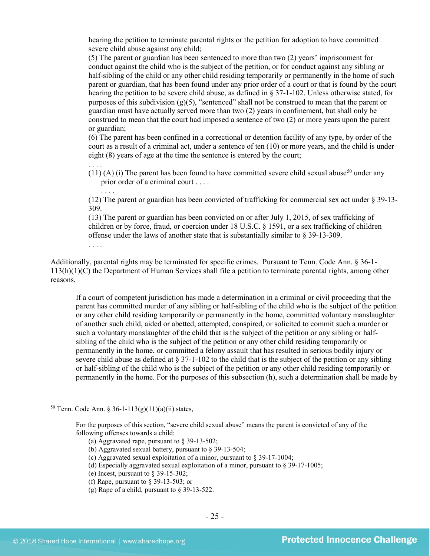hearing the petition to terminate parental rights or the petition for adoption to have committed severe child abuse against any child;

(5) The parent or guardian has been sentenced to more than two (2) years' imprisonment for conduct against the child who is the subject of the petition, or for conduct against any sibling or half-sibling of the child or any other child residing temporarily or permanently in the home of such parent or guardian, that has been found under any prior order of a court or that is found by the court hearing the petition to be severe child abuse, as defined in § 37-1-102. Unless otherwise stated, for purposes of this subdivision (g)(5), "sentenced" shall not be construed to mean that the parent or guardian must have actually served more than two (2) years in confinement, but shall only be construed to mean that the court had imposed a sentence of two (2) or more years upon the parent or guardian;

(6) The parent has been confined in a correctional or detention facility of any type, by order of the court as a result of a criminal act, under a sentence of ten (10) or more years, and the child is under eight (8) years of age at the time the sentence is entered by the court;

 $(11)$  (A) (i) The parent has been found to have committed severe child sexual abuse<sup>[50](#page-24-0)</sup> under any prior order of a criminal court . . . .

(12) The parent or guardian has been convicted of trafficking for commercial sex act under § 39-13- 309.

(13) The parent or guardian has been convicted on or after July 1, 2015, of sex trafficking of children or by force, fraud, or coercion under 18 U.S.C. § 1591, or a sex trafficking of children offense under the laws of another state that is substantially similar to § 39-13-309. . . . .

Additionally, parental rights may be terminated for specific crimes. Pursuant to Tenn. Code Ann. § 36-1- 113(h)(1)(C) the Department of Human Services shall file a petition to terminate parental rights, among other reasons,

If a court of competent jurisdiction has made a determination in a criminal or civil proceeding that the parent has committed murder of any sibling or half-sibling of the child who is the subject of the petition or any other child residing temporarily or permanently in the home, committed voluntary manslaughter of another such child, aided or abetted, attempted, conspired, or solicited to commit such a murder or such a voluntary manslaughter of the child that is the subject of the petition or any sibling or halfsibling of the child who is the subject of the petition or any other child residing temporarily or permanently in the home, or committed a felony assault that has resulted in serious bodily injury or severe child abuse as defined at § 37-1-102 to the child that is the subject of the petition or any sibling or half-sibling of the child who is the subject of the petition or any other child residing temporarily or permanently in the home. For the purposes of this subsection (h), such a determination shall be made by

. . . .

. . . .

<span id="page-24-0"></span><sup>&</sup>lt;sup>50</sup> Tenn. Code Ann. § 36-1-113(g)(11)(a)(ii) states,

For the purposes of this section, "severe child sexual abuse" means the parent is convicted of any of the following offenses towards a child:

<sup>(</sup>a) Aggravated rape, pursuant to § 39-13-502;

<sup>(</sup>b) Aggravated sexual battery, pursuant to § 39-13-504;

<sup>(</sup>c) Aggravated sexual exploitation of a minor, pursuant to § 39-17-1004;

<sup>(</sup>d) Especially aggravated sexual exploitation of a minor, pursuant to  $\S$  39-17-1005;

<sup>(</sup>e) Incest, pursuant to  $\S$  39-15-302;

<sup>(</sup>f) Rape, pursuant to  $\S$  39-13-503; or

<sup>(</sup>g) Rape of a child, pursuant to § 39-13-522.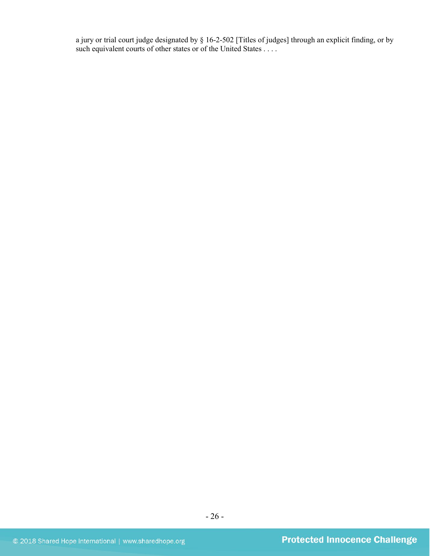a jury or trial court judge designated by § 16-2-502 [Titles of judges] through an explicit finding, or by such equivalent courts of other states or of the United States . . . .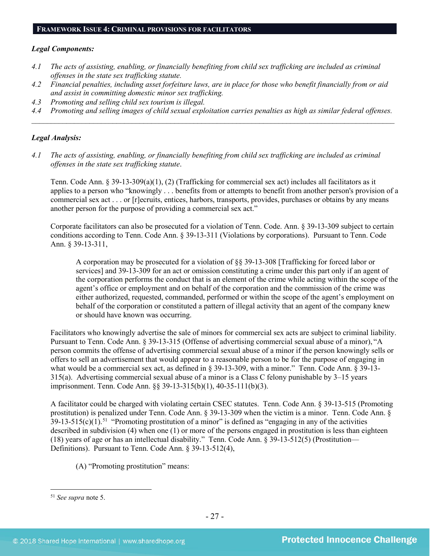# **FRAMEWORK ISSUE 4: CRIMINAL PROVISIONS FOR FACILITATORS**

#### *Legal Components:*

- *4.1 The acts of assisting, enabling, or financially benefiting from child sex trafficking are included as criminal offenses in the state sex trafficking statute.*
- *4.2 Financial penalties, including asset forfeiture laws, are in place for those who benefit financially from or aid and assist in committing domestic minor sex trafficking.*
- *4.3 Promoting and selling child sex tourism is illegal.*
- *4.4 Promoting and selling images of child sexual exploitation carries penalties as high as similar federal offenses. \_\_\_\_\_\_\_\_\_\_\_\_\_\_\_\_\_\_\_\_\_\_\_\_\_\_\_\_\_\_\_\_\_\_\_\_\_\_\_\_\_\_\_\_\_\_\_\_\_\_\_\_\_\_\_\_\_\_\_\_\_\_\_\_\_\_\_\_\_\_\_\_\_\_\_\_\_\_\_\_\_\_\_\_\_\_\_\_\_\_\_\_\_\_*

## *Legal Analysis:*

*4.1 The acts of assisting, enabling, or financially benefiting from child sex trafficking are included as criminal offenses in the state sex trafficking statute*.

Tenn. Code Ann. § 39-13-309(a)(1), (2) (Trafficking for commercial sex act) includes all facilitators as it applies to a person who "knowingly . . . benefits from or attempts to benefit from another person's provision of a commercial sex act . . . or [r]ecruits, entices, harbors, transports, provides, purchases or obtains by any means another person for the purpose of providing a commercial sex act."

Corporate facilitators can also be prosecuted for a violation of Tenn. Code. Ann. § 39-13-309 subject to certain conditions according to Tenn. Code Ann. § 39-13-311 (Violations by corporations). Pursuant to Tenn. Code Ann. § 39-13-311,

A corporation may be prosecuted for a violation of §§ 39-13-308 [Trafficking for forced labor or services] and 39-13-309 for an act or omission constituting a crime under this part only if an agent of the corporation performs the conduct that is an element of the crime while acting within the scope of the agent's office or employment and on behalf of the corporation and the commission of the crime was either authorized, requested, commanded, performed or within the scope of the agent's employment on behalf of the corporation or constituted a pattern of illegal activity that an agent of the company knew or should have known was occurring.

Facilitators who knowingly advertise the sale of minors for commercial sex acts are subject to criminal liability. Pursuant to Tenn. Code Ann. § 39-13-315 (Offense of advertising commercial sexual abuse of a minor), "A person commits the offense of advertising commercial sexual abuse of a minor if the person knowingly sells or offers to sell an advertisement that would appear to a reasonable person to be for the purpose of engaging in what would be a commercial sex act, as defined in § 39-13-309, with a minor." Tenn. Code Ann. § 39-13-315(a). Advertising commercial sexual abuse of a minor is a Class C felony punishable by 3–15 years imprisonment. Tenn. Code Ann. §§ 39-13-315(b)(1), 40-35-111(b)(3).

A facilitator could be charged with violating certain CSEC statutes. Tenn. Code Ann. § 39-13-515 (Promoting prostitution) is penalized under Tenn. Code Ann. § 39-13-309 when the victim is a minor. Tenn. Code Ann. §  $39-13-515(c)(1)$  $39-13-515(c)(1)$  $39-13-515(c)(1)$ .<sup>51</sup> "Promoting prostitution of a minor" is defined as "engaging in any of the activities described in subdivision (4) when one (1) or more of the persons engaged in prostitution is less than eighteen (18) years of age or has an intellectual disability." Tenn. Code Ann. § 39-13-512(5) (Prostitution— Definitions). Pursuant to Tenn. Code Ann. § 39-13-512(4),

(A) "Promoting prostitution" means:

<span id="page-26-0"></span> <sup>51</sup> *See supra* note [5.](#page-2-2)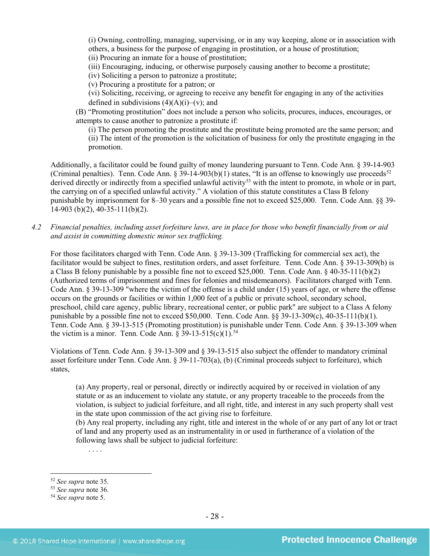(i) Owning, controlling, managing, supervising, or in any way keeping, alone or in association with others, a business for the purpose of engaging in prostitution, or a house of prostitution; (ii) Procuring an inmate for a house of prostitution;

(iii) Encouraging, inducing, or otherwise purposely causing another to become a prostitute;

(iv) Soliciting a person to patronize a prostitute;

(v) Procuring a prostitute for a patron; or

(vi) Soliciting, receiving, or agreeing to receive any benefit for engaging in any of the activities defined in subdivisions  $(4)(A)(i)$ –(v); and

(B) "Promoting prostitution" does not include a person who solicits, procures, induces, encourages, or attempts to cause another to patronize a prostitute if:

(i) The person promoting the prostitute and the prostitute being promoted are the same person; and (ii) The intent of the promotion is the solicitation of business for only the prostitute engaging in the promotion.

Additionally, a facilitator could be found guilty of money laundering pursuant to Tenn. Code Ann. § 39-14-903 (Criminal penalties). Tenn. Code Ann. § 39-14-903(b)(1) states, "It is an offense to knowingly use proceeds<sup>52</sup> derived directly or indirectly from a specified unlawful activity<sup>53</sup> with the intent to promote, in whole or in part, the carrying on of a specified unlawful activity." A violation of this statute constitutes a Class B felony punishable by imprisonment for 8–30 years and a possible fine not to exceed \$25,000. Tenn. Code Ann. §§ 39-  $14-903$  (b)(2), 40-35-111(b)(2).

*4.2 Financial penalties, including asset forfeiture laws, are in place for those who benefit financially from or aid and assist in committing domestic minor sex trafficking.*

For those facilitators charged with Tenn. Code Ann. § 39-13-309 (Trafficking for commercial sex act), the facilitator would be subject to fines, restitution orders, and asset forfeiture. Tenn. Code Ann. § 39-13-309(b) is a Class B felony punishable by a possible fine not to exceed \$25,000. Tenn. Code Ann. § 40-35-111(b)(2) (Authorized terms of imprisonment and fines for felonies and misdemeanors). Facilitators charged with Tenn. Code Ann. § 39-13-309 "where the victim of the offense is a child under (15) years of age, or where the offense occurs on the grounds or facilities or within 1,000 feet of a public or private school, secondary school, preschool, child care agency, public library, recreational center, or public park" are subject to a Class A felony punishable by a possible fine not to exceed \$50,000. Tenn. Code Ann.  $\S$ § 39-13-309(c), 40-35-111(b)(1). Tenn. Code Ann. § 39-13-515 (Promoting prostitution) is punishable under Tenn. Code Ann. § 39-13-309 when the victim is a minor. Tenn. Code Ann.  $\S 39-13-515(c)(1).^{54}$  $\S 39-13-515(c)(1).^{54}$  $\S 39-13-515(c)(1).^{54}$ 

Violations of Tenn. Code Ann. § 39-13-309 and § 39-13-515 also subject the offender to mandatory criminal asset forfeiture under Tenn. Code Ann. § 39-11-703(a), (b) (Criminal proceeds subject to forfeiture), which states,

(a) Any property, real or personal, directly or indirectly acquired by or received in violation of any statute or as an inducement to violate any statute, or any property traceable to the proceeds from the violation, is subject to judicial forfeiture, and all right, title, and interest in any such property shall vest in the state upon commission of the act giving rise to forfeiture.

(b) Any real property, including any right, title and interest in the whole of or any part of any lot or tract of land and any property used as an instrumentality in or used in furtherance of a violation of the following laws shall be subject to judicial forfeiture:

. . . .

<span id="page-27-0"></span> <sup>52</sup> *See supra* note [35.](#page-17-4)

<span id="page-27-1"></span><sup>53</sup> *See supra* note [36.](#page-17-5)

<span id="page-27-2"></span><sup>54</sup> *See supra* note [5.](#page-2-2)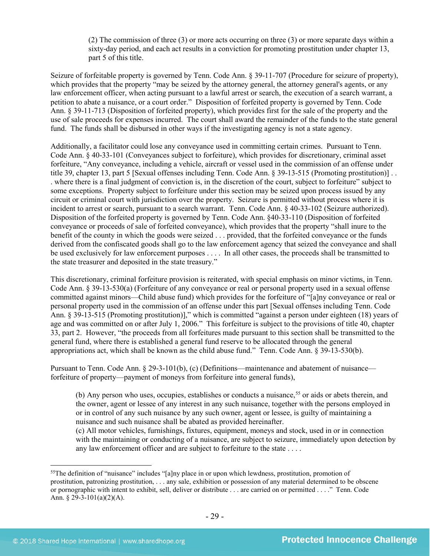(2) The commission of three (3) or more acts occurring on three (3) or more separate days within a sixty-day period, and each act results in a conviction for promoting prostitution under chapter 13, part 5 of this title.

Seizure of forfeitable property is governed by Tenn. Code Ann. § 39-11-707 (Procedure for seizure of property), which provides that the property "may be seized by the attorney general, the attorney general's agents, or any law enforcement officer, when acting pursuant to a lawful arrest or search, the execution of a search warrant, a petition to abate a nuisance, or a court order." Disposition of forfeited property is governed by Tenn. Code Ann. § 39-11-713 (Disposition of forfeited property), which provides first for the sale of the property and the use of sale proceeds for expenses incurred. The court shall award the remainder of the funds to the state general fund. The funds shall be disbursed in other ways if the investigating agency is not a state agency.

Additionally, a facilitator could lose any conveyance used in committing certain crimes. Pursuant to Tenn. Code Ann. § 40-33-101 (Conveyances subject to forfeiture), which provides for discretionary, criminal asset forfeiture, "Any conveyance, including a vehicle, aircraft or vessel used in the commission of an offense under title 39, chapter 13, part 5 [Sexual offenses including Tenn. Code Ann. § 39-13-515 (Promoting prostitution)] . . . where there is a final judgment of conviction is, in the discretion of the court, subject to forfeiture" subject to some exceptions. Property subject to forfeiture under this section may be seized upon process issued by any circuit or criminal court with jurisdiction over the property. Seizure is permitted without process where it is incident to arrest or search, pursuant to a search warrant. Tenn. Code Ann. § 40-33-102 (Seizure authorized). Disposition of the forfeited property is governed by Tenn. Code Ann. §40-33-110 (Disposition of forfeited conveyance or proceeds of sale of forfeited conveyance), which provides that the property "shall inure to the benefit of the county in which the goods were seized . . . provided, that the forfeited conveyance or the funds derived from the confiscated goods shall go to the law enforcement agency that seized the conveyance and shall be used exclusively for law enforcement purposes . . . . In all other cases, the proceeds shall be transmitted to the state treasurer and deposited in the state treasury."

This discretionary, criminal forfeiture provision is reiterated, with special emphasis on minor victims, in Tenn. Code Ann. § 39-13-530(a) (Forfeiture of any conveyance or real or personal property used in a sexual offense committed against minors—Child abuse fund) which provides for the forfeiture of "[a]ny conveyance or real or personal property used in the commission of an offense under this part [Sexual offenses including Tenn. Code Ann. § 39-13-515 (Promoting prostitution)]," which is committed "against a person under eighteen (18) years of age and was committed on or after July 1, 2006." This forfeiture is subject to the provisions of title 40, chapter 33, part 2. However, "the proceeds from all forfeitures made pursuant to this section shall be transmitted to the general fund, where there is established a general fund reserve to be allocated through the general appropriations act, which shall be known as the child abuse fund." Tenn. Code Ann. § 39-13-530(b).

Pursuant to Tenn. Code Ann. § 29-3-101(b), (c) (Definitions—maintenance and abatement of nuisance forfeiture of property—payment of moneys from forfeiture into general funds),

(b) Any person who uses, occupies, establishes or conducts a nuisance,<sup>[55](#page-28-0)</sup> or aids or abets therein, and the owner, agent or lessee of any interest in any such nuisance, together with the persons employed in or in control of any such nuisance by any such owner, agent or lessee, is guilty of maintaining a nuisance and such nuisance shall be abated as provided hereinafter.

(c) All motor vehicles, furnishings, fixtures, equipment, moneys and stock, used in or in connection with the maintaining or conducting of a nuisance, are subject to seizure, immediately upon detection by any law enforcement officer and are subject to forfeiture to the state . . . .

<span id="page-28-0"></span><sup>&</sup>lt;sup>55</sup>The definition of "nuisance" includes "[a]ny place in or upon which lewdness, prostitution, promotion of prostitution, patronizing prostitution, . . . any sale, exhibition or possession of any material determined to be obscene or pornographic with intent to exhibit, sell, deliver or distribute . . . are carried on or permitted . . . ." Tenn. Code Ann.  $§$  29-3-101(a)(2)(A).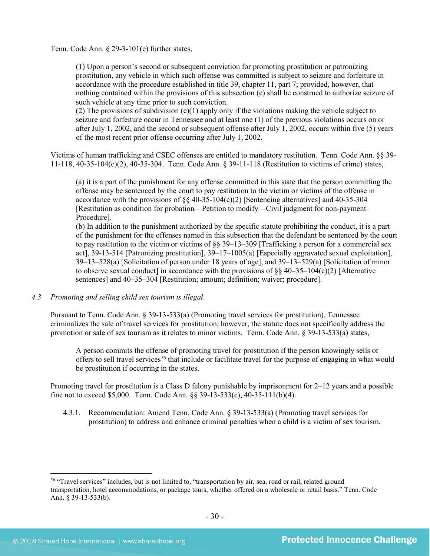Tenn. Code Ann. § 29-3-101(e) further states,

(1) Upon a person's second or subsequent conviction for promoting prostitution or patronizing prostitution, any vehicle in which such offense was committed is subject to seizure and forfeiture in accordance with the procedure established in title 39, chapter 11, part 7; provided, however, that nothing contained within the provisions of this subsection (e) shall be construed to authorize seizure of such vehicle at any time prior to such conviction.

(2) The provisions of subdivision (e)(1) apply only if the violations making the vehicle subject to seizure and forfeiture occur in Tennessee and at least one (1) of the previous violations occurs on or after July 1, 2002, and the second or subsequent offense after July 1, 2002, occurs within five (5) years of the most recent prior offense occurring after July 1, 2002.

Victims of human trafficking and CSEC offenses are entitled to mandatory restitution. Tenn. Code Ann. §§ 39- 11-118, 40-35-104(c)(2), 40-35-304. Tenn. Code Ann. § 39-11-118 (Restitution to victims of crime) states,

(a) it is a part of the punishment for any offense committed in this state that the person committing the offense may be sentenced by the court to pay restitution to the victim or victims of the offense in accordance with the provisions of  $\S$  40-35-104(c)(2) [Sentencing alternatives] and 40-35-304 [Restitution as condition for probation—Petition to modify—Civil judgment for non-payment– Procedure].

(b) In addition to the punishment authorized by the specific statute prohibiting the conduct, it is a part of the punishment for the offenses named in this subsection that the defendant be sentenced by the court to pay restitution to the victim or victims of  $\S$ § 39–13–309 [Trafficking a person for a commercial sex act], 39-13-514 [Patronizing prostitution], 39–17–1005(a) [Especially aggravated sexual exploitation], 39–13–528(a) [Solicitation of person under 18 years of age], and 39–13–529(a) [Solicitation of minor to observe sexual conduct] in accordance with the provisions of  $\S$ § 40–35–104(c)(2) [Alternative sentences] and 40–35–304 [Restitution; amount; definition; waiver; procedure].

*4.3 Promoting and selling child sex tourism is illegal*.

Pursuant to Tenn. Code Ann. § 39-13-533(a) (Promoting travel services for prostitution), Tennessee criminalizes the sale of travel services for prostitution; however, the statute does not specifically address the promotion or sale of sex tourism as it relates to minor victims. Tenn. Code Ann. § 39-13-533(a) states,

A person commits the offense of promoting travel for prostitution if the person knowingly sells or offers to sell travel services<sup>56</sup> that include or facilitate travel for the purpose of engaging in what would be prostitution if occurring in the states.

Promoting travel for prostitution is a Class D felony punishable by imprisonment for 2–12 years and a possible fine not to exceed \$5,000. Tenn. Code Ann. §§ 39-13-533(c), 40-35-111(b)(4).

4.3.1. Recommendation: Amend Tenn. Code Ann. § 39-13-533(a) (Promoting travel services for prostitution) to address and enhance criminal penalties when a child is a victim of sex tourism.

<span id="page-29-0"></span><sup>&</sup>lt;sup>56</sup> "Travel services" includes, but is not limited to, "transportation by air, sea, road or rail, related ground transportation, hotel accommodations, or package tours, whether offered on a wholesale or retail basis." Tenn. Code Ann. § 39-13-533(b).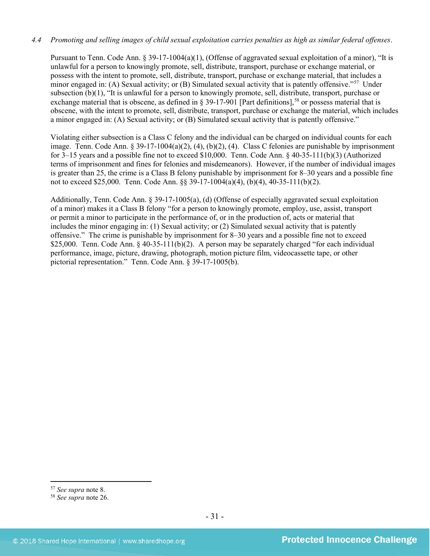# *4.4 Promoting and selling images of child sexual exploitation carries penalties as high as similar federal offenses*.

Pursuant to Tenn. Code Ann. § 39-17-1004(a)(1), (Offense of aggravated sexual exploitation of a minor), "It is unlawful for a person to knowingly promote, sell, distribute, transport, purchase or exchange material, or possess with the intent to promote, sell, distribute, transport, purchase or exchange material, that includes a minor engaged in: (A) Sexual activity; or (B) Simulated sexual activity that is patently offensive."[57](#page-30-0) Under subsection (b)(1), "It is unlawful for a person to knowingly promote, sell, distribute, transport, purchase or exchange material that is obscene, as defined in § 39-17-901 [Part definitions],<sup>[58](#page-30-1)</sup> or possess material that is obscene, with the intent to promote, sell, distribute, transport, purchase or exchange the material, which includes a minor engaged in: (A) Sexual activity; or (B) Simulated sexual activity that is patently offensive."

Violating either subsection is a Class C felony and the individual can be charged on individual counts for each image. Tenn. Code Ann. § 39-17-1004(a)(2), (4), (b)(2), (4). Class C felonies are punishable by imprisonment for 3–15 years and a possible fine not to exceed \$10,000. Tenn. Code Ann. § 40-35-111(b)(3) (Authorized terms of imprisonment and fines for felonies and misdemeanors). However, if the number of individual images is greater than 25, the crime is a Class B felony punishable by imprisonment for 8–30 years and a possible fine not to exceed \$25,000. Tenn. Code Ann. §§ 39-17-1004(a)(4), (b)(4), 40-35-111(b)(2).

Additionally, Tenn. Code Ann. § 39-17-1005(a), (d) (Offense of especially aggravated sexual exploitation of a minor) makes it a Class B felony "for a person to knowingly promote, employ, use, assist, transport or permit a minor to participate in the performance of, or in the production of, acts or material that includes the minor engaging in: (1) Sexual activity; or (2) Simulated sexual activity that is patently offensive." The crime is punishable by imprisonment for 8–30 years and a possible fine not to exceed \$25,000. Tenn. Code Ann.  $\frac{6}{9}$  40-35-111(b)(2). A person may be separately charged "for each individual performance, image, picture, drawing, photograph, motion picture film, videocassette tape, or other pictorial representation." Tenn. Code Ann. § 39-17-1005(b).

<span id="page-30-0"></span> <sup>57</sup> *See supra* note [8.](#page-3-2)

<span id="page-30-1"></span><sup>58</sup> *See supra* note [26.](#page-14-2)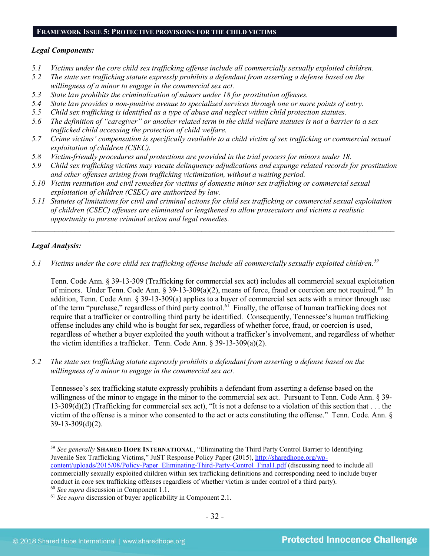#### **FRAMEWORK ISSUE 5: PROTECTIVE PROVISIONS FOR THE CHILD VICTIMS**

#### *Legal Components:*

- *5.1 Victims under the core child sex trafficking offense include all commercially sexually exploited children.*
- *5.2 The state sex trafficking statute expressly prohibits a defendant from asserting a defense based on the willingness of a minor to engage in the commercial sex act.*
- *5.3 State law prohibits the criminalization of minors under 18 for prostitution offenses.*
- *5.4 State law provides a non-punitive avenue to specialized services through one or more points of entry.*
- *5.5 Child sex trafficking is identified as a type of abuse and neglect within child protection statutes.*
- *5.6 The definition of "caregiver" or another related term in the child welfare statutes is not a barrier to a sex trafficked child accessing the protection of child welfare.*
- *5.7 Crime victims' compensation is specifically available to a child victim of sex trafficking or commercial sexual exploitation of children (CSEC).*
- *5.8 Victim-friendly procedures and protections are provided in the trial process for minors under 18.*
- *5.9 Child sex trafficking victims may vacate delinquency adjudications and expunge related records for prostitution and other offenses arising from trafficking victimization, without a waiting period.*
- *5.10 Victim restitution and civil remedies for victims of domestic minor sex trafficking or commercial sexual exploitation of children (CSEC) are authorized by law.*
- *5.11 Statutes of limitations for civil and criminal actions for child sex trafficking or commercial sexual exploitation of children (CSEC) offenses are eliminated or lengthened to allow prosecutors and victims a realistic opportunity to pursue criminal action and legal remedies.*

*\_\_\_\_\_\_\_\_\_\_\_\_\_\_\_\_\_\_\_\_\_\_\_\_\_\_\_\_\_\_\_\_\_\_\_\_\_\_\_\_\_\_\_\_\_\_\_\_\_\_\_\_\_\_\_\_\_\_\_\_\_\_\_\_\_\_\_\_\_\_\_\_\_\_\_\_\_\_\_\_\_\_\_\_\_\_\_\_\_\_\_\_\_\_*

# *Legal Analysis:*

*5.1 Victims under the core child sex trafficking offense include all commercially sexually exploited children.[59](#page-31-0)*

Tenn. Code Ann. § 39-13-309 (Trafficking for commercial sex act) includes all commercial sexual exploitation of minors. Under Tenn. Code Ann. § 39-13-309(a)(2), means of force, fraud or coercion are not required.<sup>[60](#page-31-1)</sup> In addition, Tenn. Code Ann. § 39-13-309(a) applies to a buyer of commercial sex acts with a minor through use of the term "purchase," regardless of third party control.<sup>[61](#page-31-2)</sup> Finally, the offense of human trafficking does not require that a trafficker or controlling third party be identified. Consequently, Tennessee's human trafficking offense includes any child who is bought for sex, regardless of whether force, fraud, or coercion is used, regardless of whether a buyer exploited the youth without a trafficker's involvement, and regardless of whether the victim identifies a trafficker. Tenn. Code Ann. § 39-13-309(a)(2).

*5.2 The state sex trafficking statute expressly prohibits a defendant from asserting a defense based on the willingness of a minor to engage in the commercial sex act.*

Tennessee's sex trafficking statute expressly prohibits a defendant from asserting a defense based on the willingness of the minor to engage in the minor to the commercial sex act. Pursuant to Tenn. Code Ann. § 39- $13-309(d)(2)$  (Trafficking for commercial sex act), "It is not a defense to a violation of this section that . . . the victim of the offense is a minor who consented to the act or acts constituting the offense." Tenn. Code. Ann. § 39-13-309(d)(2).

<span id="page-31-0"></span> <sup>59</sup> *See generally* **SHARED HOPE INTERNATIONAL**, "Eliminating the Third Party Control Barrier to Identifying Juvenile Sex Trafficking Victims," JuST Response Policy Paper (2015), [http://sharedhope.org/wp](http://sharedhope.org/wp-content/uploads/2015/08/Policy-Paper_Eliminating-Third-Party-Control_Final1.pdf)[content/uploads/2015/08/Policy-Paper\\_Eliminating-Third-Party-Control\\_Final1.pdf](http://sharedhope.org/wp-content/uploads/2015/08/Policy-Paper_Eliminating-Third-Party-Control_Final1.pdf) (discussing need to include all commercially sexually exploited children within sex trafficking definitions and corresponding need to include buyer conduct in core sex trafficking offenses regardless of whether victim is under control of a third party).

<span id="page-31-2"></span><span id="page-31-1"></span><sup>60</sup> *See supra* discussion in Component 1.1. 61 *See supra* discussion of buyer applicability in Component 2.1.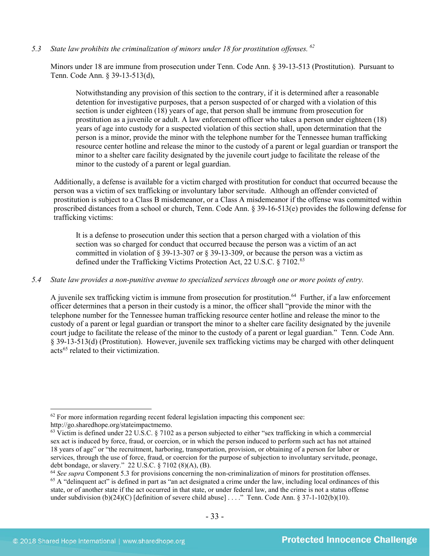*5.3 State law prohibits the criminalization of minors under 18 for prostitution offenses. [62](#page-32-0)*

Minors under 18 are immune from prosecution under Tenn. Code Ann. § 39-13-513 (Prostitution). Pursuant to Tenn. Code Ann. § 39-13-513(d),

Notwithstanding any provision of this section to the contrary, if it is determined after a reasonable detention for investigative purposes, that a person suspected of or charged with a violation of this section is under eighteen (18) years of age, that person shall be immune from prosecution for prostitution as a juvenile or adult. A law enforcement officer who takes a person under eighteen (18) years of age into custody for a suspected violation of this section shall, upon determination that the person is a minor, provide the minor with the telephone number for the Tennessee human trafficking resource center hotline and release the minor to the custody of a parent or legal guardian or transport the minor to a shelter care facility designated by the juvenile court judge to facilitate the release of the minor to the custody of a parent or legal guardian.

Additionally, a defense is available for a victim charged with prostitution for conduct that occurred because the person was a victim of sex trafficking or involuntary labor servitude. Although an offender convicted of prostitution is subject to a Class B misdemeanor, or a Class A misdemeanor if the offense was committed within proscribed distances from a school or church, Tenn. Code Ann. § 39-16-513(e) provides the following defense for trafficking victims:

It is a defense to prosecution under this section that a person charged with a violation of this section was so charged for conduct that occurred because the person was a victim of an act committed in violation of § 39-13-307 or § 39-13-309, or because the person was a victim as defined under the Trafficking Victims Protection Act, 22 U.S.C. § 7102. [63](#page-32-1)

# *5.4 State law provides a non-punitive avenue to specialized services through one or more points of entry.*

A juvenile sex trafficking victim is immune from prosecution for prostitution.<sup>64</sup> Further, if a law enforcement officer determines that a person in their custody is a minor, the officer shall "provide the minor with the telephone number for the Tennessee human trafficking resource center hotline and release the minor to the custody of a parent or legal guardian or transport the minor to a shelter care facility designated by the juvenile court judge to facilitate the release of the minor to the custody of a parent or legal guardian." Tenn. Code Ann. § 39-13-513(d) (Prostitution). However, juvenile sex trafficking victims may be charged with other delinquent acts<sup>[65](#page-32-3)</sup> related to their victimization.

<span id="page-32-0"></span> $62$  For more information regarding recent federal legislation impacting this component see: http://go.sharedhope.org/stateimpactmemo.

<span id="page-32-1"></span> $63$  Victim is defined under 22 U.S.C. § 7102 as a person subjected to either "sex trafficking in which a commercial sex act is induced by force, fraud, or coercion, or in which the person induced to perform such act has not attained 18 years of age" or "the recruitment, harboring, transportation, provision, or obtaining of a person for labor or services, through the use of force, fraud, or coercion for the purpose of subjection to involuntary servitude, peonage, debt bondage, or slavery."  $22$  U.S.C. § 7102 (8)(A), (B).

<span id="page-32-3"></span><span id="page-32-2"></span><sup>&</sup>lt;sup>64</sup> See supra Component 5.3 for provisions concerning the non-criminalization of minors for prostitution offenses.  $<sup>65</sup>$  A "delinquent act" is defined in part as "an act designated a crime under the law, including local ordinances of this</sup> state, or of another state if the act occurred in that state, or under federal law, and the crime is not a status offense under subdivision (b)(24)(C) [definition of severe child abuse] . . . ." Tenn. Code Ann. § 37-1-102(b)(10).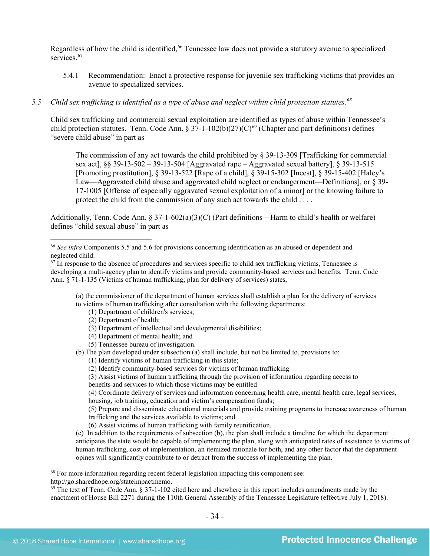Regardless of how the child is identified,<sup>[66](#page-33-0)</sup> Tennessee law does not provide a statutory avenue to specialized services<sup>[67](#page-33-1)</sup>

5.4.1 Recommendation: Enact a protective response for juvenile sex trafficking victims that provides an avenue to specialized services.

# *5.5 Child sex trafficking is identified as a type of abuse and neglect within child protection statutes.[68](#page-33-2)*

Child sex trafficking and commercial sexual exploitation are identified as types of abuse within Tennessee's child protection statutes. Tenn. Code Ann. §  $37-1-102(b)(27)(C)^{69}$  $37-1-102(b)(27)(C)^{69}$  $37-1-102(b)(27)(C)^{69}$  (Chapter and part definitions) defines "severe child abuse" in part as

The commission of any act towards the child prohibited by § 39-13-309 [Trafficking for commercial sex act], §§ 39-13-502 – 39-13-504 [Aggravated rape – Aggravated sexual battery], § 39-13-515 [Promoting prostitution], § 39-13-522 [Rape of a child], § 39-15-302 [Incest], § 39-15-402 [Haley's Law—Aggravated child abuse and aggravated child neglect or endangerment—Definitionsl. or  $\frac{8}{3}$  39-17-1005 [Offense of especially aggravated sexual exploitation of a minor] or the knowing failure to protect the child from the commission of any such act towards the child . . . .

Additionally, Tenn. Code Ann. § 37-1-602(a)(3)(C) (Part definitions—Harm to child's health or welfare) defines "child sexual abuse" in part as

(a) the commissioner of the department of human services shall establish a plan for the delivery of services to victims of human trafficking after consultation with the following departments:

- (1) Department of children's services;
- (2) Department of health;
- (3) Department of intellectual and developmental disabilities;
- (4) Department of mental health; and
- (5) Tennessee bureau of investigation.
- (b) The plan developed under subsection (a) shall include, but not be limited to, provisions to:
	- (1) Identify victims of human trafficking in this state;
	- (2) Identify community-based services for victims of human trafficking
	- (3) Assist victims of human trafficking through the provision of information regarding access to
	- benefits and services to which those victims may be entitled

(4) Coordinate delivery of services and information concerning health care, mental health care, legal services, housing, job training, education and victim's compensation funds;

(5) Prepare and disseminate educational materials and provide training programs to increase awareness of human trafficking and the services available to victims; and

(6) Assist victims of human trafficking with family reunification.

(c) In addition to the requirements of subsection (b), the plan shall include a timeline for which the department anticipates the state would be capable of implementing the plan, along with anticipated rates of assistance to victims of human trafficking, cost of implementation, an itemized rationale for both, and any other factor that the department opines will significantly contribute to or detract from the success of implementing the plan.

<span id="page-33-2"></span><sup>68</sup> For more information regarding recent federal legislation impacting this component see:

http://go.sharedhope.org/stateimpactmemo.

<span id="page-33-3"></span> $69$  The text of Tenn. Code Ann.  $\overline{\S}$  37-1-102 cited here and elsewhere in this report includes amendments made by the enactment of House Bill 2271 during the 110th General Assembly of the Tennessee Legislature (effective July 1, 2018).

<span id="page-33-0"></span> <sup>66</sup> *See infra* Components 5.5 and 5.6 for provisions concerning identification as an abused or dependent and neglected child.

<span id="page-33-1"></span> $67$  In response to the absence of procedures and services specific to child sex trafficking victims, Tennessee is developing a multi-agency plan to identify victims and provide community-based services and benefits. Tenn. Code Ann. § 71-1-135 (Victims of human trafficking; plan for delivery of services) states,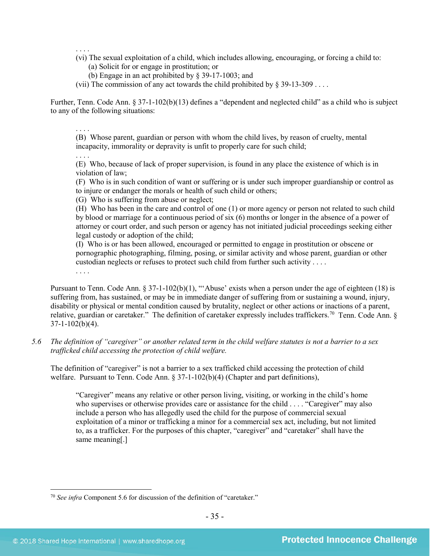. . . .

- (vi) The sexual exploitation of a child, which includes allowing, encouraging, or forcing a child to:
	- (a) Solicit for or engage in prostitution; or
	- (b) Engage in an act prohibited by § 39-17-1003; and
- (vii) The commission of any act towards the child prohibited by  $\S 39-13-309$ ...

Further, Tenn. Code Ann. § 37-1-102(b)(13) defines a "dependent and neglected child" as a child who is subject to any of the following situations:

. . . .

. . . .

(B) Whose parent, guardian or person with whom the child lives, by reason of cruelty, mental incapacity, immorality or depravity is unfit to properly care for such child;

. . . . (E) Who, because of lack of proper supervision, is found in any place the existence of which is in violation of law;

(F) Who is in such condition of want or suffering or is under such improper guardianship or control as to injure or endanger the morals or health of such child or others;

(G) Who is suffering from abuse or neglect;

(H) Who has been in the care and control of one (1) or more agency or person not related to such child by blood or marriage for a continuous period of six (6) months or longer in the absence of a power of attorney or court order, and such person or agency has not initiated judicial proceedings seeking either legal custody or adoption of the child;

(I) Who is or has been allowed, encouraged or permitted to engage in prostitution or obscene or pornographic photographing, filming, posing, or similar activity and whose parent, guardian or other custodian neglects or refuses to protect such child from further such activity . . . .

Pursuant to Tenn. Code Ann. § 37-1-102(b)(1), "'Abuse' exists when a person under the age of eighteen (18) is suffering from, has sustained, or may be in immediate danger of suffering from or sustaining a wound, injury, disability or physical or mental condition caused by brutality, neglect or other actions or inactions of a parent, relative, guardian or caretaker." The definition of caretaker expressly includes traffickers.<sup>70</sup> Tenn. Code Ann. §  $37-1-102(b)(4)$ .

*5.6 The definition of "caregiver" or another related term in the child welfare statutes is not a barrier to a sex trafficked child accessing the protection of child welfare.*

The definition of "caregiver" is not a barrier to a sex trafficked child accessing the protection of child welfare. Pursuant to Tenn. Code Ann.  $\S 37$ -1-102(b)(4) (Chapter and part definitions),

"Caregiver" means any relative or other person living, visiting, or working in the child's home who supervises or otherwise provides care or assistance for the child . . . . "Caregiver" may also include a person who has allegedly used the child for the purpose of commercial sexual exploitation of a minor or trafficking a minor for a commercial sex act, including, but not limited to, as a trafficker. For the purposes of this chapter, "caregiver" and "caretaker" shall have the same meaning[.]

<span id="page-34-0"></span> <sup>70</sup> *See infra* Component 5.6 for discussion of the definition of "caretaker."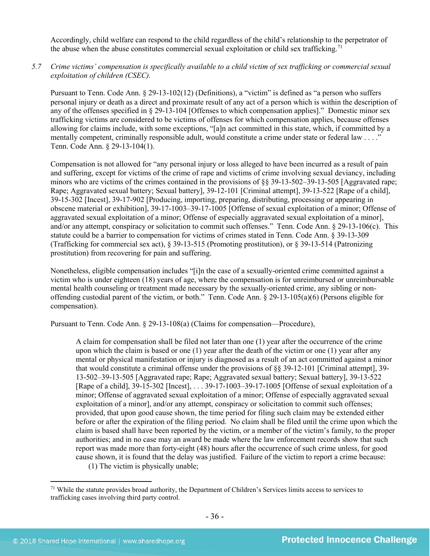Accordingly, child welfare can respond to the child regardless of the child's relationship to the perpetrator of the abuse when the abuse constitutes commercial sexual exploitation or child sex trafficking.<sup>[71](#page-35-0)</sup>

*5.7 Crime victims' compensation is specifically available to a child victim of sex trafficking or commercial sexual exploitation of children (CSEC).*

Pursuant to Tenn. Code Ann. § 29-13-102(12) (Definitions), a "victim" is defined as "a person who suffers personal injury or death as a direct and proximate result of any act of a person which is within the description of any of the offenses specified in § 29-13-104 [Offenses to which compensation applies]." Domestic minor sex trafficking victims are considered to be victims of offenses for which compensation applies, because offenses allowing for claims include, with some exceptions, "[a]n act committed in this state, which, if committed by a mentally competent, criminally responsible adult, would constitute a crime under state or federal law . . . ." Tenn. Code Ann. § 29-13-104(1).

Compensation is not allowed for "any personal injury or loss alleged to have been incurred as a result of pain and suffering, except for victims of the crime of rape and victims of crime involving sexual deviancy, including minors who are victims of the crimes contained in the provisions of [§§ 39-13-502–](https://www.lexis.com/research/buttonTFLink?_m=174cb59fee180dee8938bb262f35ccec&_xfercite=%3ccite%20cc%3d%22USA%22%3e%3c%21%5bCDATA%5bTenn.%20Code%20Ann.%20%a7%2029-13-106%5d%5d%3e%3c%2fcite%3e&_butType=4&_butStat=0&_butNum=9&_butInline=1&_butinfo=TNCODE%2039-13-502&_fmtstr=FULL&docnum=1&_startdoc=1&wchp=dGLbVtb-zSkAB&_md5=822f63069e8581703def8e50c6be8a64)[39-13-505](https://www.lexis.com/research/buttonTFLink?_m=174cb59fee180dee8938bb262f35ccec&_xfercite=%3ccite%20cc%3d%22USA%22%3e%3c%21%5bCDATA%5bTenn.%20Code%20Ann.%20%a7%2029-13-106%5d%5d%3e%3c%2fcite%3e&_butType=4&_butStat=0&_butNum=10&_butInline=1&_butinfo=TNCODE%2039-13-505&_fmtstr=FULL&docnum=1&_startdoc=1&wchp=dGLbVtb-zSkAB&_md5=e6b50a15afcc6c5caf1761c0438604f5) [Aggravated rape; Rape; Aggravated sexual battery; Sexual battery], [39-12-101](https://www.lexis.com/research/buttonTFLink?_m=174cb59fee180dee8938bb262f35ccec&_xfercite=%3ccite%20cc%3d%22USA%22%3e%3c%21%5bCDATA%5bTenn.%20Code%20Ann.%20%a7%2029-13-106%5d%5d%3e%3c%2fcite%3e&_butType=4&_butStat=0&_butNum=11&_butInline=1&_butinfo=TNCODE%2039-12-101&_fmtstr=FULL&docnum=1&_startdoc=1&wchp=dGLbVtb-zSkAB&_md5=c388863aa00a8704be3c3e6f2bba9d97) [Criminal attempt], [39-13-522](https://www.lexis.com/research/buttonTFLink?_m=174cb59fee180dee8938bb262f35ccec&_xfercite=%3ccite%20cc%3d%22USA%22%3e%3c%21%5bCDATA%5bTenn.%20Code%20Ann.%20%a7%2029-13-106%5d%5d%3e%3c%2fcite%3e&_butType=4&_butStat=0&_butNum=12&_butInline=1&_butinfo=TNCODE%2039-13-522&_fmtstr=FULL&docnum=1&_startdoc=1&wchp=dGLbVtb-zSkAB&_md5=ddc0f926bb8561bee115d8941fd4db91) [Rape of a child], [39-15-302](https://www.lexis.com/research/buttonTFLink?_m=174cb59fee180dee8938bb262f35ccec&_xfercite=%3ccite%20cc%3d%22USA%22%3e%3c%21%5bCDATA%5bTenn.%20Code%20Ann.%20%a7%2029-13-106%5d%5d%3e%3c%2fcite%3e&_butType=4&_butStat=0&_butNum=13&_butInline=1&_butinfo=TNCODE%2039-15-302&_fmtstr=FULL&docnum=1&_startdoc=1&wchp=dGLbVtb-zSkAB&_md5=6a0a3156019470fbfcf965f209085587) [Incest][, 39-17-902](https://www.lexis.com/research/buttonTFLink?_m=174cb59fee180dee8938bb262f35ccec&_xfercite=%3ccite%20cc%3d%22USA%22%3e%3c%21%5bCDATA%5bTenn.%20Code%20Ann.%20%a7%2029-13-106%5d%5d%3e%3c%2fcite%3e&_butType=4&_butStat=0&_butNum=14&_butInline=1&_butinfo=TNCODE%2039-17-902&_fmtstr=FULL&docnum=1&_startdoc=1&wchp=dGLbVtb-zSkAB&_md5=8ab46b53a7aa30ce7485bda5c67048d5) [\[Producing, importing, preparing, distributing, processing or appearing in](javascript:void(pToc.tc2dc()  [obscene material or exhibition\]](javascript:void(pToc.tc2dc()[, 39-17-1003](https://www.lexis.com/research/buttonTFLink?_m=174cb59fee180dee8938bb262f35ccec&_xfercite=%3ccite%20cc%3d%22USA%22%3e%3c%21%5bCDATA%5bTenn.%20Code%20Ann.%20%a7%2029-13-106%5d%5d%3e%3c%2fcite%3e&_butType=4&_butStat=0&_butNum=15&_butInline=1&_butinfo=TNCODE%2039-17-1003&_fmtstr=FULL&docnum=1&_startdoc=1&wchp=dGLbVtb-zSkAB&_md5=cc33b3b535dd36db2504ecdc624cf830)[–39-17-1005](https://www.lexis.com/research/buttonTFLink?_m=174cb59fee180dee8938bb262f35ccec&_xfercite=%3ccite%20cc%3d%22USA%22%3e%3c%21%5bCDATA%5bTenn.%20Code%20Ann.%20%a7%2029-13-106%5d%5d%3e%3c%2fcite%3e&_butType=4&_butStat=0&_butNum=16&_butInline=1&_butinfo=TNCODE%2039-17-1005&_fmtstr=FULL&docnum=1&_startdoc=1&wchp=dGLbVtb-zSkAB&_md5=e50f25fa5f94ebdb7720727fc9c04bd1) [Offense of sexual exploitation of a minor; Offense of aggravated sexual exploitation of a minor; Offense of especially aggravated sexual exploitation of a minor], and/or any attempt, conspiracy or solicitation to commit such offenses." Tenn. Code Ann. § 29-13-106(c). This statute could be a barrier to compensation for victims of crimes stated in Tenn. Code Ann. § 39-13-309 (Trafficking for commercial sex act), § 39-13-515 (Promoting prostitution), or § 39-13-514 (Patronizing prostitution) from recovering for pain and suffering.

Nonetheless, eligible compensation includes "[i]n the case of a sexually-oriented crime committed against a victim who is under eighteen (18) years of age, where the compensation is for unreimbursed or unreimbursable mental health counseling or treatment made necessary by the sexually-oriented crime, any sibling or nonoffending custodial parent of the victim, or both." Tenn. Code Ann. § 29-13-105(a)(6) (Persons eligible for compensation).

Pursuant to Tenn. Code Ann. § 29-13-108(a) (Claims for compensation—Procedure),

A claim for compensation shall be filed not later than one (1) year after the occurrence of the crime upon which the claim is based or one (1) year after the death of the victim or one (1) year after any mental or physical manifestation or injury is diagnosed as a result of an act committed against a minor that would constitute a criminal offense under the provisions of §§ 39-12-101 [Criminal attempt], 39- 13-502–39-13-505 [Aggravated rape; Rape; Aggravated sexual battery; Sexual battery], 39-13-522 [Rape of a child], 39-15-302 [Incest], . . . 39-17-1003–39-17-1005 [Offense of sexual exploitation of a minor; Offense of aggravated sexual exploitation of a minor; Offense of especially aggravated sexual exploitation of a minor], and/or any attempt, conspiracy or solicitation to commit such offenses; provided, that upon good cause shown, the time period for filing such claim may be extended either before or after the expiration of the filing period. No claim shall be filed until the crime upon which the claim is based shall have been reported by the victim, or a member of the victim's family, to the proper authorities; and in no case may an award be made where the law enforcement records show that such report was made more than forty-eight (48) hours after the occurrence of such crime unless, for good cause shown, it is found that the delay was justified. Failure of the victim to report a crime because: (1) The victim is physically unable;

<span id="page-35-0"></span> $71$  While the statute provides broad authority, the Department of Children's Services limits access to services to trafficking cases involving third party control.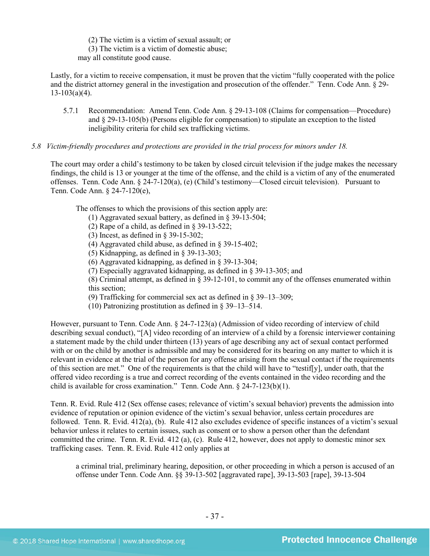(2) The victim is a victim of sexual assault; or (3) The victim is a victim of domestic abuse; may all constitute good cause.

Lastly, for a victim to receive compensation, it must be proven that the victim "fully cooperated with the police and the district attorney general in the investigation and prosecution of the offender." Tenn. Code Ann. § 29-  $13-103(a)(4)$ .

- 5.7.1 Recommendation: Amend Tenn. Code Ann. § 29-13-108 (Claims for compensation—Procedure) and § 29-13-105(b) (Persons eligible for compensation) to stipulate an exception to the listed ineligibility criteria for child sex trafficking victims.
- *5.8 Victim-friendly procedures and protections are provided in the trial process for minors under 18.*

The court may order a child's testimony to be taken by closed circuit television if the judge makes the necessary findings, the child is 13 or younger at the time of the offense, and the child is a victim of any of the enumerated offenses. Tenn. Code Ann. § 24-7-120(a), (e) (Child's testimony—Closed circuit television). Pursuant to Tenn. Code Ann. § 24-7-120(e),

The offenses to which the provisions of this section apply are:

- (1) Aggravated sexual battery, as defined in § 39-13-504;
- (2) Rape of a child, as defined in § 39-13-522;
- (3) Incest, as defined in § 39-15-302;
- (4) Aggravated child abuse, as defined in § 39-15-402;
- (5) Kidnapping, as defined in § 39-13-303;
- (6) Aggravated kidnapping, as defined in § 39-13-304;
- (7) Especially aggravated kidnapping, as defined in § 39-13-305; and

(8) Criminal attempt, as defined in § 39-12-101, to commit any of the offenses enumerated within this section;

(9) Trafficking for commercial sex act as defined in § 39–13–309;

(10) Patronizing prostitution as defined in § 39–13–514.

However, pursuant to Tenn. Code Ann. § 24-7-123(a) (Admission of video recording of interview of child describing sexual conduct), "[A] video recording of an interview of a child by a forensic interviewer containing a statement made by the child under thirteen (13) years of age describing any act of sexual contact performed with or on the child by another is admissible and may be considered for its bearing on any matter to which it is relevant in evidence at the trial of the person for any offense arising from the sexual contact if the requirements of this section are met." One of the requirements is that the child will have to "testif[y], under oath, that the offered video recording is a true and correct recording of the events contained in the video recording and the child is available for cross examination." Tenn. Code Ann. § 24-7-123(b)(1).

Tenn. R. Evid. Rule 412 (Sex offense cases; relevance of victim's sexual behavior) prevents the admission into evidence of reputation or opinion evidence of the victim's sexual behavior, unless certain procedures are followed. Tenn. R. Evid. 412(a), (b). Rule 412 also excludes evidence of specific instances of a victim's sexual behavior unless it relates to certain issues, such as consent or to show a person other than the defendant committed the crime. Tenn. R. Evid. 412 (a), (c). Rule 412, however, does not apply to domestic minor sex trafficking cases. Tenn. R. Evid. Rule 412 only applies at

a criminal trial, preliminary hearing, deposition, or other proceeding in which a person is accused of an offense under Tenn. Code Ann. §§ 39-13-502 [aggravated rape], 39-13-503 [rape], 39-13-504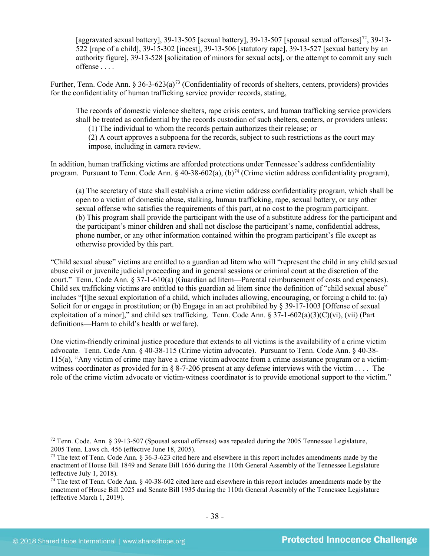[aggravated sexual battery], 39-13-505 [sexual battery], 39-13-507 [spousal sexual offenses]<sup>72</sup>, 39-13-522 [rape of a child], 39-15-302 [incest], 39-13-506 [statutory rape], 39-13-527 [sexual battery by an authority figure], 39-13-528 [solicitation of minors for sexual acts], or the attempt to commit any such offense . . . .

Further, Tenn. Code Ann.  $\S 36-3-623(a)^{73}$  $\S 36-3-623(a)^{73}$  $\S 36-3-623(a)^{73}$  (Confidentiality of records of shelters, centers, providers) provides for the confidentiality of human trafficking service provider records, stating,

The records of domestic violence shelters, rape crisis centers, and human trafficking service providers shall be treated as confidential by the records custodian of such shelters, centers, or providers unless:

(1) The individual to whom the records pertain authorizes their release; or

(2) A court approves a subpoena for the records, subject to such restrictions as the court may impose, including in camera review.

In addition, human trafficking victims are afforded protections under Tennessee's address confidentiality program. Pursuant to Tenn. Code Ann. § 40-38-602(a), (b)<sup>[74](#page-37-2)</sup> (Crime victim address confidentiality program),

(a) The secretary of state shall establish a crime victim address confidentiality program, which shall be open to a victim of domestic abuse, stalking, human trafficking, rape, sexual battery, or any other sexual offense who satisfies the requirements of this part, at no cost to the program participant. (b) This program shall provide the participant with the use of a substitute address for the participant and the participant's minor children and shall not disclose the participant's name, confidential address, phone number, or any other information contained within the program participant's file except as otherwise provided by this part.

"Child sexual abuse" victims are entitled to a guardian ad litem who will "represent the child in any child sexual abuse civil or juvenile judicial proceeding and in general sessions or criminal court at the discretion of the court." Tenn. Code Ann. § 37-1-610(a) (Guardian ad litem—Parental reimbursement of costs and expenses). Child sex trafficking victims are entitled to this guardian ad litem since the definition of "child sexual abuse" includes "[t]he sexual exploitation of a child, which includes allowing, encouraging, or forcing a child to: (a) Solicit for or engage in prostitution; or (b) Engage in an act prohibited by  $\S 39-17-1003$  [Offense of sexual exploitation of a minor]," and child sex trafficking. Tenn. Code Ann. § 37-1-602(a)(3)(C)(vi), (vii) (Part definitions—Harm to child's health or welfare).

One victim-friendly criminal justice procedure that extends to all victims is the availability of a crime victim advocate. Tenn. Code Ann. § 40-38-115 (Crime victim advocate). Pursuant to Tenn. Code Ann. § 40-38- 115(a), "Any victim of crime may have a crime victim advocate from a crime assistance program or a victimwitness coordinator as provided for in § 8-7-206 present at any defense interviews with the victim . . . . The role of the crime victim advocate or victim-witness coordinator is to provide emotional support to the victim."

<span id="page-37-0"></span> <sup>72</sup> Tenn. Code. Ann. § 39-13-507 (Spousal sexual offenses) was repealed during the 2005 Tennessee Legislature, 2005 Tenn. Laws ch. 456 (effective June 18, 2005).

<span id="page-37-1"></span><sup>&</sup>lt;sup>73</sup> The text of Tenn. Code Ann. § 36-3-623 cited here and elsewhere in this report includes amendments made by the enactment of House Bill 1849 and Senate Bill 1656 during the 110th General Assembly of the Tennessee Legislature (effective July 1, 2018).

<span id="page-37-2"></span> $\hat{7}$ <sup>4</sup> The text of Tenn. Code Ann. § 40-38-602 cited here and elsewhere in this report includes amendments made by the enactment of House Bill 2025 and Senate Bill 1935 during the 110th General Assembly of the Tennessee Legislature (effective March 1, 2019).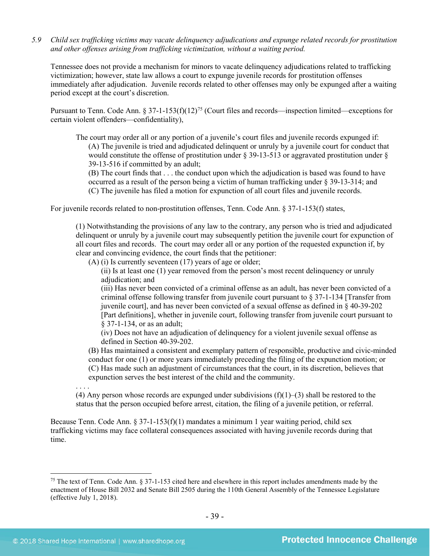*5.9 Child sex trafficking victims may vacate delinquency adjudications and expunge related records for prostitution and other offenses arising from trafficking victimization, without a waiting period.*

Tennessee does not provide a mechanism for minors to vacate delinquency adjudications related to trafficking victimization; however, state law allows a court to expunge juvenile records for prostitution offenses immediately after adjudication. Juvenile records related to other offenses may only be expunged after a waiting period except at the court's discretion.

Pursuant to Tenn. Code Ann. § 37-1-153(f)(12)<sup>[75](#page-38-0)</sup> (Court files and records—inspection limited—exceptions for certain violent offenders—confidentiality),

The court may order all or any portion of a juvenile's court files and juvenile records expunged if: (A) The juvenile is tried and adjudicated delinquent or unruly by a juvenile court for conduct that would constitute the offense of prostitution under § 39-13-513 or aggravated prostitution under § 39-13-516 if committed by an adult;

(B) The court finds that . . . the conduct upon which the adjudication is based was found to have occurred as a result of the person being a victim of human trafficking under § 39-13-314; and (C) The juvenile has filed a motion for expunction of all court files and juvenile records.

For juvenile records related to non-prostitution offenses, Tenn. Code Ann. § 37-1-153(f) states,

(1) Notwithstanding the provisions of any law to the contrary, any person who is tried and adjudicated delinquent or unruly by a juvenile court may subsequently petition the juvenile court for expunction of all court files and records. The court may order all or any portion of the requested expunction if, by clear and convincing evidence, the court finds that the petitioner:

(A) (i) Is currently seventeen (17) years of age or older;

(ii) Is at least one (1) year removed from the person's most recent delinquency or unruly adjudication; and

(iii) Has never been convicted of a criminal offense as an adult, has never been convicted of a criminal offense following transfer from juvenile court pursuant to  $\S 37$ -1-134 [Transfer from juvenile court], and has never been convicted of a sexual offense as defined in § 40-39-202 [Part definitions], whether in juvenile court, following transfer from juvenile court pursuant to § 37-1-134, or as an adult;

(iv) Does not have an adjudication of delinquency for a violent juvenile sexual offense as defined in Section 40-39-202.

(B) Has maintained a consistent and exemplary pattern of responsible, productive and civic-minded conduct for one (1) or more years immediately preceding the filing of the expunction motion; or (C) Has made such an adjustment of circumstances that the court, in its discretion, believes that expunction serves the best interest of the child and the community.

. . . . (4) Any person whose records are expunged under subdivisions  $(f)(1)$ –(3) shall be restored to the status that the person occupied before arrest, citation, the filing of a juvenile petition, or referral.

Because Tenn. Code Ann.  $\S 37$ -1-153(f)(1) mandates a minimum 1 year waiting period, child sex trafficking victims may face collateral consequences associated with having juvenile records during that time.

<span id="page-38-0"></span><sup>&</sup>lt;sup>75</sup> The text of Tenn. Code Ann.  $\S 37$ -1-153 cited here and elsewhere in this report includes amendments made by the enactment of House Bill 2032 and Senate Bill 2505 during the 110th General Assembly of the Tennessee Legislature (effective July 1, 2018).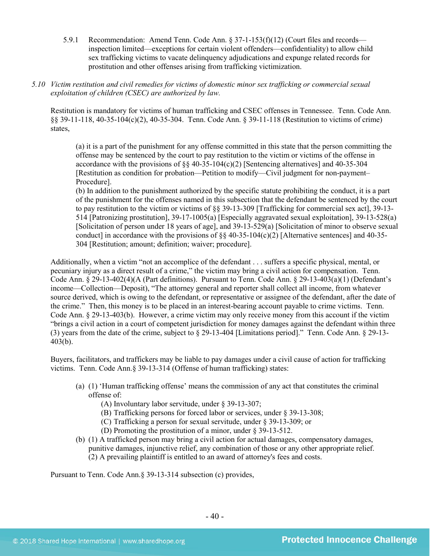- 5.9.1 Recommendation: Amend Tenn. Code Ann. § 37-1-153(f)(12) (Court files and records inspection limited—exceptions for certain violent offenders—confidentiality) to allow child sex trafficking victims to vacate delinquency adjudications and expunge related records for prostitution and other offenses arising from trafficking victimization.
- *5.10 Victim restitution and civil remedies for victims of domestic minor sex trafficking or commercial sexual exploitation of children (CSEC) are authorized by law.*

Restitution is mandatory for victims of human trafficking and CSEC offenses in Tennessee. Tenn. Code Ann. §§ 39-11-118, 40-35-104(c)(2), 40-35-304. Tenn. Code Ann. § 39-11-118 (Restitution to victims of crime) states,

(a) it is a part of the punishment for any offense committed in this state that the person committing the offense may be sentenced by the court to pay restitution to the victim or victims of the offense in accordance with the provisions of  $\S$ § 40-35-104(c)(2) [Sentencing alternatives] and 40-35-304 [Restitution as condition for probation—Petition to modify—Civil judgment for non-payment– Procedure].

(b) In addition to the punishment authorized by the specific statute prohibiting the conduct, it is a part of the punishment for the offenses named in this subsection that the defendant be sentenced by the court to pay restitution to the victim or victims of §§ 39-13-309 [Trafficking for commercial sex act], 39-13- 514 [Patronizing prostitution], 39-17-1005(a) [Especially aggravated sexual exploitation], 39-13-528(a) [Solicitation of person under 18 years of age], and 39-13-529(a) [Solicitation of minor to observe sexual conduct] in accordance with the provisions of  $\S$  40-35-104(c)(2) [Alternative sentences] and 40-35-304 [Restitution; amount; definition; waiver; procedure].

Additionally, when a victim "not an accomplice of the defendant . . . suffers a specific physical, mental, or pecuniary injury as a direct result of a crime," the victim may bring a civil action for compensation. Tenn. Code Ann. § 29-13-402(4)(A (Part definitions). Pursuant to Tenn. Code Ann. § 29-13-403(a)(1) (Defendant's income—Collection—Deposit), "The attorney general and reporter shall collect all income, from whatever source derived, which is owing to the defendant, or representative or assignee of the defendant, after the date of the crime." Then, this money is to be placed in an interest-bearing account payable to crime victims. Tenn. Code Ann. § 29-13-403(b). However, a crime victim may only receive money from this account if the victim "brings a civil action in a court of competent jurisdiction for money damages against the defendant within three (3) years from the date of the crime, subject to § 29-13-404 [Limitations period]." Tenn. Code Ann. § 29-13- 403(b).

Buyers, facilitators, and traffickers may be liable to pay damages under a civil cause of action for trafficking victims. Tenn. Code Ann.§ 39-13-314 (Offense of human trafficking) states:

- (a) (1) 'Human trafficking offense' means the commission of any act that constitutes the criminal offense of:
	- (A) Involuntary labor servitude, under § 39-13-307;
	- (B) Trafficking persons for forced labor or services, under § 39-13-308;
	- (C) Trafficking a person for sexual servitude, under § 39-13-309; or
	- (D) Promoting the prostitution of a minor, under § 39-13-512.
- (b) (1) A trafficked person may bring a civil action for actual damages, compensatory damages, punitive damages, injunctive relief, any combination of those or any other appropriate relief.
	- (2) A prevailing plaintiff is entitled to an award of attorney's fees and costs.

Pursuant to Tenn. Code Ann.§ 39-13-314 subsection (c) provides,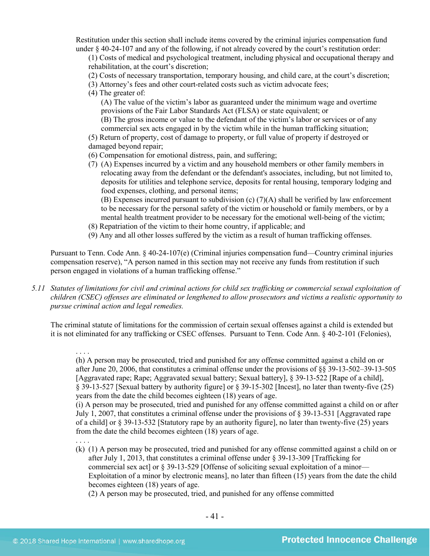Restitution under this section shall include items covered by the criminal injuries compensation fund under § 40-24-107 and any of the following, if not already covered by the court's restitution order:

(1) Costs of medical and psychological treatment, including physical and occupational therapy and rehabilitation, at the court's discretion;

- (2) Costs of necessary transportation, temporary housing, and child care, at the court's discretion;
- (3) Attorney's fees and other court-related costs such as victim advocate fees;
- (4) The greater of:

(A) The value of the victim's labor as guaranteed under the minimum wage and overtime provisions of the Fair Labor Standards Act (FLSA) or state equivalent; or

(B) The gross income or value to the defendant of the victim's labor or services or of any commercial sex acts engaged in by the victim while in the human trafficking situation;

(5) Return of property, cost of damage to property, or full value of property if destroyed or damaged beyond repair;

- (6) Compensation for emotional distress, pain, and suffering;
- (7) (A) Expenses incurred by a victim and any household members or other family members in relocating away from the defendant or the defendant's associates, including, but not limited to, deposits for utilities and telephone service, deposits for rental housing, temporary lodging and food expenses, clothing, and personal items;
	- (B) Expenses incurred pursuant to subdivision (c) (7)(A) shall be verified by law enforcement to be necessary for the personal safety of the victim or household or family members, or by a mental health treatment provider to be necessary for the emotional well-being of the victim;
- (8) Repatriation of the victim to their home country, if applicable; and
- (9) Any and all other losses suffered by the victim as a result of human trafficking offenses.

Pursuant to Tenn. Code Ann. § 40-24-107(e) (Criminal injuries compensation fund—Country criminal injuries compensation reserve), "A person named in this section may not receive any funds from restitution if such person engaged in violations of a human trafficking offense."

*5.11 Statutes of limitations for civil and criminal actions for child sex trafficking or commercial sexual exploitation of children (CSEC) offenses are eliminated or lengthened to allow prosecutors and victims a realistic opportunity to pursue criminal action and legal remedies.*

The criminal statute of limitations for the commission of certain sexual offenses against a child is extended but it is not eliminated for any trafficking or CSEC offenses. Pursuant to Tenn. Code Ann. § 40-2-101 (Felonies),

. . . . (h) A person may be prosecuted, tried and punished for any offense committed against a child on or after June 20, 2006, that constitutes a criminal offense under the provisions of §§ 39-13-502–39-13-505 [Aggravated rape; Rape; Aggravated sexual battery; Sexual battery], § 39-13-522 [Rape of a child], § 39-13-527 [Sexual battery by authority figure] or § 39-15-302 [Incest], no later than twenty-five (25) years from the date the child becomes eighteen (18) years of age.

(i) A person may be prosecuted, tried and punished for any offense committed against a child on or after July 1, 2007, that constitutes a criminal offense under the provisions of § 39-13-531 [Aggravated rape of a child] or § 39-13-532 [Statutory rape by an authority figure], no later than twenty-five (25) years from the date the child becomes eighteen (18) years of age.

- . . . .
- (k) (1) A person may be prosecuted, tried and punished for any offense committed against a child on or after July 1, 2013, that constitutes a criminal offense under § 39-13-309 [Trafficking for commercial sex act] or [§ 39-13-529](https://a.next.westlaw.com/Link/Document/FullText?findType=L&pubNum=1000039&cite=TNSTS39-13-529&originatingDoc=NB303EA80FD9C11E2B5E0FF4CCFAB5723&refType=LQ&originationContext=document&transitionType=DocumentItem&contextData=(sc.UserEnteredCitation)) [Offense of soliciting sexual exploitation of a minor— Exploitation of a minor by electronic means], no later than fifteen (15) years from the date the child becomes eighteen (18) years of age.

(2) A person may be prosecuted, tried, and punished for any offense committed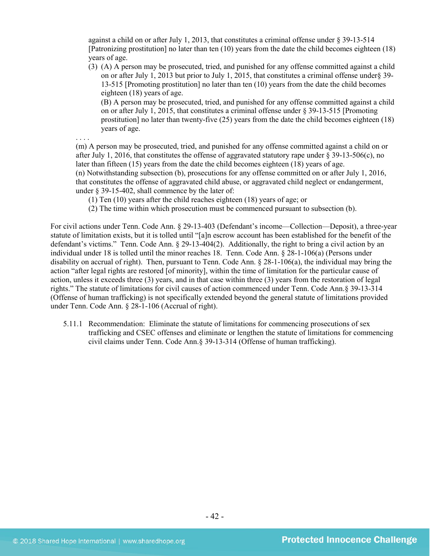against a child on or after July 1, 2013, that constitutes a criminal offense under  $\S 39$ -13-514 [Patronizing prostitution] no later than ten (10) years from the date the child becomes eighteen (18) years of age.

(3) (A) A person may be prosecuted, tried, and punished for any offense committed against a child on or after July 1, 2013 but prior to July 1, 2015, that constitutes a criminal offense under§ 39- 13-515 [Promoting prostitution] no later than ten (10) years from the date the child becomes eighteen (18) years of age.

(B) A person may be prosecuted, tried, and punished for any offense committed against a child on or after July 1, 2015, that constitutes a criminal offense under § 39-13-515 [Promoting prostitution] no later than twenty-five (25) years from the date the child becomes eighteen (18) years of age.

. . . .

(m) A person may be prosecuted, tried, and punished for any offense committed against a child on or after July 1, 2016, that constitutes the offense of aggravated statutory rape under § 39-13-506(c), no later than fifteen (15) years from the date the child becomes eighteen (18) years of age. (n) Notwithstanding subsection (b), prosecutions for any offense committed on or after July 1, 2016, that constitutes the offense of aggravated child abuse, or aggravated child neglect or endangerment, under § 39-15-402, shall commence by the later of:

(1) Ten (10) years after the child reaches eighteen (18) years of age; or

(2) The time within which prosecution must be commenced pursuant to subsection (b).

For civil actions under Tenn. Code Ann. § 29-13-403 (Defendant's income—Collection—Deposit), a three-year statute of limitation exists, but it is tolled until "[a]n escrow account has been established for the benefit of the defendant's victims." Tenn. Code Ann. § 29-13-404(2). Additionally, the right to bring a civil action by an individual under 18 is tolled until the minor reaches 18. Tenn. Code Ann. § 28-1-106(a) (Persons under disability on accrual of right). Then, pursuant to Tenn. Code Ann. § 28-1-106(a), the individual may bring the action "after legal rights are restored [of minority], within the time of limitation for the particular cause of action, unless it exceeds three (3) years, and in that case within three (3) years from the restoration of legal rights." The statute of limitations for civil causes of action commenced under Tenn. Code Ann.§ 39-13-314 (Offense of human trafficking) is not specifically extended beyond the general statute of limitations provided under Tenn. Code Ann. § 28-1-106 (Accrual of right).

5.11.1 Recommendation: Eliminate the statute of limitations for commencing prosecutions of sex trafficking and CSEC offenses and eliminate or lengthen the statute of limitations for commencing civil claims under Tenn. Code Ann.§ 39-13-314 (Offense of human trafficking).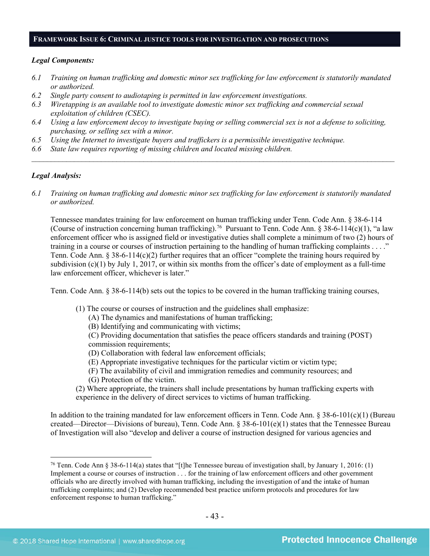#### **FRAMEWORK ISSUE 6: CRIMINAL JUSTICE TOOLS FOR INVESTIGATION AND PROSECUTIONS**

#### *Legal Components:*

- *6.1 Training on human trafficking and domestic minor sex trafficking for law enforcement is statutorily mandated or authorized.*
- *6.2 Single party consent to audiotaping is permitted in law enforcement investigations.*
- *6.3 Wiretapping is an available tool to investigate domestic minor sex trafficking and commercial sexual exploitation of children (CSEC).*
- *6.4 Using a law enforcement decoy to investigate buying or selling commercial sex is not a defense to soliciting, purchasing, or selling sex with a minor.*
- *6.5 Using the Internet to investigate buyers and traffickers is a permissible investigative technique.*
- *6.6 State law requires reporting of missing children and located missing children.*

# *Legal Analysis:*

*6.1 Training on human trafficking and domestic minor sex trafficking for law enforcement is statutorily mandated or authorized.*

*\_\_\_\_\_\_\_\_\_\_\_\_\_\_\_\_\_\_\_\_\_\_\_\_\_\_\_\_\_\_\_\_\_\_\_\_\_\_\_\_\_\_\_\_\_\_\_\_\_\_\_\_\_\_\_\_\_\_\_\_\_\_\_\_\_\_\_\_\_\_\_\_\_\_\_\_\_\_\_\_\_\_\_\_\_\_\_\_\_\_\_\_\_\_*

Tennessee mandates training for law enforcement on human trafficking under Tenn. Code Ann. § 38-6-114 (Course of instruction concerning human trafficking).<sup>76</sup> Pursuant to Tenn. Code Ann. § 38-6-114(c)(1), "a law enforcement officer who is assigned field or investigative duties shall complete a minimum of two (2) hours of training in a course or courses of instruction pertaining to the handling of human trafficking complaints . . . ." Tenn. Code Ann. § 38-6-114(c)(2) further requires that an officer "complete the training hours required by subdivision  $(c)(1)$  by July 1, 2017, or within six months from the officer's date of employment as a full-time law enforcement officer, whichever is later."

Tenn. Code Ann. § 38-6-114(b) sets out the topics to be covered in the human trafficking training courses,

- (1) The course or courses of instruction and the guidelines shall emphasize:
	- (A) The dynamics and manifestations of human trafficking;
	- (B) Identifying and communicating with victims;

(C) Providing documentation that satisfies the peace officers standards and training (POST) commission requirements;

- (D) Collaboration with federal law enforcement officials;
- (E) Appropriate investigative techniques for the particular victim or victim type;
- (F) The availability of civil and immigration remedies and community resources; and
- (G) Protection of the victim.
- (2) Where appropriate, the trainers shall include presentations by human trafficking experts with experience in the delivery of direct services to victims of human trafficking.

In addition to the training mandated for law enforcement officers in Tenn. Code Ann.  $\S 38-6-101(c)(1)$  (Bureau created—Director—Divisions of bureau), Tenn. Code Ann.  $\S 38-6-101(e)(1)$  states that the Tennessee Bureau of Investigation will also "develop and deliver a course of instruction designed for various agencies and

<span id="page-42-0"></span><sup>&</sup>lt;sup>76</sup> Tenn. Code Ann § 38-6-114(a) states that "[t]he Tennessee bureau of investigation shall, by January 1, 2016: (1) Implement a course or courses of instruction . . . for the training of law enforcement officers and other government officials who are directly involved with human trafficking, including the investigation of and the intake of human trafficking complaints; and (2) Develop recommended best practice uniform protocols and procedures for law enforcement response to human trafficking."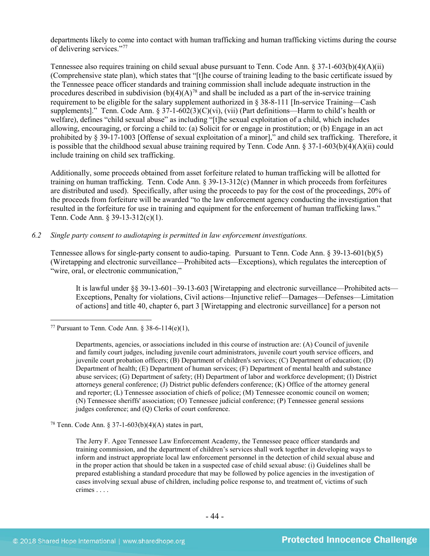departments likely to come into contact with human trafficking and human trafficking victims during the course of delivering services."[77](#page-43-0)

Tennessee also requires training on child sexual abuse pursuant to Tenn. Code Ann.  $\S 37$ -1-603(b)(4)(A)(ii) (Comprehensive state plan), which states that "[t]he course of training leading to the basic certificate issued by the Tennessee peace officer standards and training commission shall include adequate instruction in the procedures described in subdivision  $(b)(4)(A)^{78}$  $(b)(4)(A)^{78}$  $(b)(4)(A)^{78}$  and shall be included as a part of the in-service training requirement to be eligible for the salary supplement authorized in § 38-8-111 [In-service Training—Cash supplements]." Tenn. Code Ann. § 37-1-602(3)(C)(vi), (vii) (Part definitions—Harm to child's health or welfare), defines "child sexual abuse" as including "[t]he sexual exploitation of a child, which includes allowing, encouraging, or forcing a child to: (a) Solicit for or engage in prostitution; or (b) Engage in an act prohibited by § 39-17-1003 [Offense of sexual exploitation of a minor]," and child sex trafficking. Therefore, it is possible that the childhood sexual abuse training required by Tenn. Code Ann. § 37-1-603(b)(4)(A)(ii) could include training on child sex trafficking.

Additionally, some proceeds obtained from asset forfeiture related to human trafficking will be allotted for training on human trafficking. Tenn. Code Ann. § 39-13-312(c) (Manner in which proceeds from forfeitures are distributed and used). Specifically, after using the proceeds to pay for the cost of the proceedings, 20% of the proceeds from forfeiture will be awarded "to the law enforcement agency conducting the investigation that resulted in the forfeiture for use in training and equipment for the enforcement of human trafficking laws." Tenn. Code Ann. § 39-13-312(c)(1).

#### *6.2 Single party consent to audiotaping is permitted in law enforcement investigations.*

Tennessee allows for single-party consent to audio-taping. Pursuant to Tenn. Code Ann. § 39-13-601(b)(5) (Wiretapping and electronic surveillance—Prohibited acts—Exceptions), which regulates the interception of "wire, oral, or electronic communication,"

It is lawful under §§ 39-13-601–39-13-603 [Wiretapping and electronic surveillance—Prohibited acts— Exceptions, Penalty for violations, Civil actions—Injunctive relief—Damages—Defenses—Limitation of actions] and title 40, chapter 6, part 3 [Wiretapping and electronic surveillance] for a person not

<span id="page-43-0"></span><sup>77</sup> Pursuant to Tenn. Code Ann.  $§$  38-6-114(e)(1),

<span id="page-43-1"></span><sup>78</sup> Tenn. Code Ann. § 37-1-603(b)(4)(A) states in part,

The Jerry F. Agee Tennessee Law Enforcement Academy, the Tennessee peace officer standards and training commission, and the department of children's services shall work together in developing ways to inform and instruct appropriate local law enforcement personnel in the detection of child sexual abuse and in the proper action that should be taken in a suspected case of child sexual abuse: (i) Guidelines shall be prepared establishing a standard procedure that may be followed by police agencies in the investigation of cases involving sexual abuse of children, including police response to, and treatment of, victims of such crimes . . . .

Departments, agencies, or associations included in this course of instruction are: (A) Council of juvenile and family court judges, including juvenile court administrators, juvenile court youth service officers, and juvenile court probation officers; (B) Department of children's services; (C) Department of education; (D) Department of health; (E) Department of human services; (F) Department of mental health and substance abuse services; (G) Department of safety; (H) Department of labor and workforce development; (I) District attorneys general conference; (J) District public defenders conference; (K) Office of the attorney general and reporter; (L) Tennessee association of chiefs of police; (M) Tennessee economic council on women; (N) Tennessee sheriffs' association; (O) Tennessee judicial conference; (P) Tennessee general sessions judges conference; and (Q) Clerks of court conference.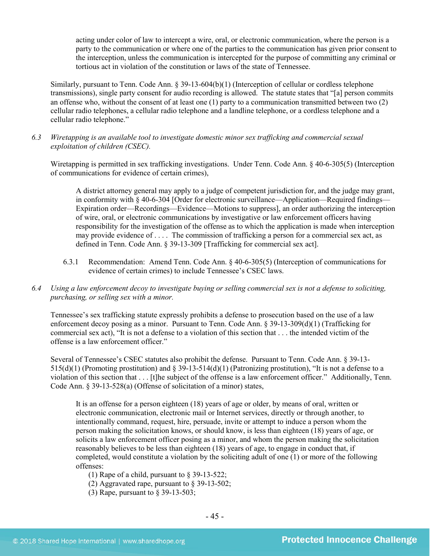acting under color of law to intercept a wire, oral, or electronic communication, where the person is a party to the communication or where one of the parties to the communication has given prior consent to the interception, unless the communication is intercepted for the purpose of committing any criminal or tortious act in violation of the constitution or laws of the state of Tennessee.

Similarly, pursuant to Tenn. Code Ann. § 39-13-604(b)(1) (Interception of cellular or cordless telephone transmissions), single party consent for audio recording is allowed. The statute states that "[a] person commits an offense who, without the consent of at least one (1) party to a communication transmitted between two (2) cellular radio telephones, a cellular radio telephone and a landline telephone, or a cordless telephone and a cellular radio telephone."

*6.3 Wiretapping is an available tool to investigate domestic minor sex trafficking and commercial sexual exploitation of children (CSEC).* 

Wiretapping is permitted in sex trafficking investigations. Under Tenn. Code Ann. § 40-6-305(5) (Interception of communications for evidence of certain crimes),

A district attorney general may apply to a judge of competent jurisdiction for, and the judge may grant, in conformity with § 40-6-304 [Order for electronic surveillance—Application—Required findings— Expiration order—Recordings—Evidence—Motions to suppress], an order authorizing the interception of wire, oral, or electronic communications by investigative or law enforcement officers having responsibility for the investigation of the offense as to which the application is made when interception may provide evidence of . . . . The commission of trafficking a person for a commercial sex act, as defined in Tenn. Code Ann. § 39-13-309 [Trafficking for commercial sex act].

- 6.3.1 Recommendation: Amend Tenn. Code Ann. § 40-6-305(5) (Interception of communications for evidence of certain crimes) to include Tennessee's CSEC laws.
- *6.4 Using a law enforcement decoy to investigate buying or selling commercial sex is not a defense to soliciting, purchasing, or selling sex with a minor.*

Tennessee's sex trafficking statute expressly prohibits a defense to prosecution based on the use of a law enforcement decoy posing as a minor. Pursuant to Tenn. Code Ann. § 39-13-309(d)(1) (Trafficking for commercial sex act), "It is not a defense to a violation of this section that . . . the intended victim of the offense is a law enforcement officer."

Several of Tennessee's CSEC statutes also prohibit the defense. Pursuant to Tenn. Code Ann. § 39-13-  $515(d)(1)$  (Promoting prostitution) and § 39-13-514(d)(1) (Patronizing prostitution), "It is not a defense to a violation of this section that . . . [t]he subject of the offense is a law enforcement officer." Additionally, Tenn. Code Ann. § 39-13-528(a) (Offense of solicitation of a minor) states,

It is an offense for a person eighteen (18) years of age or older, by means of oral, written or electronic communication, electronic mail or Internet services, directly or through another, to intentionally command, request, hire, persuade, invite or attempt to induce a person whom the person making the solicitation knows, or should know, is less than eighteen (18) years of age, or solicits a law enforcement officer posing as a minor, and whom the person making the solicitation reasonably believes to be less than eighteen (18) years of age, to engage in conduct that, if completed, would constitute a violation by the soliciting adult of one (1) or more of the following offenses:

(1) Rape of a child, pursuant to § 39-13-522;

- (2) Aggravated rape, pursuant to § 39-13-502;
- (3) Rape, pursuant to § 39-13-503;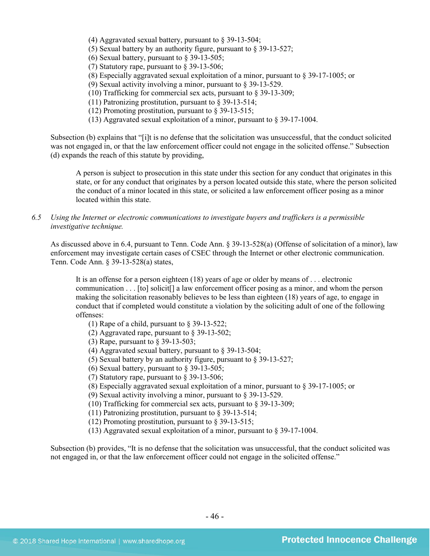- (4) Aggravated sexual battery, pursuant to  $\S$  39-13-504;
- (5) Sexual battery by an authority figure, pursuant to § 39-13-527;
- (6) Sexual battery, pursuant to  $\S$  39-13-505;
- (7) Statutory rape, pursuant to § 39-13-506;
- (8) Especially aggravated sexual exploitation of a minor, pursuant to § 39-17-1005; or
- (9) Sexual activity involving a minor, pursuant to § 39-13-529.
- (10) Trafficking for commercial sex acts, pursuant to § 39-13-309;
- (11) Patronizing prostitution, pursuant to § 39-13-514;
- (12) Promoting prostitution, pursuant to § 39-13-515;
- (13) Aggravated sexual exploitation of a minor, pursuant to § 39-17-1004.

Subsection (b) explains that "[i]t is no defense that the solicitation was unsuccessful, that the conduct solicited was not engaged in, or that the law enforcement officer could not engage in the solicited offense." Subsection (d) expands the reach of this statute by providing,

A person is subject to prosecution in this state under this section for any conduct that originates in this state, or for any conduct that originates by a person located outside this state, where the person solicited the conduct of a minor located in this state, or solicited a law enforcement officer posing as a minor located within this state.

*6.5 Using the Internet or electronic communications to investigate buyers and traffickers is a permissible investigative technique.*

As discussed above in 6.4, pursuant to Tenn. Code Ann. § 39-13-528(a) (Offense of solicitation of a minor), law enforcement may investigate certain cases of CSEC through the Internet or other electronic communication. Tenn. Code Ann. § 39-13-528(a) states,

It is an offense for a person eighteen (18) years of age or older by means of . . . electronic communication . . . [to] solicit[] a law enforcement officer posing as a minor, and whom the person making the solicitation reasonably believes to be less than eighteen (18) years of age, to engage in conduct that if completed would constitute a violation by the soliciting adult of one of the following offenses:

- (1) Rape of a child, pursuant to § 39-13-522;
- (2) Aggravated rape, pursuant to § 39-13-502;
- (3) Rape, pursuant to § 39-13-503;
- (4) Aggravated sexual battery, pursuant to § 39-13-504;
- (5) Sexual battery by an authority figure, pursuant to § 39-13-527;
- (6) Sexual battery, pursuant to  $\&$  39-13-505;
- (7) Statutory rape, pursuant to § 39-13-506;
- (8) Especially aggravated sexual exploitation of a minor, pursuant to § 39-17-1005; or
- (9) Sexual activity involving a minor, pursuant to § 39-13-529.
- (10) Trafficking for commercial sex acts, pursuant to § 39-13-309;
- (11) Patronizing prostitution, pursuant to § 39-13-514;
- (12) Promoting prostitution, pursuant to § 39-13-515;
- (13) Aggravated sexual exploitation of a minor, pursuant to § 39-17-1004.

Subsection (b) provides, "It is no defense that the solicitation was unsuccessful, that the conduct solicited was not engaged in, or that the law enforcement officer could not engage in the solicited offense."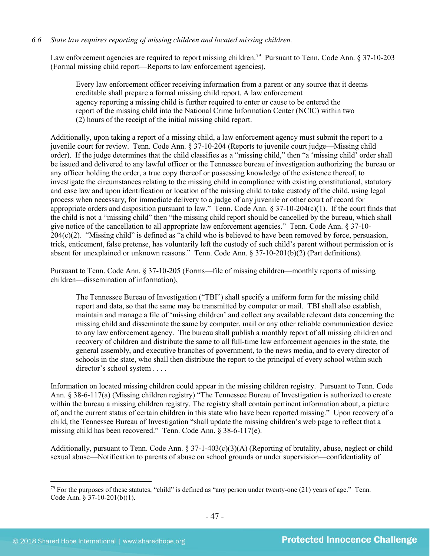# *6.6 State law requires reporting of missing children and located missing children.*

Law enforcement agencies are required to report missing children.<sup>79</sup> Pursuant to Tenn. Code Ann. § 37-10-203 (Formal missing child report—Reports to law enforcement agencies),

Every law enforcement officer receiving information from a parent or any source that it deems creditable shall prepare a formal missing child report. A law enforcement agency reporting a missing child is further required to enter or cause to be entered the report of the missing child into the National Crime Information Center (NCIC) within two (2) hours of the receipt of the initial missing child report.

Additionally, upon taking a report of a missing child, a law enforcement agency must submit the report to a juvenile court for review. Tenn. Code Ann. § 37-10-204 (Reports to juvenile court judge—Missing child order). If the judge determines that the child classifies as a "missing child," then "a 'missing child' order shall be issued and delivered to any lawful officer or the Tennessee bureau of investigation authorizing the bureau or any officer holding the order, a true copy thereof or possessing knowledge of the existence thereof, to investigate the circumstances relating to the missing child in compliance with existing constitutional, statutory and case law and upon identification or location of the missing child to take custody of the child, using legal process when necessary, for immediate delivery to a judge of any juvenile or other court of record for appropriate orders and disposition pursuant to law." Tenn. Code Ann. § 37-10-204(c)(1). If the court finds that the child is not a "missing child" then "the missing child report should be cancelled by the bureau, which shall give notice of the cancellation to all appropriate law enforcement agencies." Tenn. Code Ann. § 37-10- 204(c)(2). "Missing child" is defined as "a child who is believed to have been removed by force, persuasion, trick, enticement, false pretense, has voluntarily left the custody of such child's parent without permission or is absent for unexplained or unknown reasons." Tenn. Code Ann. § 37-10-201(b)(2) (Part definitions).

Pursuant to Tenn. Code Ann. § 37-10-205 (Forms—file of missing children—monthly reports of missing children—dissemination of information),

The Tennessee Bureau of Investigation ("TBI") shall specify a uniform form for the missing child report and data, so that the same may be transmitted by computer or mail. TBI shall also establish, maintain and manage a file of 'missing children' and collect any available relevant data concerning the missing child and disseminate the same by computer, mail or any other reliable communication device to any law enforcement agency. The bureau shall publish a monthly report of all missing children and recovery of children and distribute the same to all full-time law enforcement agencies in the state, the general assembly, and executive branches of government, to the news media, and to every director of schools in the state, who shall then distribute the report to the principal of every school within such director's school system . . . .

Information on located missing children could appear in the missing children registry. Pursuant to Tenn. Code Ann. § 38-6-117(a) (Missing children registry) "The Tennessee Bureau of Investigation is authorized to create within the bureau a missing children registry. The registry shall contain pertinent information about, a picture of, and the current status of certain children in this state who have been reported missing." Upon recovery of a child, the Tennessee Bureau of Investigation "shall update the missing children's web page to reflect that a missing child has been recovered." Tenn. Code Ann. § 38-6-117(e).

Additionally, pursuant to Tenn. Code Ann. § 37-1-403(c)(3)(A) (Reporting of brutality, abuse, neglect or child sexual abuse—Notification to parents of abuse on school grounds or under supervision—confidentiality of

<span id="page-46-0"></span> $^{79}$  For the purposes of these statutes, "child" is defined as "any person under twenty-one (21) years of age." Tenn. Code Ann. § 37-10-201(b)(1).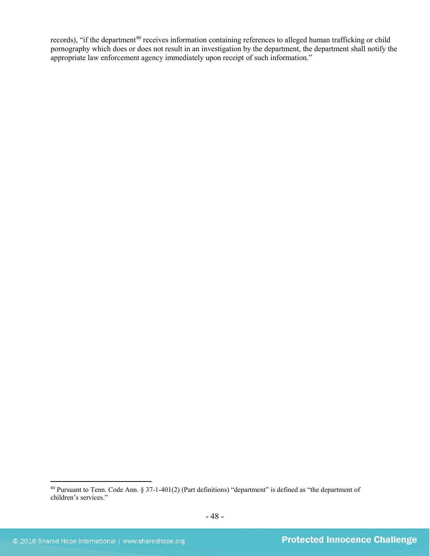records), "if the department<sup>[80](#page-47-0)</sup> receives information containing references to alleged human trafficking or child pornography which does or does not result in an investigation by the department, the department shall notify the appropriate law enforcement agency immediately upon receipt of such information."

<span id="page-47-0"></span> <sup>80</sup> Pursuant to Tenn. Code Ann. § 37-1-401(2) (Part definitions) "department" is defined as "the department of children's services."